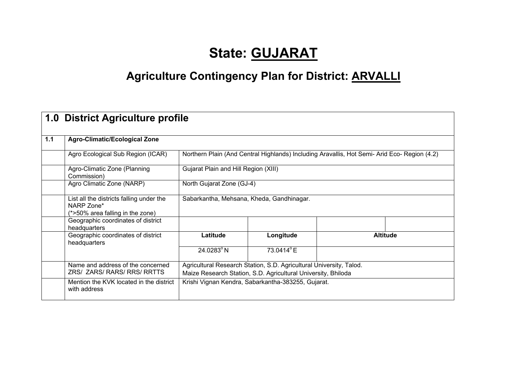# **State: GUJARAT**

# **Agriculture Contingency Plan for District: ARVALLI**

|       | 1.0 District Agriculture profile                                                           |                                                                                                                                      |                                      |                                                                                              |                 |  |  |
|-------|--------------------------------------------------------------------------------------------|--------------------------------------------------------------------------------------------------------------------------------------|--------------------------------------|----------------------------------------------------------------------------------------------|-----------------|--|--|
| $1.1$ | <b>Agro-Climatic/Ecological Zone</b>                                                       |                                                                                                                                      |                                      |                                                                                              |                 |  |  |
|       | Agro Ecological Sub Region (ICAR)                                                          |                                                                                                                                      |                                      | Northern Plain (And Central Highlands) Including Aravallis, Hot Semi- Arid Eco- Region (4.2) |                 |  |  |
|       | Agro-Climatic Zone (Planning<br>Commission)                                                |                                                                                                                                      | Gujarat Plain and Hill Region (XIII) |                                                                                              |                 |  |  |
|       | Agro Climatic Zone (NARP)                                                                  |                                                                                                                                      | North Gujarat Zone (GJ-4)            |                                                                                              |                 |  |  |
|       | List all the districts falling under the<br>NARP Zone*<br>(*>50% area falling in the zone) | Sabarkantha, Mehsana, Kheda, Gandhinagar.                                                                                            |                                      |                                                                                              |                 |  |  |
|       | Geographic coordinates of district<br>headquarters                                         |                                                                                                                                      |                                      |                                                                                              |                 |  |  |
|       | Geographic coordinates of district<br>headquarters                                         | Latitude                                                                                                                             | Longitude                            |                                                                                              | <b>Altitude</b> |  |  |
|       |                                                                                            | 24.0283°N                                                                                                                            | 73.0414°E                            |                                                                                              |                 |  |  |
|       | Name and address of the concerned<br>ZRS/ ZARS/ RARS/ RRS/ RRTTS                           | Agricultural Research Station, S.D. Agricultural University, Talod.<br>Maize Research Station, S.D. Agricultural University, Bhiloda |                                      |                                                                                              |                 |  |  |
|       | Mention the KVK located in the district<br>with address                                    | Krishi Vignan Kendra, Sabarkantha-383255, Gujarat.                                                                                   |                                      |                                                                                              |                 |  |  |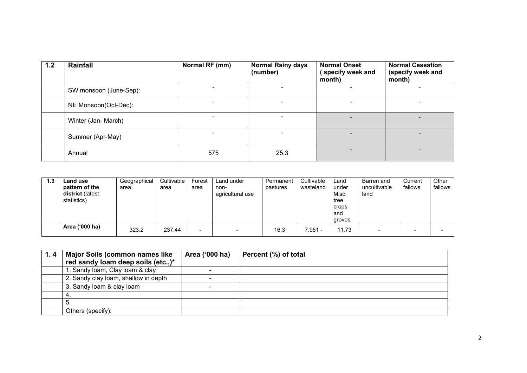| 1.2 | Rainfall               | Normal RF (mm) | <b>Normal Rainy days</b><br>(number) | <b>Normal Onset</b><br>specify week and<br>month) | <b>Normal Cessation</b><br>(specify week and<br>month) |
|-----|------------------------|----------------|--------------------------------------|---------------------------------------------------|--------------------------------------------------------|
|     | SW monsoon (June-Sep): |                |                                      |                                                   |                                                        |
|     | NE Monsoon(Oct-Dec):   |                |                                      |                                                   |                                                        |
|     | Winter (Jan- March)    |                |                                      |                                                   | $\overline{\phantom{0}}$                               |
|     | Summer (Apr-May)       |                |                                      |                                                   |                                                        |
|     | Annual                 | 575            | 25.3                                 |                                                   |                                                        |

| 1.3 | Land use<br>pattern of the<br>district (latest<br>statistics) | Geographical<br>area | Cultivable<br>area | Forest<br>area           | Land under<br>non-<br>agricultural use | Permanent<br>pastures | Cultivable<br>wasteland | Land<br>under<br>Misc.<br>tree<br>crops<br>and | Barren and<br>uncultivable<br>land | Current<br>fallows | Other<br>fallows |
|-----|---------------------------------------------------------------|----------------------|--------------------|--------------------------|----------------------------------------|-----------------------|-------------------------|------------------------------------------------|------------------------------------|--------------------|------------------|
|     |                                                               |                      |                    |                          |                                        |                       |                         | groves                                         |                                    |                    |                  |
|     | Area ('000 ha)                                                | 323.2                | 237.44             | $\overline{\phantom{a}}$ | $\overline{\phantom{a}}$               | 16.3                  | $7.951 -$               | 11.73                                          | -                                  |                    |                  |

| 1.4 | <b>Major Soils (common names like</b> | Area ('000 ha) | Percent (%) of total |
|-----|---------------------------------------|----------------|----------------------|
|     | red sandy loam deep soils (etc.,)*    |                |                      |
|     | 1. Sandy loam, Clay loam & clay       |                |                      |
|     | 2. Sandy clay loam, shallow in depth  |                |                      |
|     | 3. Sandy loam & clay loam             |                |                      |
|     |                                       |                |                      |
|     |                                       |                |                      |
|     | Others (specify):                     |                |                      |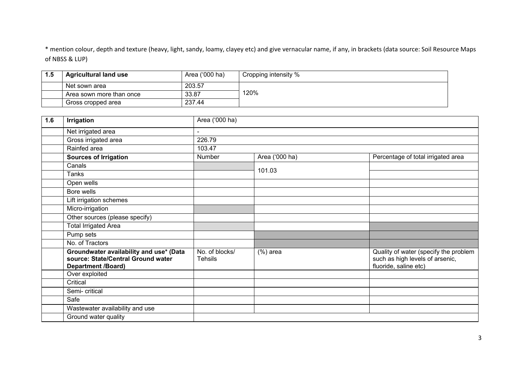\* mention colour, depth and texture (heavy, light, sandy, loamy, clayey etc) and give vernacular name, if any, in brackets (data source: Soil Resource Maps of NBSS & LUP)

| 1.5 | <b>Agricultural land use</b> | Area ('000 ha) | Cropping intensity % |
|-----|------------------------------|----------------|----------------------|
|     | Net sown area                | 203.57         |                      |
|     | Area sown more than once     | 33.87          | 120%                 |
|     | Gross cropped area           | 237.44         |                      |

| 1.6 | Irrigation                                                                                                 | Area ('000 ha)                   |                |                                                                                                   |
|-----|------------------------------------------------------------------------------------------------------------|----------------------------------|----------------|---------------------------------------------------------------------------------------------------|
|     | Net irrigated area                                                                                         | $\blacksquare$                   |                |                                                                                                   |
|     | Gross irrigated area                                                                                       | 226.79                           |                |                                                                                                   |
|     | Rainfed area                                                                                               | 103.47                           |                |                                                                                                   |
|     | <b>Sources of Irrigation</b>                                                                               | Number                           | Area ('000 ha) | Percentage of total irrigated area                                                                |
|     | Canals                                                                                                     |                                  | 101.03         |                                                                                                   |
|     | Tanks                                                                                                      |                                  |                |                                                                                                   |
|     | Open wells                                                                                                 |                                  |                |                                                                                                   |
|     | Bore wells                                                                                                 |                                  |                |                                                                                                   |
|     | Lift irrigation schemes                                                                                    |                                  |                |                                                                                                   |
|     | Micro-irrigation                                                                                           |                                  |                |                                                                                                   |
|     | Other sources (please specify)                                                                             |                                  |                |                                                                                                   |
|     | <b>Total Irrigated Area</b>                                                                                |                                  |                |                                                                                                   |
|     | Pump sets                                                                                                  |                                  |                |                                                                                                   |
|     | No. of Tractors                                                                                            |                                  |                |                                                                                                   |
|     | Groundwater availability and use* (Data<br>source: State/Central Ground water<br><b>Department /Board)</b> | No. of blocks/<br><b>Tehsils</b> | $(%)$ area     | Quality of water (specify the problem<br>such as high levels of arsenic,<br>fluoride, saline etc) |
|     | Over exploited                                                                                             |                                  |                |                                                                                                   |
|     | Critical                                                                                                   |                                  |                |                                                                                                   |
|     | Semi- critical                                                                                             |                                  |                |                                                                                                   |
|     | Safe                                                                                                       |                                  |                |                                                                                                   |
|     | Wastewater availability and use                                                                            |                                  |                |                                                                                                   |
|     | Ground water quality                                                                                       |                                  |                |                                                                                                   |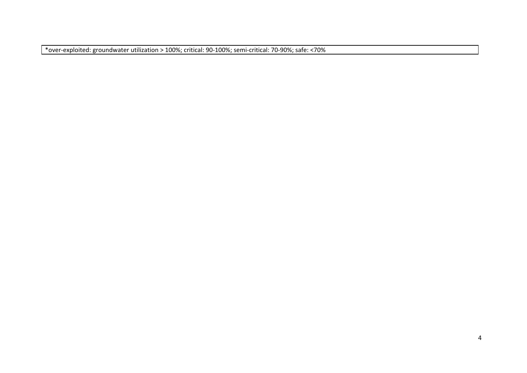\*over‐exploited: groundwater utilization > 100%; critical: 90‐100%; semi‐critical: 70‐90%; safe: <70%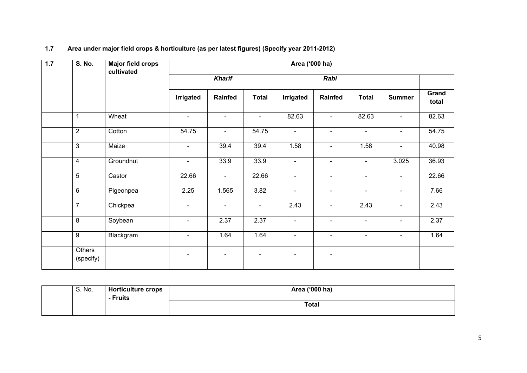| 1.7 | S. No.              | <b>Major field crops</b><br>cultivated |                |                |                          | Area ('000 ha) |                |                |                |                |
|-----|---------------------|----------------------------------------|----------------|----------------|--------------------------|----------------|----------------|----------------|----------------|----------------|
|     |                     |                                        |                | <b>Kharif</b>  |                          | Rabi           |                |                |                |                |
|     |                     |                                        | Irrigated      | Rainfed        | <b>Total</b>             | Irrigated      | Rainfed        | <b>Total</b>   | <b>Summer</b>  | Grand<br>total |
|     | 1                   | Wheat                                  | $\blacksquare$ | $\blacksquare$ | $\blacksquare$           | 82.63          | $\blacksquare$ | 82.63          | $\blacksquare$ | 82.63          |
|     | $\overline{2}$      | Cotton                                 | 54.75          | $\blacksquare$ | 54.75                    | $\blacksquare$ | $\blacksquare$ | $\blacksquare$ | $\blacksquare$ | 54.75          |
|     | 3                   | Maize                                  | $\blacksquare$ | 39.4           | 39.4                     | 1.58           | $\blacksquare$ | 1.58           | L,             | 40.98          |
|     | 4                   | Groundnut                              | $\blacksquare$ | 33.9           | 33.9                     | $\blacksquare$ | $\blacksquare$ | $\blacksquare$ | 3.025          | 36.93          |
|     | $\overline{5}$      | Castor                                 | 22.66          | $\blacksquare$ | 22.66                    | $\blacksquare$ | $\blacksquare$ | $\blacksquare$ | $\blacksquare$ | 22.66          |
|     | 6                   | Pigeonpea                              | 2.25           | 1.565          | 3.82                     | $\blacksquare$ | $\blacksquare$ | $\blacksquare$ | $\blacksquare$ | 7.66           |
|     | $\overline{7}$      | Chickpea                               | $\blacksquare$ | $\blacksquare$ | $\blacksquare$           | 2.43           | $\blacksquare$ | 2.43           | $\blacksquare$ | 2.43           |
|     | 8                   | Soybean                                | $\blacksquare$ | 2.37           | 2.37                     | $\blacksquare$ | $\blacksquare$ | $\blacksquare$ | $\blacksquare$ | 2.37           |
|     | 9                   | Blackgram                              | $\blacksquare$ | 1.64           | 1.64                     | $\blacksquare$ | $\blacksquare$ | $\blacksquare$ | $\blacksquare$ | 1.64           |
|     | Others<br>(specify) |                                        | $\blacksquare$ | $\blacksquare$ | $\overline{\phantom{a}}$ | ۰              | $\blacksquare$ |                |                |                |

## **1.7 Area under major field crops & horticulture (as per latest figures) (Specify year 2011-2012)**

| S. No. | ∕ticulture crops<br>ч^.<br>Fruits | Area ('000 ha) |
|--------|-----------------------------------|----------------|
|        |                                   | <b>Total</b>   |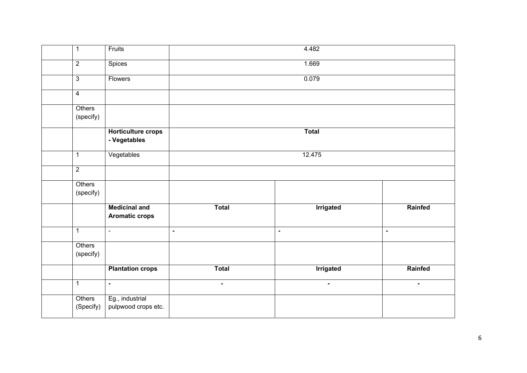| $\mathbf 1$         | Fruits                                        |                | 4.482            |                |
|---------------------|-----------------------------------------------|----------------|------------------|----------------|
| $\overline{2}$      | Spices                                        |                | 1.669            |                |
| $\overline{3}$      | Flowers                                       |                | 0.079            |                |
| $\overline{4}$      |                                               |                |                  |                |
| Others<br>(specify) |                                               |                |                  |                |
|                     | <b>Horticulture crops</b><br>- Vegetables     |                | <b>Total</b>     |                |
| $\mathbf 1$         | Vegetables                                    |                | 12.475           |                |
| $\overline{2}$      |                                               |                |                  |                |
| Others<br>(specify) |                                               |                |                  |                |
|                     | <b>Medicinal and</b><br><b>Aromatic crops</b> | <b>Total</b>   | <b>Irrigated</b> | Rainfed        |
| $\mathbf 1$         | $\blacksquare$                                | $\blacksquare$ | $\blacksquare$   | $\blacksquare$ |
| Others<br>(specify) |                                               |                |                  |                |
|                     | <b>Plantation crops</b>                       | <b>Total</b>   | <b>Irrigated</b> | Rainfed        |
| $\mathbf{1}$        | $\blacksquare$                                | $\blacksquare$ | $\blacksquare$   | $\blacksquare$ |
| Others<br>(Specify) | Eg., industrial<br>pulpwood crops etc.        |                |                  |                |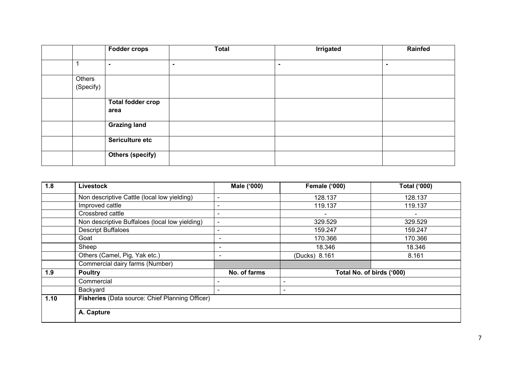|           | <b>Fodder crops</b>      | <b>Total</b> | Irrigated | Rainfed        |
|-----------|--------------------------|--------------|-----------|----------------|
|           |                          |              |           |                |
|           | $\blacksquare$           | ۰.           | ٠         | $\blacksquare$ |
| Others    |                          |              |           |                |
| (Specify) |                          |              |           |                |
|           | <b>Total fodder crop</b> |              |           |                |
|           | area                     |              |           |                |
|           | <b>Grazing land</b>      |              |           |                |
|           | Sericulture etc          |              |           |                |
|           | <b>Others (specify)</b>  |              |           |                |

| 1.8  | Livestock                                       | Male ('000)              | <b>Female ('000)</b> | <b>Total ('000)</b>       |
|------|-------------------------------------------------|--------------------------|----------------------|---------------------------|
|      | Non descriptive Cattle (local low yielding)     | $\overline{\phantom{a}}$ | 128.137              | 128.137                   |
|      | Improved cattle                                 | $\overline{\phantom{a}}$ | 119.137              | 119.137                   |
|      | Crossbred cattle                                |                          |                      |                           |
|      | Non descriptive Buffaloes (local low yielding)  | $\blacksquare$           | 329.529              | 329.529                   |
|      | <b>Descript Buffaloes</b>                       |                          | 159.247              | 159.247                   |
|      | Goat                                            | ٠                        | 170.366              | 170.366                   |
|      | Sheep                                           | ٠                        | 18.346               | 18.346                    |
|      | Others (Camel, Pig, Yak etc.)                   | ٠                        | (Ducks) 8.161        | 8.161                     |
|      | Commercial dairy farms (Number)                 |                          |                      |                           |
| 1.9  | <b>Poultry</b>                                  | No. of farms             |                      | Total No. of birds ('000) |
|      | Commercial                                      |                          |                      |                           |
|      | Backyard                                        | $\blacksquare$           | ٠                    |                           |
| 1.10 | Fisheries (Data source: Chief Planning Officer) |                          |                      |                           |
|      | A. Capture                                      |                          |                      |                           |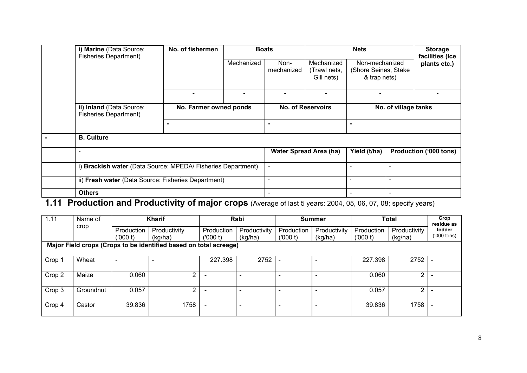| i) Marine (Data Source:<br><b>Fisheries Department)</b>      | No. of fishermen       |            | <b>Boats</b>             | <b>Nets</b>                              |                                                        | <b>Storage</b><br>facilities (Ice |                        |  |
|--------------------------------------------------------------|------------------------|------------|--------------------------|------------------------------------------|--------------------------------------------------------|-----------------------------------|------------------------|--|
|                                                              |                        | Mechanized | Non-<br>mechanized       | Mechanized<br>(Trawl nets,<br>Gill nets) | Non-mechanized<br>(Shore Seines, Stake<br>& trap nets) |                                   | plants etc.)           |  |
|                                                              |                        |            | -                        | $\blacksquare$                           | ۰                                                      |                                   |                        |  |
| ii) Inland (Data Source:<br><b>Fisheries Department)</b>     | No. Farmer owned ponds |            |                          | <b>No. of Reservoirs</b>                 | No. of village tanks                                   |                                   |                        |  |
|                                                              |                        |            |                          |                                          |                                                        |                                   |                        |  |
| <b>B. Culture</b>                                            |                        |            |                          |                                          |                                                        |                                   |                        |  |
|                                                              |                        |            |                          | <b>Water Spread Area (ha)</b>            | Yield (t/ha)                                           |                                   | Production ('000 tons) |  |
| i) Brackish water (Data Source: MPEDA/ Fisheries Department) |                        |            | $\blacksquare$           |                                          |                                                        | $\blacksquare$                    |                        |  |
| ii) Fresh water (Data Source: Fisheries Department)          |                        |            | $\blacksquare$           |                                          |                                                        | $\blacksquare$                    |                        |  |
| <b>Others</b>                                                |                        |            | $\overline{\phantom{0}}$ |                                          |                                                        | ۰                                 |                        |  |

## **1.11 Production and Productivity of major crops** (Average of last 5 years: 2004, 05, 06, 07, 08; specify years)

| 1.11   | Name of   |                | Kharif                                                            |                          | Rabi                     |            | <b>Summer</b> |            | <b>Total</b>   | Crop<br>residue as    |
|--------|-----------|----------------|-------------------------------------------------------------------|--------------------------|--------------------------|------------|---------------|------------|----------------|-----------------------|
|        | crop      | Production     | Productivity                                                      | Production               | Productivity             | Production | Productivity  | Production | Productivity   | fodder<br>('000 tons) |
|        |           | (000 t)        | (kg/ha)                                                           | (000 t)                  | (kg/ha)                  | ('000 t)   | (kg/ha)       | (000 t)    | (kg/ha)        |                       |
|        |           |                | Major Field crops (Crops to be identified based on total acreage) |                          |                          |            |               |            |                |                       |
|        |           |                |                                                                   |                          |                          |            |               |            |                |                       |
| Crop 1 | Wheat     | $\blacksquare$ |                                                                   | 227.398                  | 2752                     |            |               | 227.398    | 2752           |                       |
|        |           |                |                                                                   |                          |                          |            |               |            |                |                       |
| Crop 2 | Maize     | 0.060          | າ                                                                 |                          | $\overline{\phantom{0}}$ | -          |               | 0.060      | $\overline{2}$ |                       |
|        |           |                |                                                                   |                          |                          |            |               |            |                |                       |
| Crop 3 | Groundnut | 0.057          | 2                                                                 | $\overline{\phantom{a}}$ | $\overline{\phantom{0}}$ |            |               | 0.057      | 2              |                       |
|        |           |                |                                                                   |                          |                          |            |               |            |                |                       |
| Crop 4 | Castor    | 39.836         | 1758                                                              | $\blacksquare$           | $\blacksquare$           | -          |               | 39.836     | 1758           |                       |
|        |           |                |                                                                   |                          |                          |            |               |            |                |                       |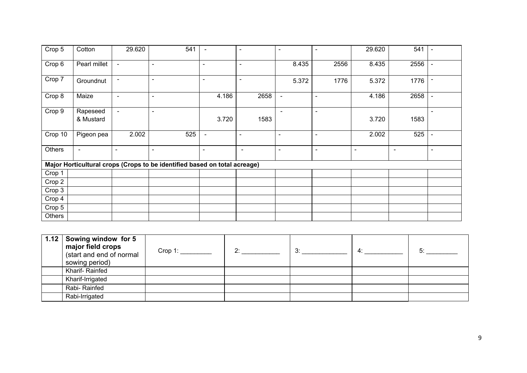| Crop 5   | Cotton                | 29.620         | 541                                                                       | $\blacksquare$ | $\blacksquare$ | $\blacksquare$           | ۰              | 29.620 | 541    | $\blacksquare$ |
|----------|-----------------------|----------------|---------------------------------------------------------------------------|----------------|----------------|--------------------------|----------------|--------|--------|----------------|
| Crop 6   | Pearl millet          | $\sim$         | $\blacksquare$                                                            | $\blacksquare$ | $\blacksquare$ | 8.435                    | 2556           | 8.435  | 2556   | $\blacksquare$ |
| Crop 7   | Groundnut             | $\blacksquare$ | $\blacksquare$                                                            | $\blacksquare$ | $\blacksquare$ | 5.372                    | 1776           | 5.372  | 1776   | $\blacksquare$ |
| Crop 8   | Maize                 | $\sim$         | $\blacksquare$                                                            | 4.186          | 2658           | $\blacksquare$           | $\blacksquare$ | 4.186  | 2658   | $\blacksquare$ |
| Crop 9   | Rapeseed<br>& Mustard | $\blacksquare$ | $\blacksquare$                                                            | 3.720          | 1583           | $\overline{\phantom{a}}$ | ۰              | 3.720  | 1583   | $\blacksquare$ |
| Crop 10  | Pigeon pea            | 2.002          | 525                                                                       | $\blacksquare$ | $\blacksquare$ | $\blacksquare$           | ۰              | 2.002  | 525    | $\blacksquare$ |
| Others   | $\blacksquare$        | $\blacksquare$ | $\blacksquare$                                                            | $\blacksquare$ | $\blacksquare$ | $\blacksquare$           | $\blacksquare$ | $\sim$ | $\sim$ | $\blacksquare$ |
|          |                       |                | Major Horticultural crops (Crops to be identified based on total acreage) |                |                |                          |                |        |        |                |
| Crop 1   |                       |                |                                                                           |                |                |                          |                |        |        |                |
| Crop 2   |                       |                |                                                                           |                |                |                          |                |        |        |                |
| Crop 3   |                       |                |                                                                           |                |                |                          |                |        |        |                |
| Crop 4   |                       |                |                                                                           |                |                |                          |                |        |        |                |
| Crop $5$ |                       |                |                                                                           |                |                |                          |                |        |        |                |
| Others   |                       |                |                                                                           |                |                |                          |                |        |        |                |

| 1.12 Sowing window for 5<br>major field crops<br>(start and end of normal<br>sowing period) | Crop 1: | つ・ | 3: | 4. | 5٠ |
|---------------------------------------------------------------------------------------------|---------|----|----|----|----|
| Kharif-Rainfed                                                                              |         |    |    |    |    |
| Kharif-Irrigated                                                                            |         |    |    |    |    |
| Rabi- Rainfed                                                                               |         |    |    |    |    |
| Rabi-Irrigated                                                                              |         |    |    |    |    |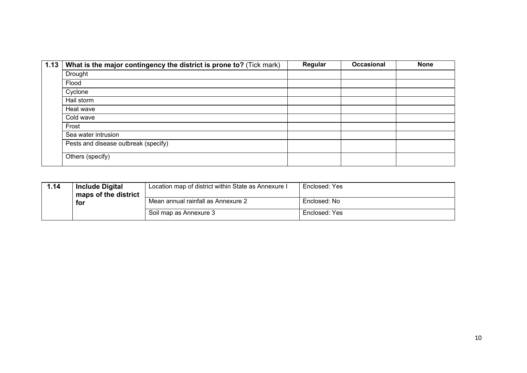| 1.13   What is the major contingency the district is prone to? (Tick mark) | Regular | Occasional | <b>None</b> |
|----------------------------------------------------------------------------|---------|------------|-------------|
| Drought                                                                    |         |            |             |
| Flood                                                                      |         |            |             |
| Cyclone                                                                    |         |            |             |
| Hail storm                                                                 |         |            |             |
| Heat wave                                                                  |         |            |             |
| Cold wave                                                                  |         |            |             |
| Frost                                                                      |         |            |             |
| Sea water intrusion                                                        |         |            |             |
| Pests and disease outbreak (specify)                                       |         |            |             |
| Others (specify)                                                           |         |            |             |

| 1.14 | <b>Include Digital</b>      | Location map of district within State as Annexure I | Enclosed: Yes |
|------|-----------------------------|-----------------------------------------------------|---------------|
|      | maps of the district<br>for | Mean annual rainfall as Annexure 2                  | Enclosed: No  |
|      |                             | Soil map as Annexure 3                              | Enclosed: Yes |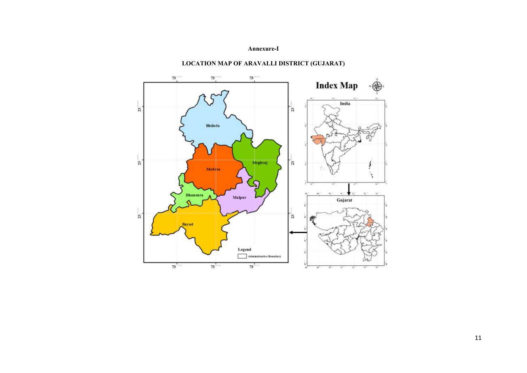#### **Annexure-I**



### **LOCATION MAP OF ARAVALLI DISTRICT (GUJARAT)**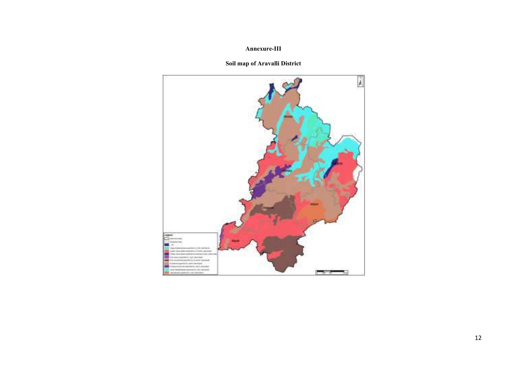#### **Annexure-III**

#### **Soil map of Aravalli District**

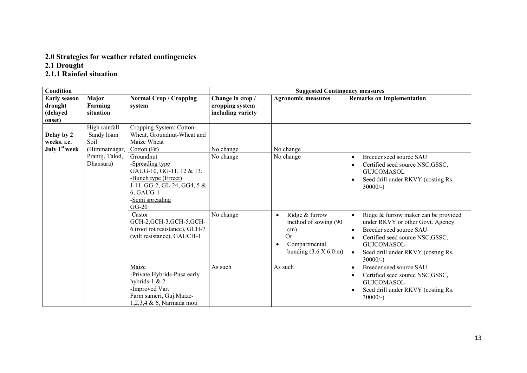## **2.0 Strategies for weather related contingencies**

**2.1 Drought** 

#### **2.1.1 Rainfed situation**

| <b>Condition</b>                                       |                                                      |                                                                                                                                                              |                   | <b>Suggested Contingency measures</b>                                                                                             |                                                                                                                                                                                                                                                         |
|--------------------------------------------------------|------------------------------------------------------|--------------------------------------------------------------------------------------------------------------------------------------------------------------|-------------------|-----------------------------------------------------------------------------------------------------------------------------------|---------------------------------------------------------------------------------------------------------------------------------------------------------------------------------------------------------------------------------------------------------|
| <b>Early season</b>                                    | Major                                                | <b>Normal Crop / Cropping</b>                                                                                                                                | Change in crop /  | <b>Agronomic measures</b>                                                                                                         | <b>Remarks on Implementation</b>                                                                                                                                                                                                                        |
| drought                                                | Farming                                              | system                                                                                                                                                       | cropping system   |                                                                                                                                   |                                                                                                                                                                                                                                                         |
| (delayed<br>onset)                                     | situation                                            |                                                                                                                                                              | including variety |                                                                                                                                   |                                                                                                                                                                                                                                                         |
| Delay by 2<br>weeks. i.e.<br>July 1 <sup>st</sup> week | High rainfall<br>Sandy loam<br>Soil<br>(Himmatnagar, | Cropping System: Cotton-<br>Wheat, Groundnut-Wheat and<br>Maize Wheat<br>Cotton $(Bt)$                                                                       | No change         | No change                                                                                                                         |                                                                                                                                                                                                                                                         |
|                                                        | Prantij, Talod,<br>Dhansura)                         | Groundnut<br>-Spreading type<br>GAUG-10, GG-11, 12 & 13.<br>-Bunch type (Errect)<br>J-11, GG-2, GL-24, GG4, $5 &$<br>6, GAUG-1<br>-Semi spreading<br>$GG-20$ | No change         | No change                                                                                                                         | Breeder seed source SAU<br>$\bullet$<br>Certified seed source NSC, GSSC,<br>$\bullet$<br><b>GUJCOMASOL</b><br>Seed drill under RKVY (costing Rs.<br>$\bullet$<br>$30000/-$ )                                                                            |
|                                                        |                                                      | Castor<br>GCH-2, GCH-3, GCH-5, GCH-<br>6 (root rot resistance), GCH-7<br>(wilt resistance), GAUCH-1                                                          | No change         | Ridge & furrow<br>$\bullet$<br>method of sowing (90)<br>cm)<br><b>Or</b><br>Compartmental<br>$\bullet$<br>bunding $(3.6 X 6.0 m)$ | Ridge & furrow maker can be provided<br>$\bullet$<br>under RKVY or other Govt. Agency.<br>Breeder seed source SAU<br>$\bullet$<br>Certified seed source NSC, GSSC,<br><b>GUJCOMASOL</b><br>Seed drill under RKVY (costing Rs.<br>$\bullet$<br>$30000/-$ |
|                                                        |                                                      | Maize<br>-Private Hybrids-Pusa early<br>hybrids-1 $& 2$<br>-Improved Var.<br>Farm sameri, Guj.Maize-<br>1,2,3,4 & 6, Narmada moti                            | As such           | As such                                                                                                                           | Breeder seed source SAU<br>$\bullet$<br>Certified seed source NSC, GSSC,<br>$\bullet$<br><b>GUJCOMASOL</b><br>Seed drill under RKVY (costing Rs.<br>$\bullet$<br>$30000/-$ )                                                                            |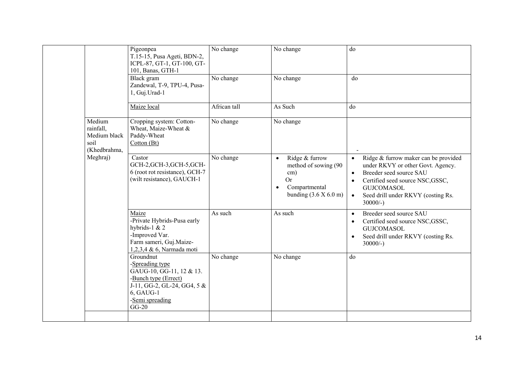|  |                                                                         | Pigeonpea<br>T.15-15, Pusa Ageti, BDN-2,<br>ICPL-87, GT-1, GT-100, GT-<br>101, Banas, GTH-1                                                                  | No change    | No change                                                                                                                        | do                                                                                                                                                                                                                                                                     |
|--|-------------------------------------------------------------------------|--------------------------------------------------------------------------------------------------------------------------------------------------------------|--------------|----------------------------------------------------------------------------------------------------------------------------------|------------------------------------------------------------------------------------------------------------------------------------------------------------------------------------------------------------------------------------------------------------------------|
|  |                                                                         | Black gram<br>Zandewal, T-9, TPU-4, Pusa-<br>1, Guj.Urad-1                                                                                                   | No change    | No change                                                                                                                        | do                                                                                                                                                                                                                                                                     |
|  |                                                                         | Maize local                                                                                                                                                  | African tall | As Such                                                                                                                          | do                                                                                                                                                                                                                                                                     |
|  | Medium<br>rainfall,<br>Medium black<br>soil<br>(Khedbrahma,<br>Meghraj) | Cropping system: Cotton-<br>Wheat, Maize-Wheat &<br>Paddy-Wheat<br>Cotton(Bt)                                                                                | No change    | No change                                                                                                                        |                                                                                                                                                                                                                                                                        |
|  |                                                                         | Castor<br>GCH-2, GCH-3, GCH-5, GCH-<br>6 (root rot resistance), GCH-7<br>(wilt resistance), GAUCH-1                                                          | No change    | Ridge & furrow<br>$\bullet$<br>method of sowing (90<br>cm)<br><b>Or</b><br>Compartmental<br>$\bullet$<br>bunding $(3.6 X 6.0 m)$ | Ridge & furrow maker can be provided<br>$\bullet$<br>under RKVY or other Govt. Agency.<br>Breeder seed source SAU<br>$\bullet$<br>Certified seed source NSC, GSSC,<br>$\bullet$<br><b>GUJCOMASOL</b><br>Seed drill under RKVY (costing Rs.<br>$\bullet$<br>$30000/-$ ) |
|  |                                                                         | Maize<br>-Private Hybrids-Pusa early<br>hybrids-1 $& 2$<br>-Improved Var.<br>Farm sameri, Guj.Maize-<br>1,2,3,4 & 6, Narmada moti                            | As such      | As such                                                                                                                          | Breeder seed source SAU<br>$\bullet$<br>Certified seed source NSC, GSSC,<br>$\bullet$<br><b>GUJCOMASOL</b><br>Seed drill under RKVY (costing Rs.<br>$\bullet$<br>$30000/-$ )                                                                                           |
|  |                                                                         | Groundnut<br>-Spreading type<br>GAUG-10, GG-11, 12 & 13.<br>-Bunch type (Errect)<br>J-11, GG-2, GL-24, GG4, $5 &$<br>6, GAUG-1<br>-Semi spreading<br>$GG-20$ | No change    | No change                                                                                                                        | do                                                                                                                                                                                                                                                                     |
|  |                                                                         |                                                                                                                                                              |              |                                                                                                                                  |                                                                                                                                                                                                                                                                        |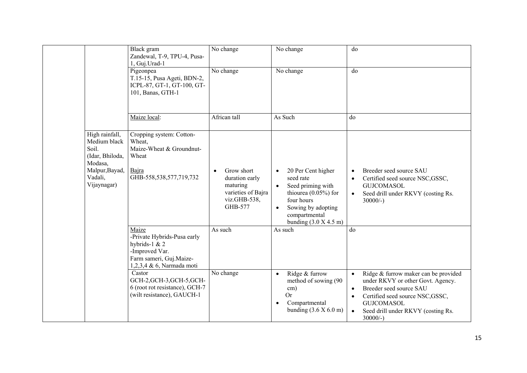|                                                                                                                   | Black gram<br>Zandewal, T-9, TPU-4, Pusa-<br>1, Guj.Urad-1                                                                      | No change                                                                                 | No change                                                                                                                                                                                 | do                                                                                                                                                                                                                                                                     |
|-------------------------------------------------------------------------------------------------------------------|---------------------------------------------------------------------------------------------------------------------------------|-------------------------------------------------------------------------------------------|-------------------------------------------------------------------------------------------------------------------------------------------------------------------------------------------|------------------------------------------------------------------------------------------------------------------------------------------------------------------------------------------------------------------------------------------------------------------------|
|                                                                                                                   | Pigeonpea<br>T.15-15, Pusa Ageti, BDN-2,<br>ICPL-87, GT-1, GT-100, GT-<br>101, Banas, GTH-1                                     | No change                                                                                 | No change                                                                                                                                                                                 | do                                                                                                                                                                                                                                                                     |
|                                                                                                                   | Maize local:                                                                                                                    | African tall                                                                              | As Such                                                                                                                                                                                   | do                                                                                                                                                                                                                                                                     |
| High rainfall,<br>Medium black<br>Soil.<br>(Idar, Bhiloda,<br>Modasa,<br>Malpur, Bayad,<br>Vadali,<br>Vijaynagar) | Cropping system: Cotton-<br>Wheat,<br>Maize-Wheat & Groundnut-<br>Wheat<br>Bajra<br>GHB-558,538,577,719,732                     | Grow short<br>duration early<br>maturing<br>varieties of Bajra<br>viz.GHB-538,<br>GHB-577 | 20 Per Cent higher<br>$\bullet$<br>seed rate<br>Seed priming with<br>thiourea $(0.05\%)$ for<br>four hours<br>Sowing by adopting<br>$\bullet$<br>compartmental<br>bunding $(3.0 X 4.5 m)$ | Breeder seed source SAU<br>Certified seed source NSC, GSSC,<br><b>GUJCOMASOL</b><br>Seed drill under RKVY (costing Rs.<br>$\bullet$<br>$30000/-$ )                                                                                                                     |
|                                                                                                                   | Maize<br>-Private Hybrids-Pusa early<br>hybrids-1 & 2<br>-Improved Var.<br>Farm sameri, Guj.Maize-<br>1,2,3,4 & 6, Narmada moti | As such                                                                                   | As such                                                                                                                                                                                   | do                                                                                                                                                                                                                                                                     |
|                                                                                                                   | Castor<br>GCH-2, GCH-3, GCH-5, GCH-<br>6 (root rot resistance), GCH-7<br>(wilt resistance), GAUCH-1                             | No change                                                                                 | Ridge & furrow<br>$\bullet$<br>method of sowing (90<br>cm)<br><b>Or</b><br>Compartmental<br>$\bullet$<br>bunding $(3.6 X 6.0 m)$                                                          | Ridge & furrow maker can be provided<br>$\bullet$<br>under RKVY or other Govt. Agency.<br>Breeder seed source SAU<br>$\bullet$<br>Certified seed source NSC, GSSC,<br>$\bullet$<br><b>GUJCOMASOL</b><br>Seed drill under RKVY (costing Rs.<br>$\bullet$<br>$30000/-$ ) |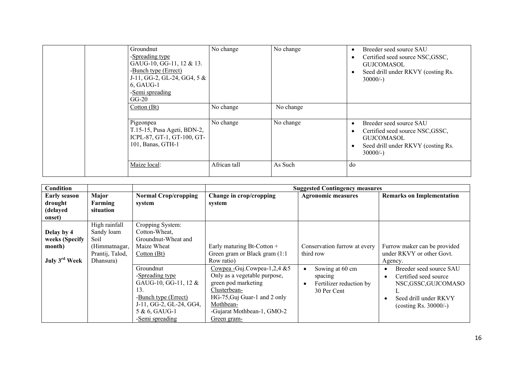| Groundnut<br>-Spreading type<br>GAUG-10, GG-11, 12 & 13.<br>-Bunch type (Errect)<br>J-11, GG-2, GL-24, GG4, $5 &$<br>6, GAUG-1<br>-Semi spreading<br>$GG-20$ | No change    | No change | Breeder seed source SAU<br>Certified seed source NSC, GSSC,<br><b>GUJCOMASOL</b><br>Seed drill under RKVY (costing Rs.<br>٠<br>$30000/-$ ) |
|--------------------------------------------------------------------------------------------------------------------------------------------------------------|--------------|-----------|--------------------------------------------------------------------------------------------------------------------------------------------|
| Cotton(Bt)                                                                                                                                                   | No change    | No change |                                                                                                                                            |
| Pigeonpea<br>T.15-15, Pusa Ageti, BDN-2,<br>ICPL-87, GT-1, GT-100, GT-<br>101, Banas, GTH-1                                                                  | No change    | No change | Breeder seed source SAU<br>Certified seed source NSC, GSSC,<br><b>GUJCOMASOL</b><br>Seed drill under RKVY (costing Rs.<br>٠<br>$30000/-$ ) |
| Maize local:                                                                                                                                                 | African tall | As Such   | do                                                                                                                                         |

| <b>Condition</b>                                                    |                                                                                      |                                                                                                                                                    |                                                                                                                                                                                               | <b>Suggested Contingency measures</b>                                |                                                                                                                             |  |  |  |
|---------------------------------------------------------------------|--------------------------------------------------------------------------------------|----------------------------------------------------------------------------------------------------------------------------------------------------|-----------------------------------------------------------------------------------------------------------------------------------------------------------------------------------------------|----------------------------------------------------------------------|-----------------------------------------------------------------------------------------------------------------------------|--|--|--|
| <b>Early season</b><br>drought<br>(delayed<br>onset)                | Major<br>Farming<br>situation                                                        | <b>Normal Crop/cropping</b><br>system                                                                                                              | Change in crop/cropping<br>system                                                                                                                                                             | <b>Agronomic measures</b>                                            | <b>Remarks on Implementation</b>                                                                                            |  |  |  |
| Delay by 4<br>weeks (Specify<br>month)<br>July 3 <sup>rd</sup> Week | High rainfall<br>Sandy loam<br>Soil<br>(Himmatnagar,<br>Prantij, Talod,<br>Dhansura) | Cropping System:<br>Cotton-Wheat,<br>Groundnut-Wheat and<br>Maize Wheat<br>Cotton(Bt)                                                              | Early maturing Bt-Cotton +<br>Green gram or Black gram (1:1)<br>Row ratio)                                                                                                                    | Conservation furrow at every<br>third row                            | Furrow maker can be provided<br>under RKVY or other Govt.<br>Agency.                                                        |  |  |  |
|                                                                     |                                                                                      | Groundnut<br>-Spreading type<br>GAUG-10, GG-11, 12 &<br>13.<br>-Bunch type (Errect)<br>J-11, GG-2, GL-24, GG4,<br>5 & 6, GAUG-1<br>-Semi spreading | Cowpea - Guj.Cowpea-1,2,4 &5<br>Only as a vegetable purpose,<br>green pod marketing<br>Clusterbean-<br>HG-75, Guj Guar-1 and 2 only<br>Mothbean-<br>-Gujarat Mothbean-1, GMO-2<br>Green gram- | Sowing at 60 cm<br>spacing<br>Fertilizer reduction by<br>30 Per Cent | Breeder seed source SAU<br>Certified seed source<br>NSC,GSSC,GUJCOMASO<br>Seed drill under RKVY<br>(costing Rs. $30000/-$ ) |  |  |  |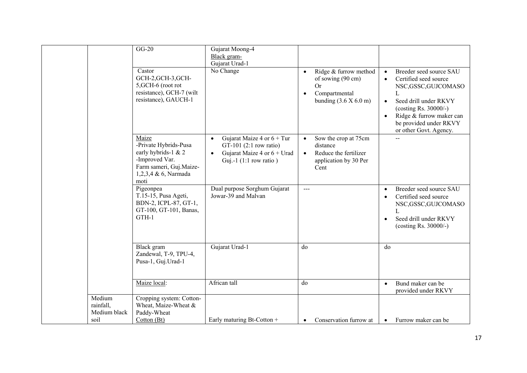|                                     | $GG-20$                                                                                                                            | Gujarat Moong-4                                                                                                                                 |                                                                                                                                            |                                                                                                                                                                                                                                                                   |
|-------------------------------------|------------------------------------------------------------------------------------------------------------------------------------|-------------------------------------------------------------------------------------------------------------------------------------------------|--------------------------------------------------------------------------------------------------------------------------------------------|-------------------------------------------------------------------------------------------------------------------------------------------------------------------------------------------------------------------------------------------------------------------|
|                                     |                                                                                                                                    | Black gram-                                                                                                                                     |                                                                                                                                            |                                                                                                                                                                                                                                                                   |
|                                     |                                                                                                                                    | Gujarat Urad-1                                                                                                                                  |                                                                                                                                            |                                                                                                                                                                                                                                                                   |
|                                     | Castor<br>GCH-2, GCH-3, GCH-<br>5, GCH-6 (root rot<br>resistance), GCH-7 (wilt<br>resistance), GAUCH-1                             | No Change                                                                                                                                       | Ridge & furrow method<br>$\bullet$<br>of sowing (90 cm)<br><b>Or</b><br>Compartmental<br>$\bullet$<br>bunding $(3.6 \times 6.0 \text{ m})$ | Breeder seed source SAU<br>$\bullet$<br>Certified seed source<br>$\bullet$<br>NSC,GSSC,GUJCOMASO<br>L<br>Seed drill under RKVY<br>$\bullet$<br>(costing Rs. 30000/-)<br>Ridge & furrow maker can<br>$\bullet$<br>be provided under RKVY<br>or other Govt. Agency. |
|                                     | Maize<br>-Private Hybrids-Pusa<br>early hybrids-1 & 2<br>-Improved Var.<br>Farm sameri, Guj.Maize-<br>1,2,3,4 & 6, Narmada<br>moti | Gujarat Maize 4 or $6 + Tur$<br>$\bullet$<br>GT-101 $(2:1$ row ratio)<br>Gujarat Maize 4 or $6 + Urad$<br>$\bullet$<br>Guj.-1 $(1:1$ row ratio) | Sow the crop at 75cm<br>distance<br>Reduce the fertilizer<br>$\bullet$<br>application by 30 Per<br>Cent                                    |                                                                                                                                                                                                                                                                   |
|                                     | Pigeonpea<br>T.15-15, Pusa Ageti,<br>BDN-2, ICPL-87, GT-1,<br>GT-100, GT-101, Banas,<br>GTH-1                                      | Dual purpose Sorghum Gujarat<br>Jowar-39 and Malvan                                                                                             | $\frac{1}{2}$                                                                                                                              | Breeder seed source SAU<br>Certified seed source<br>NSC,GSSC,GUJCOMASO<br>$\mathbf{I}$ .<br>Seed drill under RKVY<br>$\bullet$<br>(costing Rs. 30000/-)                                                                                                           |
|                                     | Black gram<br>Zandewal, T-9, TPU-4,<br>Pusa-1, Guj.Urad-1                                                                          | Gujarat Urad-1                                                                                                                                  | do                                                                                                                                         | do                                                                                                                                                                                                                                                                |
|                                     | Maize local:                                                                                                                       | African tall                                                                                                                                    | do                                                                                                                                         | Bund maker can be<br>provided under RKVY                                                                                                                                                                                                                          |
| Medium<br>rainfall,<br>Medium black | Cropping system: Cotton-<br>Wheat, Maize-Wheat &<br>Paddy-Wheat                                                                    |                                                                                                                                                 |                                                                                                                                            |                                                                                                                                                                                                                                                                   |
| soil                                | Cotton (Bt)                                                                                                                        | Early maturing Bt-Cotton +                                                                                                                      | Conservation furrow at<br>$\bullet$                                                                                                        | Furrow maker can be<br>$\bullet$                                                                                                                                                                                                                                  |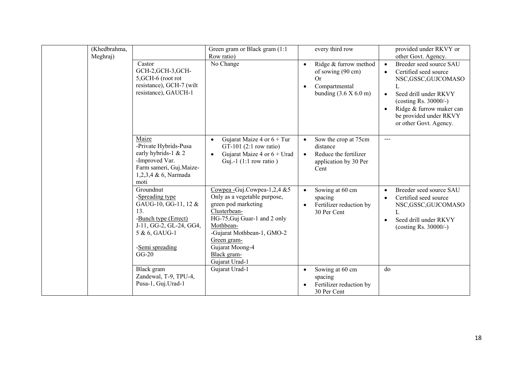| (Khedbrahma, |                                                                                                                                                               | Green gram or Black gram (1:1)                                                                                                                                                                                                                         | every third row                                                                                                        | provided under RKVY or                                                                                                                                                                                                                                                      |
|--------------|---------------------------------------------------------------------------------------------------------------------------------------------------------------|--------------------------------------------------------------------------------------------------------------------------------------------------------------------------------------------------------------------------------------------------------|------------------------------------------------------------------------------------------------------------------------|-----------------------------------------------------------------------------------------------------------------------------------------------------------------------------------------------------------------------------------------------------------------------------|
| Meghraj)     | Castor<br>GCH-2, GCH-3, GCH-<br>5, GCH-6 (root rot<br>resistance), GCH-7 (wilt<br>resistance), GAUCH-1                                                        | Row ratio)<br>No Change                                                                                                                                                                                                                                | Ridge & furrow method<br>of sowing (90 cm)<br>Or<br>Compartmental<br>$\bullet$<br>bunding $(3.6 \times 6.0 \text{ m})$ | other Govt. Agency.<br>Breeder seed source SAU<br>Certified seed source<br>$\bullet$<br>NSC, GSSC, GUJCOMASO<br>Seed drill under RKVY<br>$\bullet$<br>(costing Rs. $30000/-$ )<br>Ridge & furrow maker can<br>$\bullet$<br>be provided under RKVY<br>or other Govt. Agency. |
|              | Maize<br>-Private Hybrids-Pusa<br>early hybrids-1 & 2<br>-Improved Var.<br>Farm sameri, Guj.Maize-<br>1,2,3,4 & 6, Narmada<br>moti                            | Gujarat Maize 4 or $6 + Tur$<br>$\bullet$<br>$GT-101$ (2:1 row ratio)<br>Gujarat Maize 4 or $6 +$ Urad<br>$\bullet$<br>Guj.-1 $(1:1$ row ratio)                                                                                                        | Sow the crop at 75cm<br>distance<br>Reduce the fertilizer<br>$\bullet$<br>application by 30 Per<br>Cent                | $---$                                                                                                                                                                                                                                                                       |
|              | Groundnut<br>-Spreading type<br>GAUG-10, GG-11, 12 &<br>13.<br>-Bunch type (Errect)<br>J-11, GG-2, GL-24, GG4,<br>5 & 6, GAUG-1<br>-Semi spreading<br>$GG-20$ | Cowpea - Guj.Cowpea - $1,2,4$ & 5<br>Only as a vegetable purpose,<br>green pod marketing<br>Clusterbean-<br>HG-75, Guj Guar-1 and 2 only<br>Mothbean-<br>-Gujarat Mothbean-1, GMO-2<br>Green gram-<br>Gujarat Moong-4<br>Black gram-<br>Gujarat Urad-1 | Sowing at 60 cm<br>$\bullet$<br>spacing<br>Fertilizer reduction by<br>$\bullet$<br>30 Per Cent                         | Breeder seed source SAU<br>Certified seed source<br>$\bullet$<br>NSC, GSSC, GUJCOMASO<br>L<br>Seed drill under RKVY<br>$\bullet$<br>(costing Rs. 30000/-)                                                                                                                   |
|              | Black gram<br>Zandewal, T-9, TPU-4,<br>Pusa-1, Guj.Urad-1                                                                                                     | Gujarat Urad-1                                                                                                                                                                                                                                         | Sowing at 60 cm<br>$\bullet$<br>spacing<br>Fertilizer reduction by<br>30 Per Cent                                      | do                                                                                                                                                                                                                                                                          |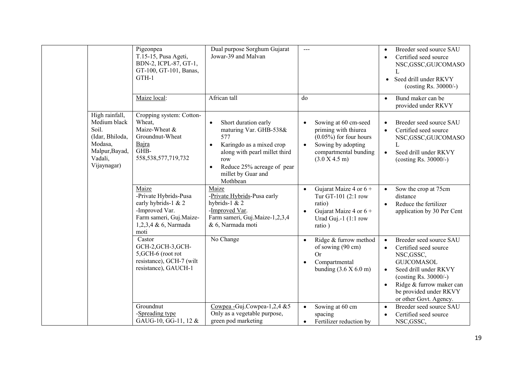|                                                                                                                   | Pigeonpea<br>T.15-15, Pusa Ageti,<br>BDN-2, ICPL-87, GT-1,<br>GT-100, GT-101, Banas,<br>GTH-1                                      | Dual purpose Sorghum Gujarat<br>Jowar-39 and Malvan                                                                                                                                                                 | $\frac{1}{2}$                                                                                                                                          | Breeder seed source SAU<br>$\bullet$<br>Certified seed source<br>$\bullet$<br>NSC, GSSC, GUJCOMASO<br>L<br>Seed drill under RKVY<br>$\bullet$<br>(costing Rs. 30000/-)                                                                                                       |
|-------------------------------------------------------------------------------------------------------------------|------------------------------------------------------------------------------------------------------------------------------------|---------------------------------------------------------------------------------------------------------------------------------------------------------------------------------------------------------------------|--------------------------------------------------------------------------------------------------------------------------------------------------------|------------------------------------------------------------------------------------------------------------------------------------------------------------------------------------------------------------------------------------------------------------------------------|
|                                                                                                                   | Maize local:                                                                                                                       | African tall                                                                                                                                                                                                        | do                                                                                                                                                     | Bund maker can be<br>$\bullet$<br>provided under RKVY                                                                                                                                                                                                                        |
| High rainfall,<br>Medium black<br>Soil.<br>(Idar, Bhiloda,<br>Modasa,<br>Malpur, Bayad,<br>Vadali,<br>Vijaynagar) | Cropping system: Cotton-<br>Wheat,<br>Maize-Wheat &<br>Groundnut-Wheat<br>Bajra<br>GHB-<br>558, 538, 577, 719, 732                 | Short duration early<br>$\bullet$<br>maturing Var. GHB-538&<br>577<br>Karingdo as a mixed crop<br>along with pearl millet third<br>row<br>Reduce 25% acreage of pear<br>$\bullet$<br>millet by Guar and<br>Mothbean | Sowing at 60 cm-seed<br>priming with thiurea<br>$(0.05\%)$ for four hours<br>Sowing by adopting<br>$\bullet$<br>compartmental bunding<br>(3.0 X 4.5 m) | Breeder seed source SAU<br>$\bullet$<br>Certified seed source<br>NSC, GSSC, GUJCOMASO<br>L<br>Seed drill under RKVY<br>$\bullet$<br>(costing Rs. 30000/-)                                                                                                                    |
|                                                                                                                   | Maize<br>-Private Hybrids-Pusa<br>early hybrids-1 & 2<br>-Improved Var.<br>Farm sameri, Guj.Maize-<br>1,2,3,4 & 6, Narmada<br>moti | Maize<br>-Private Hybrids-Pusa early<br>hybrids-1 $& 2$<br>-Improved Var.<br>Farm sameri, Guj.Maize-1,2,3,4<br>& 6, Narmada moti                                                                                    | Gujarat Maize 4 or $6 +$<br>$\bullet$<br>Tur GT-101 (2:1 row<br>ratio)<br>Gujarat Maize 4 or $6 +$<br>$\bullet$<br>Urad Guj.-1 (1:1 row<br>ratio)      | Sow the crop at 75cm<br>$\bullet$<br>distance<br>Reduce the fertilizer<br>$\bullet$<br>application by 30 Per Cent                                                                                                                                                            |
|                                                                                                                   | Castor<br>GCH-2, GCH-3, GCH-<br>5, GCH-6 (root rot<br>resistance), GCH-7 (wilt<br>resistance), GAUCH-1                             | No Change                                                                                                                                                                                                           | Ridge & furrow method<br>of sowing (90 cm)<br><b>Or</b><br>Compartmental<br>bunding $(3.6 \times 6.0 \text{ m})$                                       | Breeder seed source SAU<br>$\bullet$<br>Certified seed source<br>$\bullet$<br>NSC, GSSC,<br><b>GUJCOMASOL</b><br>Seed drill under RKVY<br>$\bullet$<br>(costing Rs. $30000/-$ )<br>Ridge & furrow maker can<br>$\bullet$<br>be provided under RKVY<br>or other Govt. Agency. |
|                                                                                                                   | Groundnut<br>-Spreading type<br>GAUG-10, GG-11, 12 &                                                                               | Cowpea - Guj.Cowpea-1,2,4 &5<br>Only as a vegetable purpose,<br>green pod marketing                                                                                                                                 | Sowing at 60 cm<br>$\bullet$<br>spacing<br>Fertilizer reduction by<br>$\bullet$                                                                        | Breeder seed source SAU<br>$\bullet$<br>Certified seed source<br>$\bullet$<br>NSC, GSSC,                                                                                                                                                                                     |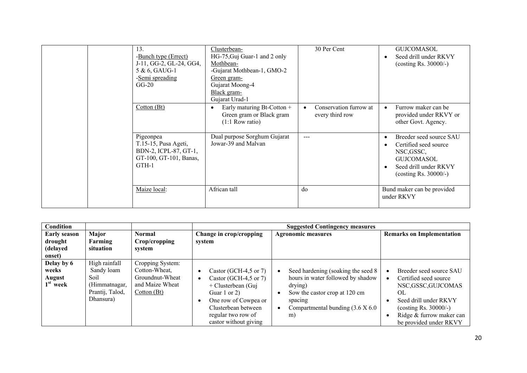| 13.<br>-Bunch type (Errect)<br>J-11, GG-2, GL-24, GG4,<br>5 & 6, GAUG-1<br>-Semi spreading<br>$GG-20$ | Clusterbean-<br>HG-75, Guj Guar-1 and 2 only<br>Mothbean-<br>-Gujarat Mothbean-1, GMO-2<br>Green gram-<br>Gujarat Moong-4<br>Black gram-<br>Gujarat Urad-1 | 30 Per Cent                               | <b>GUJCOMASOL</b><br>Seed drill under RKVY<br>(costing Rs. $30000/-$ )                                                                   |
|-------------------------------------------------------------------------------------------------------|------------------------------------------------------------------------------------------------------------------------------------------------------------|-------------------------------------------|------------------------------------------------------------------------------------------------------------------------------------------|
| Cotton (Bt)                                                                                           | Early maturing Bt-Cotton +<br>Green gram or Black gram<br>$(1:1$ Row ratio)                                                                                | Conservation furrow at<br>every third row | Furrow maker can be<br>provided under RKVY or<br>other Govt. Agency.                                                                     |
| Pigeonpea<br>T.15-15, Pusa Ageti,<br>BDN-2, ICPL-87, GT-1,<br>GT-100, GT-101, Banas,<br>GTH-1         | Dual purpose Sorghum Gujarat<br>Jowar-39 and Malvan                                                                                                        | $---$                                     | Breeder seed source SAU<br>Certified seed source<br>NSC, GSSC,<br><b>GUJCOMASOL</b><br>Seed drill under RKVY<br>(costing Rs. $30000/-$ ) |
| Maize local:                                                                                          | African tall                                                                                                                                               | do                                        | Bund maker can be provided<br>under RKVY                                                                                                 |

| Condition           |                      |                         |                         | <b>Suggested Contingency measures</b>    |                                    |
|---------------------|----------------------|-------------------------|-------------------------|------------------------------------------|------------------------------------|
| <b>Early season</b> | Major                | <b>Normal</b>           | Change in crop/cropping | <b>Agronomic measures</b>                | <b>Remarks on Implementation</b>   |
| drought<br>(delayed | Farming<br>situation | Crop/cropping<br>system | system                  |                                          |                                    |
| onset)              |                      |                         |                         |                                          |                                    |
| Delay by 6          | High rainfall        | Cropping System:        |                         |                                          |                                    |
| weeks               | Sandy loam           | Cotton-Wheat.           | Castor (GCH-4,5 or 7)   | Seed hardening (soaking the seed 8)      | Breeder seed source SAU            |
| August              | Soil                 | Groundnut-Wheat         | Castor (GCH-4,5 or 7)   | hours in water followed by shadow        | Certified seed source              |
| $1st$ week          | (Himmatnagar,        | and Maize Wheat         | + Clusterbean (Guj      | drying)                                  | NSC,GSSC,GUJCOMAS                  |
|                     | Prantij, Talod,      | Cotton (Bt)             | Guar 1 or 2)            | Sow the castor crop at 120 cm            | OL                                 |
|                     | Dhansura)            |                         | One row of Cowpea or    | spacing                                  | Seed drill under RKVY<br>$\bullet$ |
|                     |                      |                         | Clusterbean between     | Compartmental bunding $(3.6 \times 6.0)$ | (costing Rs. $30000/-$ )           |
|                     |                      |                         | regular two row of      | m)                                       | Ridge & furrow maker can           |
|                     |                      |                         | castor without giving   |                                          | be provided under RKVY             |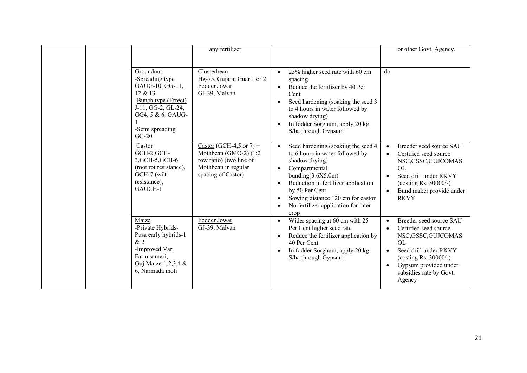|  |                                                                                                                                                              |                                                                                                                                      | any fertilizer                                                                                                                                                                                                                                                                                                    |                                                                                                                                                                                                                                        | or other Govt. Agency.                                                                                                                                                                                                                                    |
|--|--------------------------------------------------------------------------------------------------------------------------------------------------------------|--------------------------------------------------------------------------------------------------------------------------------------|-------------------------------------------------------------------------------------------------------------------------------------------------------------------------------------------------------------------------------------------------------------------------------------------------------------------|----------------------------------------------------------------------------------------------------------------------------------------------------------------------------------------------------------------------------------------|-----------------------------------------------------------------------------------------------------------------------------------------------------------------------------------------------------------------------------------------------------------|
|  |                                                                                                                                                              |                                                                                                                                      |                                                                                                                                                                                                                                                                                                                   |                                                                                                                                                                                                                                        |                                                                                                                                                                                                                                                           |
|  | Groundnut<br>-Spreading type<br>GAUG-10, GG-11,<br>12 & 13.<br>-Bunch type (Errect)<br>J-11, GG-2, GL-24,<br>GG4, 5 & 6, GAUG-<br>-Semi spreading<br>$GG-20$ | Clusterbean<br>Hg-75, Gujarat Guar 1 or 2<br>Fodder Jowar<br>GJ-39, Malvan                                                           | 25% higher seed rate with 60 cm<br>$\bullet$<br>spacing<br>Reduce the fertilizer by 40 Per<br>Cent<br>Seed hardening (soaking the seed 3<br>$\bullet$<br>to 4 hours in water followed by<br>shadow drying)<br>In fodder Sorghum, apply 20 kg<br>$\bullet$<br>S/ha through Gypsum                                  | do                                                                                                                                                                                                                                     |                                                                                                                                                                                                                                                           |
|  | Castor<br>GCH-2,GCH-<br>3, GCH-5, GCH-6<br>(root rot resistance),<br>GCH-7 (wilt<br>resistance),<br>GAUCH-1                                                  | Castor (GCH-4,5 or 7) +<br>Mothbean (GMO-2) (1:2<br>row ratio) (two line of<br>Mothbean in regular<br>spacing of Castor)             | Seed hardening (soaking the seed 4<br>to 6 hours in water followed by<br>shadow drying)<br>Compartmental<br>$\bullet$<br>bunding(3.6X5.0m)<br>Reduction in fertilizer application<br>$\bullet$<br>by 50 Per Cent<br>Sowing distance 120 cm for castor<br>No fertilizer application for inter<br>$\bullet$<br>crop | Breeder seed source SAU<br>$\bullet$<br>Certified seed source<br>$\bullet$<br>NSC,GSSC,GUJCOMAS<br><b>OL</b><br>Seed drill under RKVY<br>$\bullet$<br>(costing Rs. $30000/-$ )<br>Bund maker provide under<br>$\bullet$<br><b>RKVY</b> |                                                                                                                                                                                                                                                           |
|  |                                                                                                                                                              | Maize<br>-Private Hybrids-<br>Pusa early hybrids-1<br>&2<br>-Improved Var.<br>Farm sameri,<br>Guj.Maize-1,2,3,4 &<br>6, Narmada moti | Fodder Jowar<br>GJ-39, Malvan                                                                                                                                                                                                                                                                                     | Wider spacing at 60 cm with 25<br>$\bullet$<br>Per Cent higher seed rate<br>Reduce the fertilizer application by<br>$\bullet$<br>40 Per Cent<br>In fodder Sorghum, apply 20 kg<br>$\bullet$<br>S/ha through Gypsum                     | Breeder seed source SAU<br>$\bullet$<br>Certified seed source<br>$\bullet$<br>NSC,GSSC,GUJCOMAS<br><b>OL</b><br>Seed drill under RKVY<br>$\bullet$<br>(costing Rs. $30000/-$ )<br>Gypsum provided under<br>$\bullet$<br>subsidies rate by Govt.<br>Agency |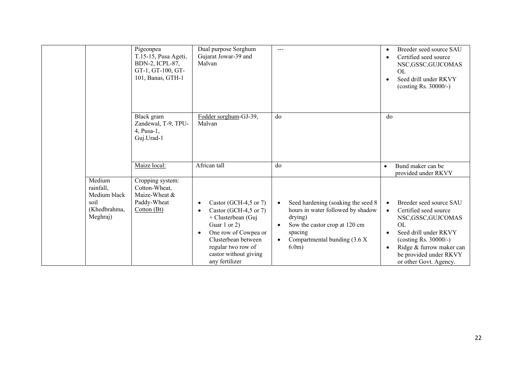|                                                                         | Pigeonpea<br>T.15-15, Pusa Ageti,<br>BDN-2, ICPL-87,<br>GT-1, GT-100, GT-<br>101, Banas, GTH-1 | Dual purpose Sorghum<br>Gujarat Jowar-39 and<br>Malvan                                                                                                                                                            | $---$                                                                                                                                                                                              | Breeder seed source SAU<br>$\bullet$<br>Certified seed source<br>$\bullet$<br>NSC,GSSC,GUJCOMAS<br>OL<br>Seed drill under RKVY<br>$\bullet$<br>(costing Rs. 30000/-)                                                                                                          |
|-------------------------------------------------------------------------|------------------------------------------------------------------------------------------------|-------------------------------------------------------------------------------------------------------------------------------------------------------------------------------------------------------------------|----------------------------------------------------------------------------------------------------------------------------------------------------------------------------------------------------|-------------------------------------------------------------------------------------------------------------------------------------------------------------------------------------------------------------------------------------------------------------------------------|
|                                                                         | Black gram<br>Zandewal, T-9, TPU-<br>4, Pusa-1,<br>Guj.Urad-1                                  | Fodder sorghum-GJ-39,<br>Malvan                                                                                                                                                                                   | do                                                                                                                                                                                                 | do                                                                                                                                                                                                                                                                            |
|                                                                         | Maize local:                                                                                   | African tall                                                                                                                                                                                                      | do                                                                                                                                                                                                 | Bund maker can be<br>$\bullet$<br>provided under RKVY                                                                                                                                                                                                                         |
| Medium<br>rainfall,<br>Medium black<br>soil<br>(Khedbrahma,<br>Meghraj) | Cropping system:<br>Cotton-Wheat,<br>Maize-Wheat &<br>Paddy-Wheat<br>Cotton (Bt)               | Castor (GCH-4,5 or 7)<br>Castor (GCH-4,5 or 7)<br>+ Clusterbean (Guj<br>Guar 1 or 2)<br>One row of Cowpea or<br>$\bullet$<br>Clusterbean between<br>regular two row of<br>castor without giving<br>any fertilizer | Seed hardening (soaking the seed 8<br>$\bullet$<br>hours in water followed by shadow<br>drying)<br>Sow the castor crop at 120 cm<br>spacing<br>Compartmental bunding $(3.6 \text{ X})$<br>$6.0m$ ) | Breeder seed source SAU<br>$\bullet$<br>Certified seed source<br>$\bullet$<br>NSC, GSSC, GUJCOMAS<br><b>OL</b><br>Seed drill under RKVY<br>$\bullet$<br>(costing Rs. $30000/-$ )<br>Ridge & furrow maker can<br>$\bullet$<br>be provided under RKVY<br>or other Govt. Agency. |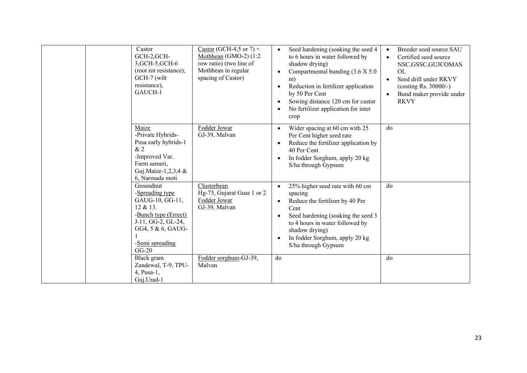| Castor<br>GCH-2, GCH-<br>3, GCH-5, GCH-6<br>(root rot resistance),<br>GCH-7 (wilt<br>resistance),<br>GAUCH-1                                                 | Castor (GCH-4,5 or 7) +<br>Mothbean (GMO-2) $(1:2)$<br>row ratio) (two line of<br>Mothbean in regular<br>spacing of Castor) | Seed hardening (soaking the seed 4<br>to 6 hours in water followed by<br>shadow drying)<br>Compartmental bunding (3.6 X 5.0)<br>m)<br>Reduction in fertilizer application<br>by 50 Per Cent<br>Sowing distance 120 cm for castor<br>No fertilizer application for inter<br>crop | Breeder seed source SAU<br>$\bullet$<br>Certified seed source<br>$\bullet$<br>NSC,GSSC,GUJCOMAS<br><b>OL</b><br>Seed drill under RKVY<br>(costing Rs. $30000/-$ )<br>Bund maker provide under<br>$\bullet$<br><b>RKVY</b> |
|--------------------------------------------------------------------------------------------------------------------------------------------------------------|-----------------------------------------------------------------------------------------------------------------------------|---------------------------------------------------------------------------------------------------------------------------------------------------------------------------------------------------------------------------------------------------------------------------------|---------------------------------------------------------------------------------------------------------------------------------------------------------------------------------------------------------------------------|
| Maize<br>-Private Hybrids-<br>Pusa early hybrids-1<br>&2<br>-Improved Var.<br>Farm sameri,<br>Guj.Maize-1,2,3,4 &<br>6, Narmada moti                         | Fodder Jowar<br>GJ-39, Malvan                                                                                               | Wider spacing at 60 cm with 25<br>$\bullet$<br>Per Cent higher seed rate<br>Reduce the fertilizer application by<br>40 Per Cent<br>In fodder Sorghum, apply 20 kg<br>S/ha through Gypsum                                                                                        | do                                                                                                                                                                                                                        |
| Groundnut<br>-Spreading type<br>GAUG-10, GG-11,<br>12 & 13.<br>-Bunch type (Errect)<br>J-11, GG-2, GL-24,<br>GG4, 5 & 6, GAUG-<br>-Semi spreading<br>$GG-20$ | Clusterbean<br>Hg-75, Gujarat Guar 1 or 2<br>Fodder Jowar<br>GJ-39, Malvan                                                  | 25% higher seed rate with 60 cm<br>$\bullet$<br>spacing<br>Reduce the fertilizer by 40 Per<br>Cent<br>Seed hardening (soaking the seed 3<br>to 4 hours in water followed by<br>shadow drying)<br>In fodder Sorghum, apply 20 kg<br>S/ha through Gypsum                          | do                                                                                                                                                                                                                        |
| Black gram<br>Zandewal, T-9, TPU-<br>4, Pusa-1,<br>Guj.Urad-1                                                                                                | Fodder sorghum-GJ-39,<br>Malvan                                                                                             | do                                                                                                                                                                                                                                                                              | do                                                                                                                                                                                                                        |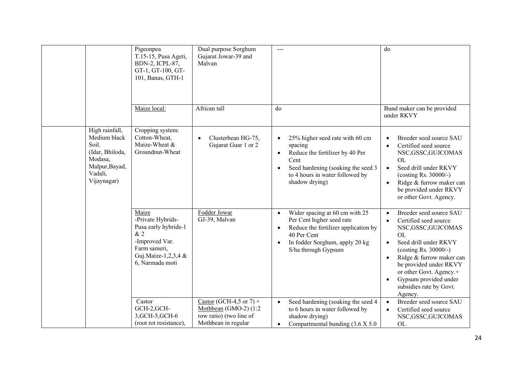|                                                                                                                   | Pigeonpea<br>T.15-15, Pusa Ageti,<br>BDN-2, ICPL-87,<br>GT-1, GT-100, GT-<br>101, Banas, GTH-1                                       | Dual purpose Sorghum<br>Gujarat Jowar-39 and<br>Malvan                                             | $\frac{1}{2}$                                                                                                                                                                                                      | do                                                                                                                                                                                                                                                                                                                            |
|-------------------------------------------------------------------------------------------------------------------|--------------------------------------------------------------------------------------------------------------------------------------|----------------------------------------------------------------------------------------------------|--------------------------------------------------------------------------------------------------------------------------------------------------------------------------------------------------------------------|-------------------------------------------------------------------------------------------------------------------------------------------------------------------------------------------------------------------------------------------------------------------------------------------------------------------------------|
|                                                                                                                   | Maize local:                                                                                                                         | African tall                                                                                       | do                                                                                                                                                                                                                 | Bund maker can be provided<br>under RKVY                                                                                                                                                                                                                                                                                      |
| High rainfall,<br>Medium black<br>Soil.<br>(Idar, Bhiloda,<br>Modasa,<br>Malpur, Bayad,<br>Vadali,<br>Vijaynagar) | Cropping system:<br>Cotton-Wheat,<br>Maize-Wheat &<br>Groundnut-Wheat                                                                | Clusterbean HG-75,<br>Gujarat Guar 1 or 2                                                          | 25% higher seed rate with 60 cm<br>$\bullet$<br>spacing<br>Reduce the fertilizer by 40 Per<br>$\bullet$<br>Cent<br>Seed hardening (soaking the seed 3<br>to 4 hours in water followed by<br>shadow drying)         | Breeder seed source SAU<br>Certified seed source<br>NSC, GSSC, GUJCOMAS<br><b>OL</b><br>Seed drill under RKVY<br>$\bullet$<br>(costing Rs. 30000/-)<br>Ridge & furrow maker can<br>$\bullet$<br>be provided under RKVY<br>or other Govt. Agency.                                                                              |
|                                                                                                                   | Maize<br>-Private Hybrids-<br>Pusa early hybrids-1<br>&2<br>-Improved Var.<br>Farm sameri,<br>Guj.Maize-1,2,3,4 &<br>6, Narmada moti | Fodder Jowar<br>GJ-39, Malvan                                                                      | Wider spacing at 60 cm with 25<br>$\bullet$<br>Per Cent higher seed rate<br>Reduce the fertilizer application by<br>$\bullet$<br>40 Per Cent<br>In fodder Sorghum, apply 20 kg<br>$\bullet$<br>S/ha through Gypsum | Breeder seed source SAU<br>$\bullet$<br>Certified seed source<br>NSC, GSSC, GUJCOMAS<br><b>OL</b><br>Seed drill under RKVY<br>$\bullet$<br>(costing Rs. 30000/-)<br>Ridge & furrow maker can<br>$\bullet$<br>be provided under RKVY<br>or other Govt. Agency.+<br>Gypsum provided under<br>subsidies rate by Govt.<br>Agency. |
|                                                                                                                   | Castor<br>GCH-2,GCH-<br>3, GCH-5, GCH-6<br>(root rot resistance),                                                                    | Castor (GCH-4,5 or 7) +<br>Mothbean (GMO-2) (1:2<br>row ratio) (two line of<br>Mothbean in regular | Seed hardening (soaking the seed 4<br>$\bullet$<br>to 6 hours in water followed by<br>shadow drying)<br>Compartmental bunding (3.6 X 5.0<br>$\bullet$                                                              | Breeder seed source SAU<br>$\bullet$<br>Certified seed source<br>$\bullet$<br>NSC,GSSC,GUJCOMAS<br><b>OL</b>                                                                                                                                                                                                                  |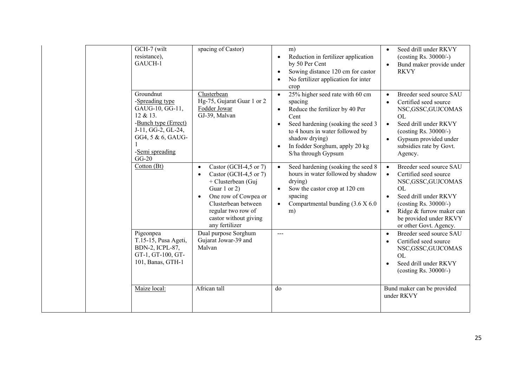| GCH-7 (wilt<br>resistance),<br>GAUCH-1<br>Groundnut<br>-Spreading type<br>GAUG-10, GG-11,<br>12 & 13.<br>-Bunch type (Errect)<br>J-11, GG-2, GL-24,<br>GG4, 5 & 6, GAUG- | spacing of Castor)<br>Clusterbean<br>Hg-75, Gujarat Guar 1 or 2<br>Fodder Jowar<br>GJ-39, Malvan                                                                                                                                            | m)<br>Reduction in fertilizer application<br>$\bullet$<br>by 50 Per Cent<br>Sowing distance 120 cm for castor<br>$\bullet$<br>No fertilizer application for inter<br>crop<br>25% higher seed rate with 60 cm<br>$\bullet$<br>spacing<br>Reduce the fertilizer by 40 Per<br>$\bullet$<br>Cent<br>Seed hardening (soaking the seed 3<br>to 4 hours in water followed by<br>shadow drying) | Seed drill under RKVY<br>$\bullet$<br>(costing Rs. $30000/-$ )<br>Bund maker provide under<br><b>RKVY</b><br>Breeder seed source SAU<br>$\bullet$<br>Certified seed source<br>NSC, GSSC, GUJCOMAS<br><b>OL</b><br>Seed drill under RKVY<br>$\bullet$<br>(costing Rs. 30000/-)<br>Gypsum provided under<br>$\bullet$ |
|--------------------------------------------------------------------------------------------------------------------------------------------------------------------------|---------------------------------------------------------------------------------------------------------------------------------------------------------------------------------------------------------------------------------------------|-----------------------------------------------------------------------------------------------------------------------------------------------------------------------------------------------------------------------------------------------------------------------------------------------------------------------------------------------------------------------------------------|---------------------------------------------------------------------------------------------------------------------------------------------------------------------------------------------------------------------------------------------------------------------------------------------------------------------|
| -Semi spreading<br>$GG-20$<br>Cotton (Bt)                                                                                                                                | Castor (GCH-4,5 or 7)<br>$\bullet$<br>Castor (GCH-4,5 or 7)<br>$\bullet$<br>+ Clusterbean (Guj<br>Guar 1 or 2)<br>One row of Cowpea or<br>$\bullet$<br>Clusterbean between<br>regular two row of<br>castor without giving<br>any fertilizer | In fodder Sorghum, apply 20 kg<br>S/ha through Gypsum<br>Seed hardening (soaking the seed 8)<br>$\bullet$<br>hours in water followed by shadow<br>drying)<br>Sow the castor crop at 120 cm<br>$\bullet$<br>spacing<br>Compartmental bunding (3.6 X 6.0<br>$\bullet$<br>m)                                                                                                               | subsidies rate by Govt.<br>Agency.<br>Breeder seed source SAU<br>$\bullet$<br>Certified seed source<br>$\bullet$<br>NSC, GSSC, GUJCOMAS<br><b>OL</b><br>Seed drill under RKVY<br>$\bullet$<br>(costing Rs. $30000/-$ )<br>Ridge & furrow maker can<br>$\bullet$<br>be provided under RKVY<br>or other Govt. Agency. |
| Pigeonpea<br>T.15-15, Pusa Ageti,<br>BDN-2, ICPL-87,<br>GT-1, GT-100, GT-<br>101, Banas, GTH-1                                                                           | Dual purpose Sorghum<br>Gujarat Jowar-39 and<br>Malvan                                                                                                                                                                                      | $---$                                                                                                                                                                                                                                                                                                                                                                                   | Breeder seed source SAU<br>$\bullet$<br>Certified seed source<br>NSC, GSSC, GUJCOMAS<br><b>OL</b><br>Seed drill under RKVY<br>(costing Rs. $30000/-$ )                                                                                                                                                              |
| Maize local:                                                                                                                                                             | African tall                                                                                                                                                                                                                                | do                                                                                                                                                                                                                                                                                                                                                                                      | Bund maker can be provided<br>under RKVY                                                                                                                                                                                                                                                                            |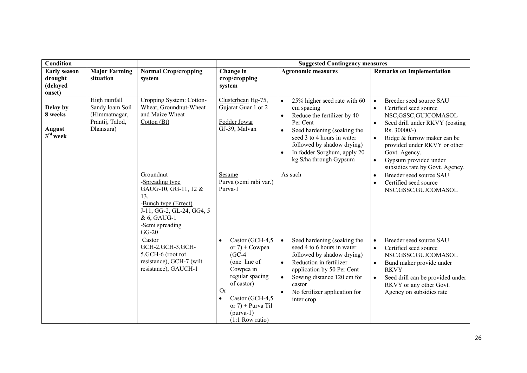| <b>Condition</b>                                     |                                                                                   |                                                                                                                                                               |                                                                                                                                                                                                                         | <b>Suggested Contingency measures</b>                                                                                                                                                                                                                                                         |                                                                                                                                                                                                                                                                                                                                          |
|------------------------------------------------------|-----------------------------------------------------------------------------------|---------------------------------------------------------------------------------------------------------------------------------------------------------------|-------------------------------------------------------------------------------------------------------------------------------------------------------------------------------------------------------------------------|-----------------------------------------------------------------------------------------------------------------------------------------------------------------------------------------------------------------------------------------------------------------------------------------------|------------------------------------------------------------------------------------------------------------------------------------------------------------------------------------------------------------------------------------------------------------------------------------------------------------------------------------------|
| <b>Early season</b><br>drought<br>(delayed<br>onset) | <b>Major Farming</b><br>situation                                                 | <b>Normal Crop/cropping</b><br>system                                                                                                                         | Change in<br>crop/cropping<br>system                                                                                                                                                                                    | <b>Agronomic measures</b>                                                                                                                                                                                                                                                                     | <b>Remarks on Implementation</b>                                                                                                                                                                                                                                                                                                         |
| Delay by<br>8 weeks<br>August<br>$3rd$ week          | High rainfall<br>Sandy loam Soil<br>(Himmatnagar,<br>Prantij, Talod,<br>Dhansura) | Cropping System: Cotton-<br>Wheat, Groundnut-Wheat<br>and Maize Wheat<br>Cotton (Bt)                                                                          | Clusterbean Hg-75,<br>Gujarat Guar 1 or 2<br>Fodder Jowar<br>GJ-39, Malvan                                                                                                                                              | 25% higher seed rate with 60<br>$\bullet$<br>cm spacing<br>Reduce the fertilizer by 40<br>$\bullet$<br>Per Cent<br>Seed hardening (soaking the<br>$\bullet$<br>seed 3 to 4 hours in water<br>followed by shadow drying)<br>In fodder Sorghum, apply 20<br>$\bullet$<br>kg S/ha through Gypsum | Breeder seed source SAU<br>$\bullet$<br>Certified seed source<br>$\bullet$<br>NSC, GSSC, GUJCOMASOL<br>Seed drill under RKVY (costing<br>$\bullet$<br>Rs. 30000/-)<br>Ridge & furrow maker can be<br>$\bullet$<br>provided under RKVY or other<br>Govt. Agency.<br>Gypsum provided under<br>$\bullet$<br>subsidies rate by Govt. Agency. |
|                                                      |                                                                                   | Groundnut<br>-Spreading type<br>GAUG-10, GG-11, 12 &<br>13.<br>-Bunch type (Errect)<br>J-11, GG-2, GL-24, GG4, 5<br>& 6, GAUG-1<br>-Semi spreading<br>$GG-20$ | Sesame<br>Purva (semi rabi var.)<br>Purva-1                                                                                                                                                                             | As such                                                                                                                                                                                                                                                                                       | Breeder seed source SAU<br>$\bullet$<br>Certified seed source<br>$\bullet$<br>NSC,GSSC,GUJCOMASOL                                                                                                                                                                                                                                        |
|                                                      |                                                                                   | Castor<br>GCH-2, GCH-3, GCH-<br>5, GCH-6 (root rot<br>resistance), GCH-7 (wilt<br>resistance), GAUCH-1                                                        | Castor (GCH-4,5<br>or $7$ ) + Cowpea<br>$(GC-4)$<br>(one line of<br>Cowpea in<br>regular spacing<br>of castor)<br><b>Or</b><br>Castor (GCH-4,5<br>$\bullet$<br>or $7$ ) + Purva Til<br>$(purva-1)$<br>$(1:1$ Row ratio) | Seed hardening (soaking the<br>$\bullet$<br>seed 4 to 6 hours in water<br>followed by shadow drying)<br>Reduction in fertilizer<br>$\bullet$<br>application by 50 Per Cent<br>Sowing distance 120 cm for<br>$\bullet$<br>castor<br>No fertilizer application for<br>inter crop                | Breeder seed source SAU<br>$\bullet$<br>Certified seed source<br>$\bullet$<br>NSC, GSSC, GUJCOMASOL<br>Bund maker provide under<br>$\bullet$<br><b>RKVY</b><br>Seed drill can be provided under<br>$\bullet$<br>RKVY or any other Govt.<br>Agency on subsidies rate                                                                      |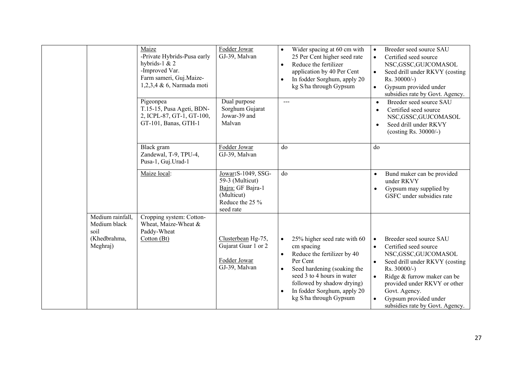|                                                                      | Maize<br>-Private Hybrids-Pusa early<br>hybrids-1 $& 2$<br>-Improved Var.<br>Farm sameri, Guj.Maize-<br>1,2,3,4 & 6, Narmada moti<br>Pigeonpea | Fodder Jowar<br>GJ-39, Malvan<br>Dual purpose                                                             | Wider spacing at 60 cm with<br>$\bullet$<br>25 Per Cent higher seed rate<br>Reduce the fertilizer<br>$\bullet$<br>application by 40 Per Cent<br>In fodder Sorghum, apply 20<br>$\bullet$<br>kg S/ha through Gypsum<br>$---$ | Breeder seed source SAU<br>$\bullet$<br>Certified seed source<br>$\bullet$<br>NSC,GSSC,GUJCOMASOL<br>Seed drill under RKVY (costing<br>$\bullet$<br>$Rs. 30000/-$ )<br>Gypsum provided under<br>$\bullet$<br>subsidies rate by Govt. Agency.<br>Breeder seed source SAU<br>$\bullet$ |
|----------------------------------------------------------------------|------------------------------------------------------------------------------------------------------------------------------------------------|-----------------------------------------------------------------------------------------------------------|-----------------------------------------------------------------------------------------------------------------------------------------------------------------------------------------------------------------------------|--------------------------------------------------------------------------------------------------------------------------------------------------------------------------------------------------------------------------------------------------------------------------------------|
|                                                                      | T.15-15, Pusa Ageti, BDN-<br>2, ICPL-87, GT-1, GT-100,<br>GT-101, Banas, GTH-1                                                                 | Sorghum Gujarat<br>Jowar-39 and<br>Malvan                                                                 |                                                                                                                                                                                                                             | Certified seed source<br>$\bullet$<br>NSC, GSSC, GUJCOMASOL<br>Seed drill under RKVY<br>$\bullet$<br>(costing Rs. 30000/-)                                                                                                                                                           |
|                                                                      | Black gram<br>Zandewal, T-9, TPU-4,<br>Pusa-1, Guj.Urad-1                                                                                      | Fodder Jowar<br>GJ-39, Malvan                                                                             | do                                                                                                                                                                                                                          | do                                                                                                                                                                                                                                                                                   |
|                                                                      | Maize local:                                                                                                                                   | Jowar: S-1049, SSG-<br>59-3 (Multicut)<br>Bajra: GF Bajra-1<br>(Multicut)<br>Reduce the 25 %<br>seed rate | do                                                                                                                                                                                                                          | Bund maker can be provided<br>$\bullet$<br>under RKVY<br>Gypsum may supplied by<br>$\bullet$<br>GSFC under subsidies rate                                                                                                                                                            |
| Medium rainfall,<br>Medium black<br>soil<br>(Khedbrahma,<br>Meghraj) | Cropping system: Cotton-<br>Wheat, Maize-Wheat &<br>Paddy-Wheat<br>Cotton (Bt)                                                                 | Clusterbean Hg-75,<br>Gujarat Guar 1 or 2<br>Fodder Jowar<br>GJ-39, Malvan                                | 25% higher seed rate with 60<br>$\bullet$<br>cm spacing<br>Reduce the fertilizer by 40<br>$\bullet$<br>Per Cent<br>Seed hardening (soaking the<br>$\bullet$<br>seed 3 to 4 hours in water<br>followed by shadow drying)     | Breeder seed source SAU<br>$\bullet$<br>Certified seed source<br>$\bullet$<br>NSC,GSSC,GUJCOMASOL<br>Seed drill under RKVY (costing<br>$\bullet$<br>Rs. 30000/-)<br>Ridge & furrow maker can be<br>$\bullet$<br>provided under RKVY or other                                         |
|                                                                      |                                                                                                                                                |                                                                                                           | In fodder Sorghum, apply 20<br>$\bullet$<br>kg S/ha through Gypsum                                                                                                                                                          | Govt. Agency.<br>Gypsum provided under<br>$\bullet$<br>subsidies rate by Govt. Agency.                                                                                                                                                                                               |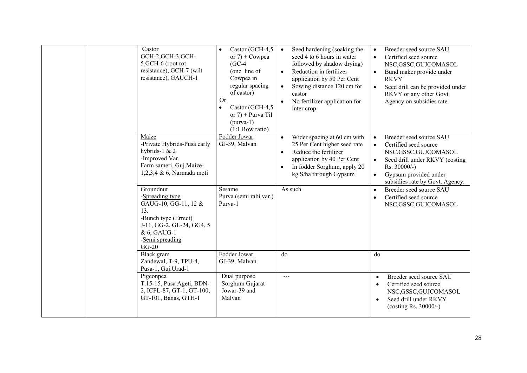| Castor<br>GCH-2,GCH-3,GCH-<br>5, GCH-6 (root rot<br>resistance), GCH-7 (wilt<br>resistance), GAUCH-1                                                          | Castor (GCH-4,5<br>$\bullet$<br>or $7$ ) + Cowpea<br>$(GC-4)$<br>(one line of<br>Cowpea in<br>regular spacing<br>of castor)<br>Or<br>Castor (GCH-4,5<br>$\bullet$<br>or $7$ ) + Purva Til<br>$(purva-1)$<br>$(1:1$ Row ratio) | Seed hardening (soaking the<br>$\bullet$<br>seed 4 to 6 hours in water<br>followed by shadow drying)<br>Reduction in fertilizer<br>$\bullet$<br>application by 50 Per Cent<br>Sowing distance 120 cm for<br>$\bullet$<br>castor<br>No fertilizer application for<br>inter crop | Breeder seed source SAU<br>$\bullet$<br>Certified seed source<br>$\bullet$<br>NSC,GSSC,GUJCOMASOL<br>Bund maker provide under<br>$\bullet$<br><b>RKVY</b><br>Seed drill can be provided under<br>$\bullet$<br>RKVY or any other Govt.<br>Agency on subsidies rate |
|---------------------------------------------------------------------------------------------------------------------------------------------------------------|-------------------------------------------------------------------------------------------------------------------------------------------------------------------------------------------------------------------------------|--------------------------------------------------------------------------------------------------------------------------------------------------------------------------------------------------------------------------------------------------------------------------------|-------------------------------------------------------------------------------------------------------------------------------------------------------------------------------------------------------------------------------------------------------------------|
| Maize<br>-Private Hybrids-Pusa early<br>hybrids-1 & 2<br>-Improved Var.<br>Farm sameri, Guj.Maize-<br>1,2,3,4 & 6, Narmada moti                               | Fodder Jowar<br>GJ-39, Malvan                                                                                                                                                                                                 | Wider spacing at 60 cm with<br>$\bullet$<br>25 Per Cent higher seed rate<br>Reduce the fertilizer<br>$\bullet$<br>application by 40 Per Cent<br>In fodder Sorghum, apply 20<br>$\bullet$<br>kg S/ha through Gypsum                                                             | Breeder seed source SAU<br>$\bullet$<br>Certified seed source<br>$\bullet$<br>NSC, GSSC, GUJCOMASOL<br>Seed drill under RKVY (costing<br>$\bullet$<br>Rs. 30000/-)<br>Gypsum provided under<br>$\bullet$<br>subsidies rate by Govt. Agency.                       |
| Groundnut<br>-Spreading type<br>GAUG-10, GG-11, 12 &<br>13.<br>-Bunch type (Errect)<br>J-11, GG-2, GL-24, GG4, 5<br>& 6, GAUG-1<br>-Semi spreading<br>$GG-20$ | Sesame<br>Purva (semi rabi var.)<br>Purva-1                                                                                                                                                                                   | As such                                                                                                                                                                                                                                                                        | Breeder seed source SAU<br>$\bullet$<br>Certified seed source<br>$\bullet$<br>NSC,GSSC,GUJCOMASOL                                                                                                                                                                 |
| Black gram<br>Zandewal, T-9, TPU-4,<br>Pusa-1, Guj.Urad-1<br>Pigeonpea<br>T.15-15, Pusa Ageti, BDN-<br>2, ICPL-87, GT-1, GT-100,<br>GT-101, Banas, GTH-1      | Fodder Jowar<br>GJ-39, Malvan<br>Dual purpose<br>Sorghum Gujarat<br>Jowar-39 and<br>Malvan                                                                                                                                    | do<br>---                                                                                                                                                                                                                                                                      | do<br>Breeder seed source SAU<br>$\bullet$<br>Certified seed source<br>$\bullet$<br>NSC,GSSC,GUJCOMASOL<br>Seed drill under RKVY<br>$\bullet$<br>(costing Rs. 30000/-)                                                                                            |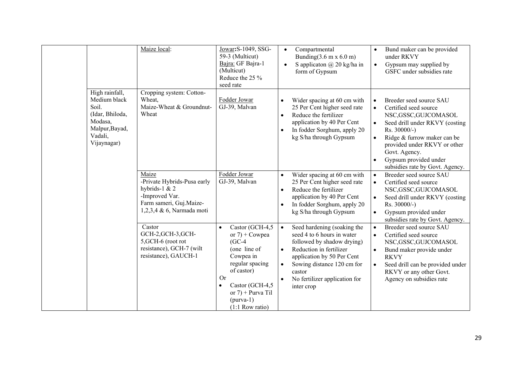|                                                                                                                   | Maize local:                                                                                                                    | Jowar: S-1049, SSG-<br>59-3 (Multicut)<br>Bajra: GF Bajra-1<br>(Multicut)<br>Reduce the 25 %<br>seed rate                                                                                           | Compartmental<br>$\bullet$<br>Bunding $(3.6 \text{ m x } 6.0 \text{ m})$<br>S applicaton $\omega$ 20 kg/ha in<br>$\bullet$<br>form of Gypsum                                                                                                                                   | Bund maker can be provided<br>$\bullet$<br>under RKVY<br>Gypsum may supplied by<br>$\bullet$<br>GSFC under subsidies rate                                                                                                                                                                                                 |
|-------------------------------------------------------------------------------------------------------------------|---------------------------------------------------------------------------------------------------------------------------------|-----------------------------------------------------------------------------------------------------------------------------------------------------------------------------------------------------|--------------------------------------------------------------------------------------------------------------------------------------------------------------------------------------------------------------------------------------------------------------------------------|---------------------------------------------------------------------------------------------------------------------------------------------------------------------------------------------------------------------------------------------------------------------------------------------------------------------------|
| High rainfall,<br>Medium black<br>Soil.<br>(Idar, Bhiloda,<br>Modasa,<br>Malpur, Bayad,<br>Vadali,<br>Vijaynagar) | Cropping system: Cotton-<br>Wheat,<br>Maize-Wheat & Groundnut-<br>Wheat                                                         | Fodder Jowar<br>GJ-39, Malvan                                                                                                                                                                       | Wider spacing at 60 cm with<br>25 Per Cent higher seed rate<br>Reduce the fertilizer<br>$\bullet$<br>application by 40 Per Cent<br>In fodder Sorghum, apply 20<br>$\bullet$<br>kg S/ha through Gypsum                                                                          | Breeder seed source SAU<br>Certified seed source<br>$\bullet$<br>NSC,GSSC,GUJCOMASOL<br>Seed drill under RKVY (costing<br>$\bullet$<br>Rs. 30000/-)<br>Ridge & furrow maker can be<br>$\bullet$<br>provided under RKVY or other<br>Govt. Agency.<br>Gypsum provided under<br>$\bullet$<br>subsidies rate by Govt. Agency. |
|                                                                                                                   | Maize<br>-Private Hybrids-Pusa early<br>hybrids-1 & 2<br>-Improved Var.<br>Farm sameri, Guj.Maize-<br>1,2,3,4 & 6, Narmada moti | Fodder Jowar<br>GJ-39, Malvan                                                                                                                                                                       | Wider spacing at 60 cm with<br>$\bullet$<br>25 Per Cent higher seed rate<br>Reduce the fertilizer<br>$\bullet$<br>application by 40 Per Cent<br>In fodder Sorghum, apply 20<br>$\bullet$<br>kg S/ha through Gypsum                                                             | Breeder seed source SAU<br>$\bullet$<br>Certified seed source<br>$\bullet$<br>NSC,GSSC,GUJCOMASOL<br>Seed drill under RKVY (costing<br>$\bullet$<br>Rs. 30000/-)<br>Gypsum provided under<br>$\bullet$<br>subsidies rate by Govt. Agency.                                                                                 |
|                                                                                                                   | Castor<br>GCH-2, GCH-3, GCH-<br>5, GCH-6 (root rot<br>resistance), GCH-7 (wilt<br>resistance), GAUCH-1                          | Castor (GCH-4,5<br>or $7$ ) + Cowpea<br>$(GC-4)$<br>(one line of<br>Cowpea in<br>regular spacing<br>of castor)<br>Or<br>Castor (GCH-4,5<br>or $7$ ) + Purva Til<br>$(purva-1)$<br>$(1:1$ Row ratio) | Seed hardening (soaking the<br>$\bullet$<br>seed 4 to 6 hours in water<br>followed by shadow drying)<br>Reduction in fertilizer<br>$\bullet$<br>application by 50 Per Cent<br>Sowing distance 120 cm for<br>$\bullet$<br>castor<br>No fertilizer application for<br>inter crop | Breeder seed source SAU<br>$\bullet$<br>Certified seed source<br>$\bullet$<br>NSC, GSSC, GUJCOMASOL<br>Bund maker provide under<br>$\bullet$<br><b>RKVY</b><br>Seed drill can be provided under<br>$\bullet$<br>RKVY or any other Govt.<br>Agency on subsidies rate                                                       |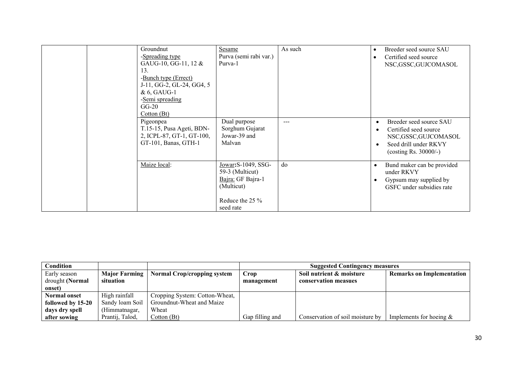| Groundnut<br>-Spreading type<br>GAUG-10, GG-11, 12 &<br>13.<br>-Bunch type (Errect)<br>J-11, GG-2, GL-24, GG4, 5<br>& 6, GAUG-1<br>-Semi spreading<br>$GG-20$<br>Cotton (Bt) | Sesame<br>Purva (semi rabi var.)<br>Purva-1                                                                  | As such | Breeder seed source SAU<br>Certified seed source<br>NSC,GSSC,GUJCOMASOL                                                                                             |
|------------------------------------------------------------------------------------------------------------------------------------------------------------------------------|--------------------------------------------------------------------------------------------------------------|---------|---------------------------------------------------------------------------------------------------------------------------------------------------------------------|
| Pigeonpea<br>T.15-15, Pusa Ageti, BDN-<br>2, ICPL-87, GT-1, GT-100,<br>GT-101, Banas, GTH-1                                                                                  | Dual purpose<br>Sorghum Gujarat<br>Jowar-39 and<br>Malvan                                                    | $---$   | Breeder seed source SAU<br>$\bullet$<br>Certified seed source<br>$\bullet$<br>NSC,GSSC,GUJCOMASOL<br>Seed drill under RKVY<br>$\bullet$<br>(costing Rs. $30000/-$ ) |
| Maize local:                                                                                                                                                                 | Jowar: S-1049, SSG-<br>59-3 (Multicut)<br>Bajra: GF Bajra-1<br>(Multicut)<br>Reduce the 25 $\%$<br>seed rate | do      | Bund maker can be provided<br>٠<br>under RKVY<br>Gypsum may supplied by<br>GSFC under subsidies rate                                                                |

| Condition           |                      |                                    | <b>Suggested Contingency measures</b> |                                  |                                  |  |
|---------------------|----------------------|------------------------------------|---------------------------------------|----------------------------------|----------------------------------|--|
| Early season        | <b>Major Farming</b> | <b>Normal Crop/cropping system</b> | Crop                                  | Soil nutrient & moisture         | <b>Remarks on Implementation</b> |  |
| drought (Normal     | situation            |                                    | management                            | conservation measues             |                                  |  |
| onset)              |                      |                                    |                                       |                                  |                                  |  |
| <b>Normal onset</b> | High rainfall        | Cropping System: Cotton-Wheat,     |                                       |                                  |                                  |  |
| followed by 15-20   | Sandy loam Soil      | Groundnut-Wheat and Maize          |                                       |                                  |                                  |  |
| days dry spell      | (Himmatnagar,        | Wheat                              |                                       |                                  |                                  |  |
| after sowing        | Prantij, Talod,      | Cotton (Bt)                        | Gap filling and                       | Conservation of soil moisture by | Implements for hoeing $&$        |  |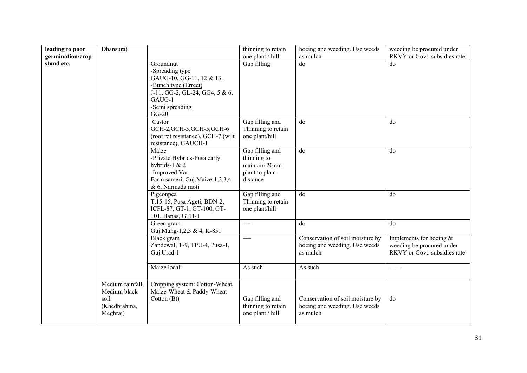| leading to poor  | Dhansura)        |                                                            | thinning to retain                     | hoeing and weeding. Use weeds             | weeding be procured under    |
|------------------|------------------|------------------------------------------------------------|----------------------------------------|-------------------------------------------|------------------------------|
| germination/crop |                  |                                                            | one plant / hill                       | as mulch                                  | RKVY or Govt. subsidies rate |
| stand etc.       |                  | Groundnut                                                  | Gap filling                            | do                                        | do                           |
|                  |                  | -Spreading type<br>GAUG-10, GG-11, 12 & 13.                |                                        |                                           |                              |
|                  |                  | -Bunch type (Errect)                                       |                                        |                                           |                              |
|                  |                  | J-11, GG-2, GL-24, GG4, 5 & 6,                             |                                        |                                           |                              |
|                  |                  | GAUG-1                                                     |                                        |                                           |                              |
|                  |                  | -Semi spreading<br>$GG-20$                                 |                                        |                                           |                              |
|                  |                  | Castor                                                     | Gap filling and                        | do                                        | do                           |
|                  |                  | GCH-2, GCH-3, GCH-5, GCH-6                                 | Thinning to retain                     |                                           |                              |
|                  |                  | (root rot resistance), GCH-7 (wilt<br>resistance), GAUCH-1 | one plant/hill                         |                                           |                              |
|                  |                  | Maize                                                      | Gap filling and                        | do                                        | do                           |
|                  |                  | -Private Hybrids-Pusa early                                | thinning to                            |                                           |                              |
|                  |                  | hybrids-1 $& 2$                                            | maintain 20 cm                         |                                           |                              |
|                  |                  | -Improved Var.                                             | plant to plant                         |                                           |                              |
|                  |                  | Farm sameri, Guj.Maize-1,2,3,4                             | distance                               |                                           |                              |
|                  |                  | & 6, Narmada moti                                          |                                        |                                           |                              |
|                  |                  | Pigeonpea<br>T.15-15, Pusa Ageti, BDN-2,                   | Gap filling and<br>Thinning to retain  | do                                        | do                           |
|                  |                  | ICPL-87, GT-1, GT-100, GT-                                 | one plant/hill                         |                                           |                              |
|                  |                  | 101, Banas, GTH-1                                          |                                        |                                           |                              |
|                  |                  | Green gram                                                 | $---$                                  | do                                        | do                           |
|                  |                  | Guj.Mung-1,2,3 & 4, K-851                                  |                                        |                                           |                              |
|                  |                  | Black gram                                                 | $---$                                  | Conservation of soil moisture by          | Implements for hoeing $&$    |
|                  |                  | Zandewal, T-9, TPU-4, Pusa-1,                              |                                        | hoeing and weeding. Use weeds             | weeding be procured under    |
|                  |                  | Guj.Urad-1                                                 |                                        | as mulch                                  | RKVY or Govt. subsidies rate |
|                  |                  | Maize local:                                               | As such                                | As such                                   | $--- -$                      |
|                  |                  |                                                            |                                        |                                           |                              |
|                  | Medium rainfall, | Cropping system: Cotton-Wheat,                             |                                        |                                           |                              |
|                  | Medium black     | Maize-Wheat & Paddy-Wheat                                  |                                        |                                           |                              |
|                  | soil             | Cotton (Bt)                                                | Gap filling and                        | Conservation of soil moisture by          | do                           |
|                  | (Khedbrahma,     |                                                            | thinning to retain<br>one plant / hill | hoeing and weeding. Use weeds<br>as mulch |                              |
|                  | Meghraj)         |                                                            |                                        |                                           |                              |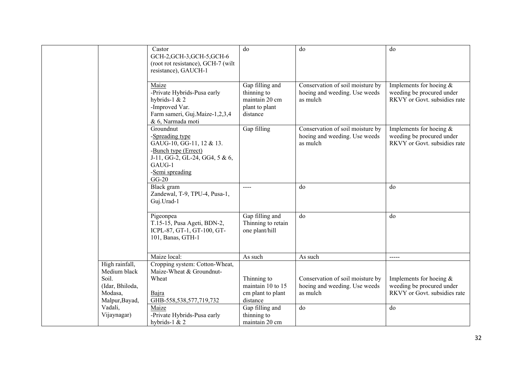|                                     | Castor<br>GCH-2, GCH-3, GCH-5, GCH-6<br>(root rot resistance), GCH-7 (wilt<br>resistance), GAUCH-1                                                         | do                                                                             | do                                                                            | do                                                                                     |
|-------------------------------------|------------------------------------------------------------------------------------------------------------------------------------------------------------|--------------------------------------------------------------------------------|-------------------------------------------------------------------------------|----------------------------------------------------------------------------------------|
|                                     | Maize<br>-Private Hybrids-Pusa early<br>hybrids-1 $& 2$<br>-Improved Var.<br>Farm sameri, Guj.Maize-1,2,3,4<br>& 6, Narmada moti                           | Gap filling and<br>thinning to<br>maintain 20 cm<br>plant to plant<br>distance | Conservation of soil moisture by<br>hoeing and weeding. Use weeds<br>as mulch | Implements for hoeing $&$<br>weeding be procured under<br>RKVY or Govt. subsidies rate |
|                                     | Groundnut<br>-Spreading type<br>GAUG-10, GG-11, 12 & 13.<br>-Bunch type (Errect)<br>J-11, GG-2, GL-24, GG4, 5 & 6,<br>GAUG-1<br>-Semi spreading<br>$GG-20$ | Gap filling                                                                    | Conservation of soil moisture by<br>hoeing and weeding. Use weeds<br>as mulch | Implements for hoeing $&$<br>weeding be procured under<br>RKVY or Govt. subsidies rate |
|                                     | Black gram<br>Zandewal, T-9, TPU-4, Pusa-1,<br>Guj.Urad-1                                                                                                  |                                                                                | do                                                                            | do                                                                                     |
|                                     | Pigeonpea<br>T.15-15, Pusa Ageti, BDN-2,<br>ICPL-87, GT-1, GT-100, GT-<br>101, Banas, GTH-1                                                                | Gap filling and<br>Thinning to retain<br>one plant/hill                        | do                                                                            | do                                                                                     |
|                                     | Maize local:                                                                                                                                               | As such                                                                        | As such                                                                       | -----                                                                                  |
| High rainfall,<br>Medium black      | Cropping system: Cotton-Wheat,<br>Maize-Wheat & Groundnut-                                                                                                 |                                                                                |                                                                               |                                                                                        |
| Soil.<br>(Idar, Bhiloda,<br>Modasa, | Wheat<br>Bajra                                                                                                                                             | Thinning to<br>maintain 10 to 15<br>cm plant to plant                          | Conservation of soil moisture by<br>hoeing and weeding. Use weeds<br>as mulch | Implements for hoeing $&$<br>weeding be procured under<br>RKVY or Govt. subsidies rate |
| Malpur, Bayad,                      | GHB-558,538,577,719,732                                                                                                                                    | distance                                                                       |                                                                               |                                                                                        |
| Vadali,<br>Vijaynagar)              | Maize<br>-Private Hybrids-Pusa early                                                                                                                       | Gap filling and<br>thinning to                                                 | do                                                                            | do                                                                                     |
|                                     | hybrids-1 & 2                                                                                                                                              | maintain 20 cm                                                                 |                                                                               |                                                                                        |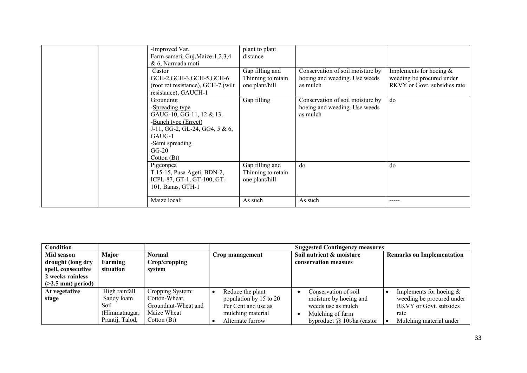| -Improved Var.<br>Farm sameri, Guj.Maize-1,2,3,4<br>& 6, Narmada moti<br>Castor                                                                                              | plant to plant<br>distance<br>Gap filling and           | Conservation of soil moisture by                                              | Implements for hoeing $&$                                 |
|------------------------------------------------------------------------------------------------------------------------------------------------------------------------------|---------------------------------------------------------|-------------------------------------------------------------------------------|-----------------------------------------------------------|
| GCH-2, GCH-3, GCH-5, GCH-6<br>(root rot resistance), GCH-7 (wilt)<br>resistance), GAUCH-1                                                                                    | Thinning to retain<br>one plant/hill                    | hoeing and weeding. Use weeds<br>as mulch                                     | weeding be procured under<br>RKVY or Govt. subsidies rate |
| Groundnut<br>-Spreading type<br>GAUG-10, GG-11, 12 & 13.<br>-Bunch type (Errect)<br>J-11, GG-2, GL-24, GG4, $5 & 6$ ,<br>GAUG-1<br>-Semi spreading<br>$GG-20$<br>Cotton (Bt) | Gap filling                                             | Conservation of soil moisture by<br>hoeing and weeding. Use weeds<br>as mulch | do                                                        |
| Pigeonpea<br>T.15-15, Pusa Ageti, BDN-2,<br>ICPL-87, GT-1, GT-100, GT-<br>101, Banas, GTH-1                                                                                  | Gap filling and<br>Thinning to retain<br>one plant/hill | do                                                                            | do                                                        |
| Maize local:                                                                                                                                                                 | As such                                                 | As such                                                                       | -----                                                     |

| Condition                                                                                         |                               |                                      |                                               | <b>Suggested Contingency measures</b>            |                                                            |
|---------------------------------------------------------------------------------------------------|-------------------------------|--------------------------------------|-----------------------------------------------|--------------------------------------------------|------------------------------------------------------------|
| Mid season<br>drought (long dry<br>spell, consecutive<br>2 weeks rainless<br>$($ >2.5 mm) period) | Major<br>Farming<br>situation | Normal<br>Crop/cropping<br>svstem    | Crop management                               | Soil nutrient & moisture<br>conservation measues | <b>Remarks on Implementation</b>                           |
| At vegetative                                                                                     | High rainfall                 | Cropping System:                     | Reduce the plant                              | Conservation of soil                             | Implements for hoeing $&$                                  |
| stage                                                                                             | Sandy loam<br>Soil            | Cotton-Wheat,<br>Groundnut-Wheat and | population by 15 to 20<br>Per Cent and use as | moisture by hoeing and<br>weeds use as mulch     | weeding be procured under<br><b>RKVY</b> or Govt. subsides |
|                                                                                                   | (Himmatnagar,                 | Maize Wheat                          | mulching material                             | Mulching of farm                                 | rate                                                       |
|                                                                                                   | Prantij, Talod,               | Cotton (Bt)                          | Alternate furrow                              | byproduct $\omega$ 10t/ha (castor                | Mulching material under                                    |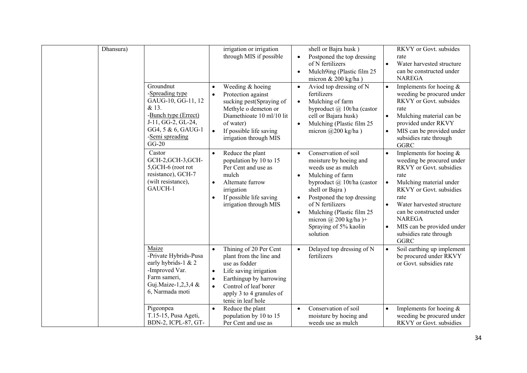| Dhansura) |                                                                                                                                                               | irrigation or irrigation<br>through MIS if possible                                                                                                                                                                                                    | shell or Bajra husk)<br>Postponed the top dressing<br>$\bullet$<br>of N fertilizers<br>Mulch9ing (Plastic film 25<br>$\bullet$<br>micron $& 200$ kg/ha)                                                                                                                                                                                      | RKVY or Govt. subsides<br>rate<br>Water harvested structure<br>$\bullet$<br>can be constructed under<br><b>NAREGA</b>                                                                                                                                                                                                             |
|-----------|---------------------------------------------------------------------------------------------------------------------------------------------------------------|--------------------------------------------------------------------------------------------------------------------------------------------------------------------------------------------------------------------------------------------------------|----------------------------------------------------------------------------------------------------------------------------------------------------------------------------------------------------------------------------------------------------------------------------------------------------------------------------------------------|-----------------------------------------------------------------------------------------------------------------------------------------------------------------------------------------------------------------------------------------------------------------------------------------------------------------------------------|
|           | Groundnut<br>-Spreading type<br>GAUG-10, GG-11, 12<br>& 13.<br>-Bunch type (Errect)<br>J-11, GG-2, GL-24,<br>GG4, 5 & 6, GAUG-1<br>-Semi spreading<br>$GG-20$ | Weeding & hoeing<br>$\bullet$<br>Protection against<br>$\bullet$<br>sucking pest(Spraying of<br>Methyle o demeton or<br>Diamethioate 10 ml/10 lit<br>of water)<br>If possible life saving<br>$\bullet$<br>irrigation through MIS                       | Aviod top dressing of N<br>$\bullet$<br>fertilizers<br>Mulching of farm<br>$\bullet$<br>byproduct @ 10t/ha (castor<br>cell or Bajara husk)<br>Mulching (Plastic film 25<br>$\bullet$<br>micron $(a)200$ kg/ha)                                                                                                                               | Implements for hoeing $&$<br>$\bullet$<br>weeding be procured under<br>RKVY or Govt. subsides<br>rate<br>Mulching material can be<br>$\bullet$<br>provided under RKVY<br>MIS can be provided under<br>$\bullet$<br>subsidies rate through<br><b>GGRC</b>                                                                          |
|           | Castor<br>GCH-2, GCH-3, GCH-<br>5, GCH-6 (root rot<br>resistance), GCH-7<br>(wilt resistance),<br>GAUCH-1                                                     | Reduce the plant<br>$\bullet$<br>population by 10 to 15<br>Per Cent and use as<br>mulch<br>Alternate furrow<br>$\bullet$<br>irrigation<br>If possible life saving<br>$\bullet$<br>irrigation through MIS                                               | Conservation of soil<br>$\bullet$<br>moisture by hoeing and<br>weeds use as mulch<br>Mulching of farm<br>$\bullet$<br>byproduct @ 10t/ha (castor<br>shell or Bajra)<br>Postponed the top dressing<br>$\bullet$<br>of N fertilizers<br>Mulching (Plastic film 25<br>$\bullet$<br>micron @ 200 kg/ha $)+$<br>Spraying of 5% kaolin<br>solution | Implements for hoeing $&$<br>weeding be procured under<br>RKVY or Govt. subsidies<br>rate<br>Mulching material under<br>$\bullet$<br>RKVY or Govt. subsidies<br>rate<br>Water harvested structure<br>$\bullet$<br>can be constructed under<br><b>NAREGA</b><br>MIS can be provided under<br>subsidies rate through<br><b>GGRC</b> |
|           | Maize<br>-Private Hybrids-Pusa<br>early hybrids-1 & 2<br>-Improved Var.<br>Farm sameri,<br>Guj.Maize-1,2,3,4 &<br>6, Narmada moti                             | Thining of 20 Per Cent<br>$\bullet$<br>plant from the line and<br>use as fodder<br>Life saving irrigation<br>$\bullet$<br>Earthingup by harrowing<br>$\bullet$<br>Control of leaf borer<br>$\bullet$<br>apply 3 to 4 granules of<br>tenic in leaf hole | Delayed top dressing of N<br>fertilizers                                                                                                                                                                                                                                                                                                     | Soil earthing up implement<br>be procured under RKVY<br>or Govt. subsidies rate                                                                                                                                                                                                                                                   |
|           | Pigeonpea<br>T.15-15, Pusa Ageti,<br>BDN-2, ICPL-87, GT-                                                                                                      | Reduce the plant<br>$\bullet$<br>population by 10 to 15<br>Per Cent and use as                                                                                                                                                                         | Conservation of soil<br>$\bullet$<br>moisture by hoeing and<br>weeds use as mulch                                                                                                                                                                                                                                                            | Implements for hoeing $&$<br>$\bullet$<br>weeding be procured under<br>RKVY or Govt. subsidies                                                                                                                                                                                                                                    |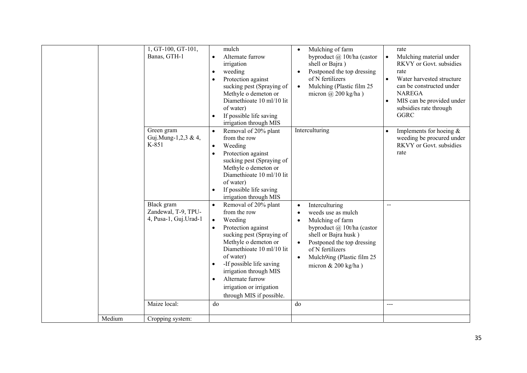|        | 1, GT-100, GT-101,<br>Banas, GTH-1                         | mulch<br>Alternate furrow<br>$\bullet$<br>irrigation<br>weeding<br>$\bullet$<br>Protection against<br>$\bullet$<br>sucking pest (Spraying of<br>Methyle o demeton or<br>Diamethioate 10 ml/10 lit<br>of water)<br>If possible life saving<br>$\bullet$                                                              | Mulching of farm<br>$\bullet$<br>byproduct @ 10t/ha (castor<br>shell or Bajra)<br>Postponed the top dressing<br>$\bullet$<br>of N fertilizers<br>Mulching (Plastic film 25<br>$\bullet$<br>micron $\omega$ 200 kg/ha)                                                                      | rate<br>Mulching material under<br>$\bullet$<br>RKVY or Govt. subsidies<br>rate<br>Water harvested structure<br>$\bullet$<br>can be constructed under<br><b>NAREGA</b><br>MIS can be provided under<br>$\bullet$<br>subsidies rate through<br><b>GGRC</b> |
|--------|------------------------------------------------------------|---------------------------------------------------------------------------------------------------------------------------------------------------------------------------------------------------------------------------------------------------------------------------------------------------------------------|--------------------------------------------------------------------------------------------------------------------------------------------------------------------------------------------------------------------------------------------------------------------------------------------|-----------------------------------------------------------------------------------------------------------------------------------------------------------------------------------------------------------------------------------------------------------|
|        | Green gram<br>Guj.Mung-1,2,3 & 4,<br>K-851                 | irrigation through MIS<br>Removal of 20% plant<br>$\bullet$<br>from the row<br>Weeding<br>$\bullet$<br>Protection against<br>$\bullet$<br>sucking pest (Spraying of<br>Methyle o demeton or<br>Diamethioate 10 ml/10 lit<br>of water)<br>If possible life saving<br>$\bullet$<br>irrigation through MIS             | Interculturing                                                                                                                                                                                                                                                                             | Implements for hoeing $&$<br>weeding be procured under<br>RKVY or Govt. subsidies<br>rate                                                                                                                                                                 |
|        | Black gram<br>Zandewal, T-9, TPU-<br>4, Pusa-1, Guj.Urad-1 | Removal of 20% plant<br>from the row<br>Weeding<br>$\bullet$<br>Protection against<br>sucking pest (Spraying of<br>Methyle o demeton or<br>Diamethioate 10 ml/10 lit<br>of water)<br>-If possible life saving<br>irrigation through MIS<br>Alternate furrow<br>irrigation or irrigation<br>through MIS if possible. | Interculturing<br>$\bullet$<br>weeds use as mulch<br>$\bullet$<br>Mulching of farm<br>$\bullet$<br>byproduct $(a)$ 10t/ha (castor<br>shell or Bajra husk)<br>Postponed the top dressing<br>$\bullet$<br>of N fertilizers<br>Mulch9ing (Plastic film 25<br>$\bullet$<br>micron & 200 kg/ha) | $\overline{a}$                                                                                                                                                                                                                                            |
|        | Maize local:                                               | do                                                                                                                                                                                                                                                                                                                  | do                                                                                                                                                                                                                                                                                         | ---                                                                                                                                                                                                                                                       |
| Medium | Cropping system:                                           |                                                                                                                                                                                                                                                                                                                     |                                                                                                                                                                                                                                                                                            |                                                                                                                                                                                                                                                           |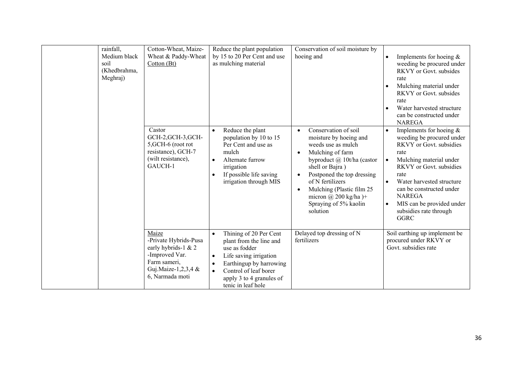| rainfall,<br>Medium black<br>soil<br>(Khedbrahma,<br>Meghraj) | Cotton-Wheat, Maize-<br>Wheat & Paddy-Wheat<br>Cotton (Bt)                                                                        | Reduce the plant population<br>by 15 to 20 Per Cent and use<br>as mulching material                                                                                                                                                       | Conservation of soil moisture by<br>hoeing and                                                                                                                                                                                                                                                                                               | Implements for hoeing $&$<br>weeding be procured under<br><b>RKVY</b> or Govt. subsides<br>rate<br>Mulching material under<br>RKVY or Govt. subsides<br>rate<br>Water harvested structure<br>can be constructed under<br><b>NAREGA</b>                                                                                            |
|---------------------------------------------------------------|-----------------------------------------------------------------------------------------------------------------------------------|-------------------------------------------------------------------------------------------------------------------------------------------------------------------------------------------------------------------------------------------|----------------------------------------------------------------------------------------------------------------------------------------------------------------------------------------------------------------------------------------------------------------------------------------------------------------------------------------------|-----------------------------------------------------------------------------------------------------------------------------------------------------------------------------------------------------------------------------------------------------------------------------------------------------------------------------------|
|                                                               | Castor<br>GCH-2, GCH-3, GCH-<br>5, GCH-6 (root rot<br>resistance), GCH-7<br>(wilt resistance),<br>GAUCH-1                         | Reduce the plant<br>$\bullet$<br>population by 10 to 15<br>Per Cent and use as<br>mulch<br>Alternate furrow<br>irrigation<br>If possible life saving<br>irrigation through MIS                                                            | Conservation of soil<br>$\bullet$<br>moisture by hoeing and<br>weeds use as mulch<br>Mulching of farm<br>$\bullet$<br>byproduct @ 10t/ha (castor<br>shell or Bajra)<br>Postponed the top dressing<br>$\bullet$<br>of N fertilizers<br>Mulching (Plastic film 25<br>$\bullet$<br>micron @ 200 kg/ha $)+$<br>Spraying of 5% kaolin<br>solution | Implements for hoeing $&$<br>$\bullet$<br>weeding be procured under<br>RKVY or Govt. subsidies<br>rate<br>Mulching material under<br>$\bullet$<br>RKVY or Govt. subsidies<br>rate<br>Water harvested structure<br>can be constructed under<br><b>NAREGA</b><br>MIS can be provided under<br>subsidies rate through<br><b>GGRC</b> |
|                                                               | Maize<br>-Private Hybrids-Pusa<br>early hybrids-1 & 2<br>-Improved Var.<br>Farm sameri,<br>Guj.Maize-1,2,3,4 &<br>6, Narmada moti | Thining of 20 Per Cent<br>$\bullet$<br>plant from the line and<br>use as fodder<br>Life saving irrigation<br>$\bullet$<br>Earthingup by harrowing<br>Control of leaf borer<br>$\bullet$<br>apply 3 to 4 granules of<br>tenic in leaf hole | Delayed top dressing of N<br>fertilizers                                                                                                                                                                                                                                                                                                     | Soil earthing up implement be<br>procured under RKVY or<br>Govt. subsidies rate                                                                                                                                                                                                                                                   |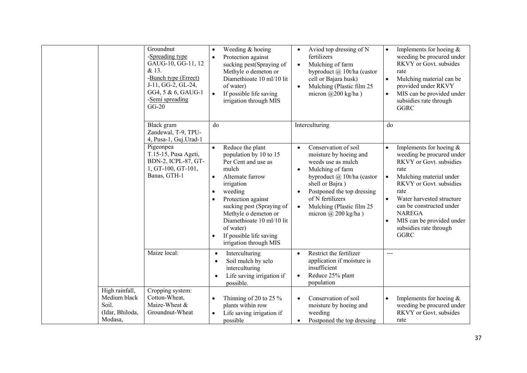|                                                                       | Groundnut<br>-Spreading type<br>GAUG-10, GG-11, 12<br>& 13.<br>-Bunch type (Errect)<br>J-11, GG-2, GL-24,<br>GG4, 5 & 6, GAUG-1<br>-Semi spreading<br>$GG-20$ | Weeding & hoeing<br>$\bullet$<br>Protection against<br>$\bullet$<br>sucking pest(Spraying of<br>Methyle o demeton or<br>Diamethioate 10 ml/10 lit<br>of water)<br>If possible life saving<br>$\bullet$<br>irrigation through MIS                                                                                                         | Aviod top dressing of N<br>$\bullet$<br>fertilizers<br>Mulching of farm<br>$\bullet$<br>byproduct @ 10t/ha (castor<br>cell or Bajara husk)<br>Mulching (Plastic film 25<br>$\bullet$<br>micron $\omega$ 200 kg/ha)                                                                                         | Implements for hoeing $&$<br>$\bullet$<br>weeding be procured under<br>RKVY or Govt. subsides<br>rate<br>Mulching material can be<br>$\bullet$<br>provided under RKVY<br>MIS can be provided under<br>$\bullet$<br>subsidies rate through<br><b>GGRC</b>                                                                                                    |
|-----------------------------------------------------------------------|---------------------------------------------------------------------------------------------------------------------------------------------------------------|------------------------------------------------------------------------------------------------------------------------------------------------------------------------------------------------------------------------------------------------------------------------------------------------------------------------------------------|------------------------------------------------------------------------------------------------------------------------------------------------------------------------------------------------------------------------------------------------------------------------------------------------------------|-------------------------------------------------------------------------------------------------------------------------------------------------------------------------------------------------------------------------------------------------------------------------------------------------------------------------------------------------------------|
|                                                                       | Black gram<br>Zandewal, T-9, TPU-<br>4, Pusa-1, Guj.Urad-1                                                                                                    | do                                                                                                                                                                                                                                                                                                                                       | Interculturing                                                                                                                                                                                                                                                                                             | do                                                                                                                                                                                                                                                                                                                                                          |
|                                                                       | Pigeonpea<br>T.15-15, Pusa Ageti,<br>BDN-2, ICPL-87, GT-<br>1, GT-100, GT-101,<br>Banas, GTH-1                                                                | Reduce the plant<br>population by 10 to 15<br>Per Cent and use as<br>mulch<br>Alternate furrow<br>$\bullet$<br>irrigation<br>weeding<br>$\bullet$<br>Protection against<br>$\bullet$<br>sucking pest (Spraying of<br>Methyle o demeton or<br>Diamethioate 10 ml/10 lit<br>of water)<br>If possible life saving<br>irrigation through MIS | Conservation of soil<br>$\bullet$<br>moisture by hoeing and<br>weeds use as mulch<br>Mulching of farm<br>$\bullet$<br>byproduct @ 10t/ha (castor<br>shell or Bajra)<br>Postponed the top dressing<br>$\bullet$<br>of N fertilizers<br>Mulching (Plastic film 25<br>$\bullet$<br>micron $\omega$ 200 kg/ha) | Implements for hoeing $&$<br>$\bullet$<br>weeding be procured under<br>RKVY or Govt. subsidies<br>rate<br>Mulching material under<br>$\bullet$<br>RKVY or Govt. subsidies<br>rate<br>Water harvested structure<br>$\bullet$<br>can be constructed under<br><b>NAREGA</b><br>MIS can be provided under<br>$\bullet$<br>subsidies rate through<br><b>GGRC</b> |
|                                                                       | Maize local:                                                                                                                                                  | Interculturing<br>$\bullet$<br>Soil mulch by selo<br>$\bullet$<br>interculturing<br>Life saving irrigation if<br>possible.                                                                                                                                                                                                               | Restrict the fertilizer<br>$\bullet$<br>application if moisture is<br>insufficient<br>Reduce 25% plant<br>$\bullet$<br>population                                                                                                                                                                          | $---$                                                                                                                                                                                                                                                                                                                                                       |
| High rainfall,<br>Medium black<br>Soil.<br>(Idar, Bhiloda,<br>Modasa, | Cropping system:<br>Cotton-Wheat,<br>Maize-Wheat &<br>Groundnut-Wheat                                                                                         | Thinning of 20 to 25 $\%$<br>$\bullet$<br>plants within row<br>Life saving irrigation if<br>$\bullet$<br>possible                                                                                                                                                                                                                        | Conservation of soil<br>$\bullet$<br>moisture by hoeing and<br>weeding<br>Postponed the top dressing<br>$\bullet$                                                                                                                                                                                          | Implements for hoeing $&$<br>$\bullet$<br>weeding be procured under<br>RKVY or Govt. subsides<br>rate                                                                                                                                                                                                                                                       |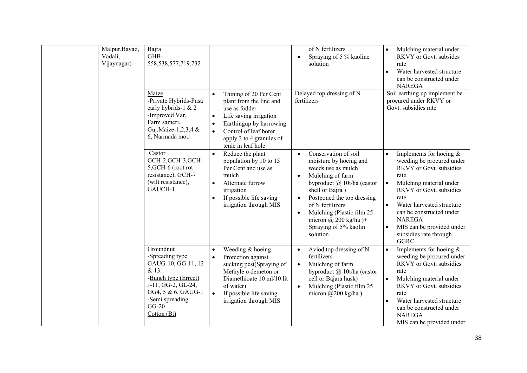| Malpur, Bayad,<br>Vadali,<br>Vijaynagar) | Bajra<br>GHB-<br>558, 538, 577, 719, 732                                                                                                                                     |                                                                                                                                                                                                                                                        | of N fertilizers<br>Spraying of 5 % kaoline<br>$\bullet$<br>solution                                                                                                                                                                                                                                                                         | Mulching material under<br>RKVY or Govt. subsides<br>rate<br>Water harvested structure<br>$\bullet$<br>can be constructed under<br><b>NAREGA</b>                                                                                                                                                                                  |
|------------------------------------------|------------------------------------------------------------------------------------------------------------------------------------------------------------------------------|--------------------------------------------------------------------------------------------------------------------------------------------------------------------------------------------------------------------------------------------------------|----------------------------------------------------------------------------------------------------------------------------------------------------------------------------------------------------------------------------------------------------------------------------------------------------------------------------------------------|-----------------------------------------------------------------------------------------------------------------------------------------------------------------------------------------------------------------------------------------------------------------------------------------------------------------------------------|
|                                          | Maize<br>-Private Hybrids-Pusa<br>early hybrids-1 & 2<br>-Improved Var.<br>Farm sameri,<br>Guj.Maize-1,2,3,4 &<br>6, Narmada moti                                            | Thining of 20 Per Cent<br>$\bullet$<br>plant from the line and<br>use as fodder<br>Life saving irrigation<br>$\bullet$<br>Earthingup by harrowing<br>$\bullet$<br>Control of leaf borer<br>$\bullet$<br>apply 3 to 4 granules of<br>tenic in leaf hole | Delayed top dressing of N<br>fertilizers                                                                                                                                                                                                                                                                                                     | Soil earthing up implement be<br>procured under RKVY or<br>Govt. subsidies rate                                                                                                                                                                                                                                                   |
|                                          | Castor<br>GCH-2, GCH-3, GCH-<br>5, GCH-6 (root rot<br>resistance), GCH-7<br>(wilt resistance),<br>GAUCH-1                                                                    | Reduce the plant<br>population by 10 to 15<br>Per Cent and use as<br>mulch<br>Alternate furrow<br>$\bullet$<br>irrigation<br>If possible life saving<br>$\bullet$<br>irrigation through MIS                                                            | Conservation of soil<br>$\bullet$<br>moisture by hoeing and<br>weeds use as mulch<br>Mulching of farm<br>$\bullet$<br>byproduct @ 10t/ha (castor<br>shell or Bajra)<br>Postponed the top dressing<br>$\bullet$<br>of N fertilizers<br>Mulching (Plastic film 25<br>$\bullet$<br>micron @ 200 kg/ha $)+$<br>Spraying of 5% kaolin<br>solution | Implements for hoeing $&$<br>weeding be procured under<br>RKVY or Govt. subsidies<br>rate<br>Mulching material under<br>$\bullet$<br>RKVY or Govt. subsidies<br>rate<br>Water harvested structure<br>can be constructed under<br><b>NAREGA</b><br>MIS can be provided under<br>$\bullet$<br>subsidies rate through<br><b>GGRC</b> |
|                                          | Groundnut<br>-Spreading type<br>GAUG-10, GG-11, 12<br>& 13.<br>-Bunch type (Errect)<br>J-11, GG-2, GL-24,<br>GG4, 5 & 6, GAUG-1<br>-Semi spreading<br>$GG-20$<br>Cotton (Bt) | Weeding & hoeing<br>$\bullet$<br>Protection against<br>$\bullet$<br>sucking pest(Spraying of<br>Methyle o demeton or<br>Diamethioate 10 ml/10 lit<br>of water)<br>If possible life saving<br>$\bullet$<br>irrigation through MIS                       | Aviod top dressing of N<br>$\bullet$<br>fertilizers<br>Mulching of farm<br>$\bullet$<br>byproduct @ 10t/ha (castor<br>cell or Bajara husk)<br>Mulching (Plastic film 25<br>$\bullet$<br>micron $(a)200$ kg/ha)                                                                                                                               | Implements for hoeing $&$<br>$\bullet$<br>weeding be procured under<br>RKVY or Govt. subsidies<br>rate<br>Mulching material under<br>RKVY or Govt. subsidies<br>rate<br>Water harvested structure<br>can be constructed under<br><b>NAREGA</b><br>MIS can be provided under                                                       |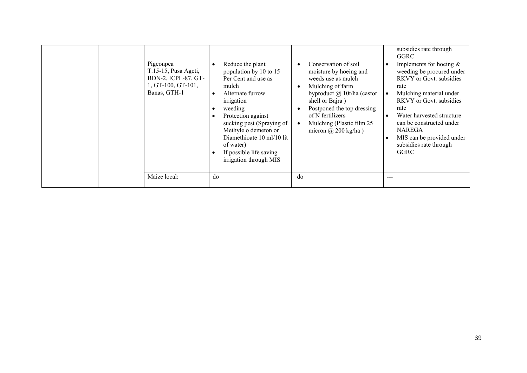|  |                                                                                                |                                                                                                                                                                                                                                                                                                   |                                                                                                                                                                                                                                                               | subsidies rate through<br>GGRC                                                                                                                                                                                                                                                                   |
|--|------------------------------------------------------------------------------------------------|---------------------------------------------------------------------------------------------------------------------------------------------------------------------------------------------------------------------------------------------------------------------------------------------------|---------------------------------------------------------------------------------------------------------------------------------------------------------------------------------------------------------------------------------------------------------------|--------------------------------------------------------------------------------------------------------------------------------------------------------------------------------------------------------------------------------------------------------------------------------------------------|
|  | Pigeonpea<br>T.15-15, Pusa Ageti,<br>BDN-2, ICPL-87, GT-<br>1, GT-100, GT-101,<br>Banas, GTH-1 | Reduce the plant<br>population by 10 to 15<br>Per Cent and use as<br>mulch<br>Alternate furrow<br>irrigation<br>weeding<br>Protection against<br>sucking pest (Spraying of<br>Methyle o demeton or<br>Diamethioate 10 ml/10 lit<br>of water)<br>If possible life saving<br>irrigation through MIS | Conservation of soil<br>moisture by hoeing and<br>weeds use as mulch<br>Mulching of farm<br>byproduct $\omega$ 10t/ha (castor<br>shell or Bajra)<br>Postponed the top dressing<br>of N fertilizers<br>Mulching (Plastic film 25<br>micron $\omega$ 200 kg/ha) | Implements for hoeing $&$<br>weeding be procured under<br>RKVY or Govt. subsidies<br>rate<br>Mulching material under<br>RKVY or Govt. subsidies<br>rate<br>Water harvested structure<br>can be constructed under<br><b>NAREGA</b><br>MIS can be provided under<br>subsidies rate through<br>GGRC |
|  | Maize local:                                                                                   | do                                                                                                                                                                                                                                                                                                | do                                                                                                                                                                                                                                                            | ---                                                                                                                                                                                                                                                                                              |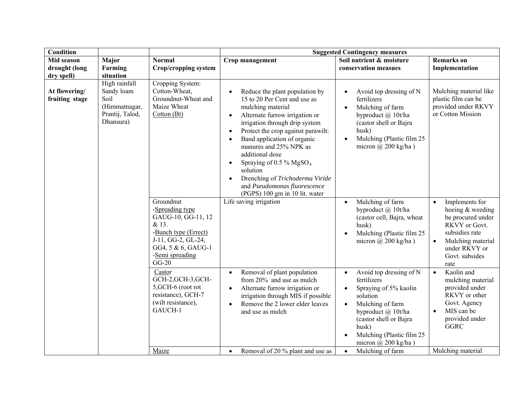| <b>Condition</b>                |                                                                                      |                                                                                                                                                               | <b>Suggested Contingency measures</b>                                                                                                                                                                                                                                                                                                                                                                                                                                                                 |                                                                                                                                                                                                                                                            |                                                                                                                                                                                      |  |
|---------------------------------|--------------------------------------------------------------------------------------|---------------------------------------------------------------------------------------------------------------------------------------------------------------|-------------------------------------------------------------------------------------------------------------------------------------------------------------------------------------------------------------------------------------------------------------------------------------------------------------------------------------------------------------------------------------------------------------------------------------------------------------------------------------------------------|------------------------------------------------------------------------------------------------------------------------------------------------------------------------------------------------------------------------------------------------------------|--------------------------------------------------------------------------------------------------------------------------------------------------------------------------------------|--|
| Mid season<br>drought (long     | Major<br>Farming                                                                     | <b>Normal</b><br><b>Crop/cropping system</b>                                                                                                                  | Crop management                                                                                                                                                                                                                                                                                                                                                                                                                                                                                       | Soil nutrient & moisture<br>conservation measues                                                                                                                                                                                                           | <b>Remarks</b> on<br>Implementation                                                                                                                                                  |  |
| dry spell)                      | situation                                                                            |                                                                                                                                                               |                                                                                                                                                                                                                                                                                                                                                                                                                                                                                                       |                                                                                                                                                                                                                                                            |                                                                                                                                                                                      |  |
| At flowering/<br>fruiting stage | High rainfall<br>Sandy loam<br>Soil<br>(Himmatnagar,<br>Prantij, Talod,<br>Dhansura) | Cropping System:<br>Cotton-Wheat,<br>Groundnut-Wheat and<br>Maize Wheat<br>Cotton (Bt)                                                                        | Reduce the plant population by<br>$\bullet$<br>15 to 20 Per Cent and use as<br>mulching material<br>Alternate furrow irrigation or<br>$\bullet$<br>irrigation through drip system<br>Protect the crop against parawilt:<br>$\bullet$<br>Band application of organic<br>$\bullet$<br>manures and 25% NPK as<br>additional dose<br>Spraying of 0.5 % $MgSO4$<br>$\bullet$<br>solution<br>Drenching of Trichoderma Viride<br>$\bullet$<br>and Pseudomonas fluorescence<br>(PGPS) 100 gm in 10 lit. water | Avoid top dressing of N<br>fertilizers<br>Mulching of farm<br>$\bullet$<br>byproduct @ 10t/ha<br>(castor shell or Bajra<br>husk)<br>Mulching (Plastic film 25<br>$\bullet$<br>micron $(a)$ 200 kg/ha)                                                      | Mulching material like<br>plastic film can be<br>provided under RKVY<br>or Cotton Mission                                                                                            |  |
|                                 |                                                                                      | Groundnut<br>-Spreading type<br>GAUG-10, GG-11, 12<br>& 13.<br>-Bunch type (Errect)<br>J-11, GG-2, GL-24,<br>GG4, 5 & 6, GAUG-1<br>-Semi spreading<br>$GG-20$ | Life saving irrigation                                                                                                                                                                                                                                                                                                                                                                                                                                                                                | Mulching of farm<br>$\bullet$<br>byproduct $\omega$ 10t/ha<br>(castor cell, Bajra, wheat<br>husk)<br>Mulching (Plastic film 25<br>$\bullet$<br>micron $(a)$ 200 kg/ha)                                                                                     | Implements for<br>$\bullet$<br>hoeing & weeding<br>be procured under<br>RKVY or Govt.<br>subsidies rate<br>Mulching material<br>$\bullet$<br>under RKVY or<br>Govt. subsides<br>rate |  |
|                                 |                                                                                      | Castor<br>GCH-2, GCH-3, GCH-<br>5, GCH-6 (root rot<br>resistance), GCH-7<br>(wilt resistance),<br>GAUCH-1                                                     | Removal of plant population<br>$\bullet$<br>from 20% and use as mulch<br>Alternate furrow irrigation or<br>$\bullet$<br>irrigation through MIS if possible<br>Remove the 2 lower elder leaves<br>$\bullet$<br>and use as mulch                                                                                                                                                                                                                                                                        | Avoid top dressing of N<br>$\bullet$<br>fertilizers<br>Spraying of 5% kaolin<br>$\bullet$<br>solution<br>Mulching of farm<br>$\bullet$<br>byproduct @ 10t/ha<br>(castor shell or Bajra<br>husk)<br>Mulching (Plastic film 25<br>micron $\omega$ 200 kg/ha) | Kaolin and<br>$\bullet$<br>mulching material<br>provided under<br>RKVY or other<br>Govt. Agency<br>MIS can be<br>$\bullet$<br>provided under<br><b>GGRC</b>                          |  |
|                                 |                                                                                      | Maize                                                                                                                                                         | Removal of 20 % plant and use as<br>$\bullet$                                                                                                                                                                                                                                                                                                                                                                                                                                                         | Mulching of farm<br>$\bullet$                                                                                                                                                                                                                              | Mulching material                                                                                                                                                                    |  |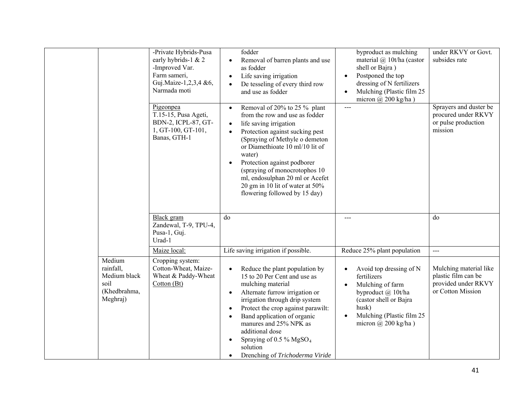|                                                                         | -Private Hybrids-Pusa<br>early hybrids-1 & 2<br>-Improved Var.<br>Farm sameri,<br>Guj.Maize-1,2,3,4 &6,<br>Narmada moti | fodder<br>Removal of barren plants and use<br>$\bullet$<br>as fodder<br>Life saving irrigation<br>$\bullet$<br>De tesseling of every third row<br>$\bullet$<br>and use as fodder                                                                                                                                                                                                                                                       | byproduct as mulching<br>material $(a)$ 10t/ha (castor<br>shell or Bajra)<br>Postponed the top<br>$\bullet$<br>dressing of N fertilizers<br>Mulching (Plastic film 25<br>$\bullet$<br>micron $\omega$ 200 kg/ha) | under RKVY or Govt.<br>subsides rate                                                      |
|-------------------------------------------------------------------------|-------------------------------------------------------------------------------------------------------------------------|----------------------------------------------------------------------------------------------------------------------------------------------------------------------------------------------------------------------------------------------------------------------------------------------------------------------------------------------------------------------------------------------------------------------------------------|------------------------------------------------------------------------------------------------------------------------------------------------------------------------------------------------------------------|-------------------------------------------------------------------------------------------|
|                                                                         | Pigeonpea<br>T.15-15, Pusa Ageti,<br>BDN-2, ICPL-87, GT-<br>1, GT-100, GT-101,<br>Banas, GTH-1                          | Removal of 20% to 25 % plant<br>$\bullet$<br>from the row and use as fodder<br>life saving irrigation<br>$\bullet$<br>Protection against sucking pest<br>$\bullet$<br>(Spraying of Methyle o demeton<br>or Diamethioate 10 ml/10 lit of<br>water)<br>Protection against podborer<br>$\bullet$<br>(spraying of monocrotophos 10)<br>ml, endosulphan 20 ml or Acefet<br>20 gm in 10 lit of water at 50%<br>flowering followed by 15 day) |                                                                                                                                                                                                                  | Sprayers and duster be<br>procured under RKVY<br>or pulse production<br>mission           |
|                                                                         | Black gram<br>Zandewal, T-9, TPU-4,<br>Pusa-1, Guj.<br>Urad-1                                                           | do                                                                                                                                                                                                                                                                                                                                                                                                                                     |                                                                                                                                                                                                                  | do                                                                                        |
|                                                                         | Maize local:                                                                                                            | Life saving irrigation if possible.                                                                                                                                                                                                                                                                                                                                                                                                    | Reduce 25% plant population                                                                                                                                                                                      | $---$                                                                                     |
| Medium<br>rainfall,<br>Medium black<br>soil<br>(Khedbrahma,<br>Meghraj) | Cropping system:<br>Cotton-Wheat, Maize-<br>Wheat & Paddy-Wheat<br>Cotton (Bt)                                          | Reduce the plant population by<br>$\bullet$<br>15 to 20 Per Cent and use as<br>mulching material<br>Alternate furrow irrigation or<br>$\bullet$<br>irrigation through drip system<br>Protect the crop against parawilt:<br>$\bullet$<br>Band application of organic<br>$\bullet$<br>manures and 25% NPK as<br>additional dose<br>Spraying of 0.5 % $MgSO4$<br>$\bullet$<br>solution<br>Drenching of Trichoderma Viride<br>$\bullet$    | Avoid top dressing of N<br>$\bullet$<br>fertilizers<br>Mulching of farm<br>byproduct @ 10t/ha<br>(castor shell or Bajra<br>husk)<br>Mulching (Plastic film 25<br>$\bullet$<br>micron $\omega$ 200 kg/ha)         | Mulching material like<br>plastic film can be<br>provided under RKVY<br>or Cotton Mission |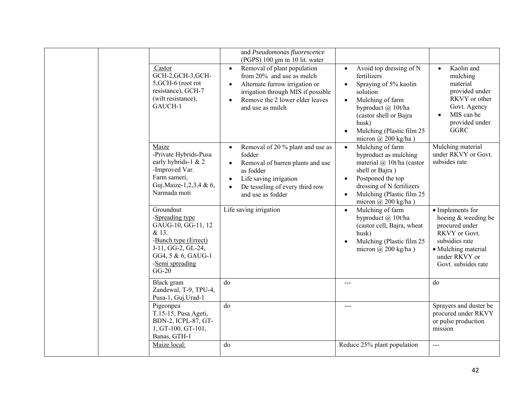| Castor<br>GCH-2, GCH-3, GCH-<br>5, GCH-6 (root rot<br>resistance), GCH-7<br>(wilt resistance),<br>GAUCH-1                                                     | and Pseudomonas fluorescence<br>(PGPS) 100 gm in 10 lit. water<br>Removal of plant population<br>$\bullet$<br>from 20% and use as mulch<br>Alternate furrow irrigation or<br>$\bullet$<br>irrigation through MIS if possible<br>Remove the 2 lower elder leaves<br>$\bullet$<br>and use as mulch | Avoid top dressing of N<br>$\bullet$<br>fertilizers<br>Spraying of 5% kaolin<br>$\bullet$<br>solution<br>Mulching of farm<br>byproduct @ 10t/ha<br>(castor shell or Bajra<br>husk)<br>Mulching (Plastic film 25<br>micron $@$ 200 kg/ha) | Kaolin and<br>mulching<br>material<br>provided under<br>RKVY or other<br>Govt. Agency<br>MIS can be<br>provided under<br><b>GGRC</b>                        |
|---------------------------------------------------------------------------------------------------------------------------------------------------------------|--------------------------------------------------------------------------------------------------------------------------------------------------------------------------------------------------------------------------------------------------------------------------------------------------|------------------------------------------------------------------------------------------------------------------------------------------------------------------------------------------------------------------------------------------|-------------------------------------------------------------------------------------------------------------------------------------------------------------|
| Maize<br>-Private Hybrids-Pusa<br>early hybrids-1 & 2<br>-Improved Var.<br>Farm sameri,<br>Guj.Maize-1,2,3,4 & 6,<br>Narmada moti                             | Removal of 20 % plant and use as<br>$\bullet$<br>fodder<br>Removal of barren plants and use<br>$\bullet$<br>as fodder<br>Life saving irrigation<br>$\bullet$<br>De tesseling of every third row<br>$\bullet$<br>and use as fodder                                                                | Mulching of farm<br>$\bullet$<br>byproduct as mulching<br>material @ 10t/ha (castor<br>shell or Bajra)<br>Postponed the top<br>dressing of N fertilizers<br>Mulching (Plastic film 25<br>micron $(a)$ 200 kg/ha)                         | Mulching material<br>under RKVY or Govt.<br>subsides rate                                                                                                   |
| Groundnut<br>-Spreading type<br>GAUG-10, GG-11, 12<br>& 13.<br>-Bunch type (Errect)<br>J-11, GG-2, GL-24,<br>GG4, 5 & 6, GAUG-1<br>-Semi spreading<br>$GG-20$ | Life saving irrigation                                                                                                                                                                                                                                                                           | Mulching of farm<br>$\bullet$<br>byproduct @ 10t/ha<br>(castor cell, Bajra, wheat<br>husk)<br>Mulching (Plastic film 25<br>micron $\omega$ 200 kg/ha)                                                                                    | • Implements for<br>hoeing & weeding be<br>procured under<br>RKVY or Govt.<br>subsidies rate<br>· Mulching material<br>under RKVY or<br>Govt. subsides rate |
| Black gram<br>Zandewal, T-9, TPU-4,<br>Pusa-1, Guj.Urad-1                                                                                                     | do                                                                                                                                                                                                                                                                                               | $---$                                                                                                                                                                                                                                    | do                                                                                                                                                          |
| Pigeonpea<br>T.15-15, Pusa Ageti,<br>BDN-2, ICPL-87, GT-<br>1, GT-100, GT-101,<br>Banas, GTH-1                                                                | do                                                                                                                                                                                                                                                                                               | $---$                                                                                                                                                                                                                                    | Sprayers and duster be<br>procured under RKVY<br>or pulse production<br>mission                                                                             |
| Maize local:                                                                                                                                                  | do                                                                                                                                                                                                                                                                                               | Reduce 25% plant population                                                                                                                                                                                                              | $---$                                                                                                                                                       |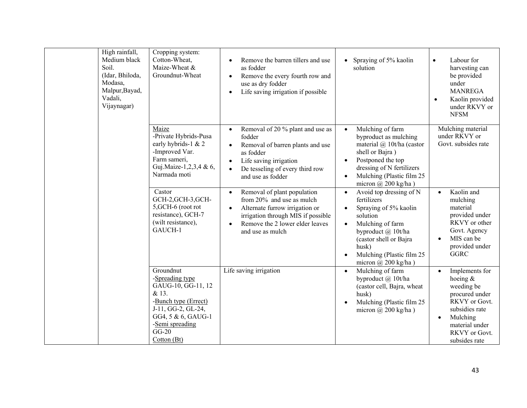| Soil.<br>Vadali, | High rainfall,<br>Medium black<br>(Idar, Bhiloda,<br>Modasa,<br>Malpur, Bayad,<br>Vijaynagar) | Cropping system:<br>Cotton-Wheat,<br>Maize-Wheat &<br>Groundnut-Wheat                                                                                                        | Remove the barren tillers and use<br>$\bullet$<br>as fodder<br>Remove the every fourth row and<br>$\bullet$<br>use as dry fodder<br>Life saving irrigation if possible<br>$\bullet$                                               | Spraying of 5% kaolin<br>$\bullet$<br>solution                                                                                                                                                                                                | Labour for<br>$\bullet$<br>harvesting can<br>be provided<br>under<br><b>MANREGA</b><br>Kaolin provided<br>$\bullet$<br>under RKVY or<br><b>NFSM</b>                          |
|------------------|-----------------------------------------------------------------------------------------------|------------------------------------------------------------------------------------------------------------------------------------------------------------------------------|-----------------------------------------------------------------------------------------------------------------------------------------------------------------------------------------------------------------------------------|-----------------------------------------------------------------------------------------------------------------------------------------------------------------------------------------------------------------------------------------------|------------------------------------------------------------------------------------------------------------------------------------------------------------------------------|
|                  |                                                                                               | Maize<br>-Private Hybrids-Pusa<br>early hybrids-1 & 2<br>-Improved Var.<br>Farm sameri,<br>Guj.Maize-1,2,3,4 & 6,<br>Narmada moti                                            | Removal of 20 % plant and use as<br>$\bullet$<br>fodder<br>Removal of barren plants and use<br>$\bullet$<br>as fodder<br>Life saving irrigation<br>$\bullet$<br>De tesseling of every third row<br>$\bullet$<br>and use as fodder | Mulching of farm<br>$\bullet$<br>byproduct as mulching<br>material @ 10t/ha (castor<br>shell or Bajra)<br>Postponed the top<br>$\bullet$<br>dressing of N fertilizers<br>Mulching (Plastic film 25<br>$\bullet$<br>micron $(a)$ 200 kg/ha)    | Mulching material<br>under RKVY or<br>Govt. subsides rate                                                                                                                    |
|                  |                                                                                               | Castor<br>GCH-2, GCH-3, GCH-<br>5, GCH-6 (root rot<br>resistance), GCH-7<br>(wilt resistance),<br>GAUCH-1                                                                    | Removal of plant population<br>$\bullet$<br>from 20% and use as mulch<br>Alternate furrow irrigation or<br>$\bullet$<br>irrigation through MIS if possible<br>Remove the 2 lower elder leaves<br>$\bullet$<br>and use as mulch    | Avoid top dressing of N<br>$\bullet$<br>fertilizers<br>Spraying of 5% kaolin<br>solution<br>Mulching of farm<br>$\bullet$<br>byproduct @ 10t/ha<br>(castor shell or Bajra<br>husk)<br>Mulching (Plastic film 25<br>micron $\omega$ 200 kg/ha) | Kaolin and<br>$\bullet$<br>mulching<br>material<br>provided under<br>RKVY or other<br>Govt. Agency<br>MIS can be<br>provided under<br><b>GGRC</b>                            |
|                  |                                                                                               | Groundnut<br>-Spreading type<br>GAUG-10, GG-11, 12<br>& 13.<br>-Bunch type (Errect)<br>J-11, GG-2, GL-24,<br>GG4, 5 & 6, GAUG-1<br>-Semi spreading<br>$GG-20$<br>Cotton (Bt) | Life saving irrigation                                                                                                                                                                                                            | Mulching of farm<br>$\bullet$<br>byproduct @ 10t/ha<br>(castor cell, Bajra, wheat<br>husk)<br>Mulching (Plastic film 25<br>micron $\omega$ 200 kg/ha)                                                                                         | Implements for<br>hoeing $&$<br>weeding be<br>procured under<br>RKVY or Govt.<br>subsidies rate<br>Mulching<br>$\bullet$<br>material under<br>RKVY or Govt.<br>subsides rate |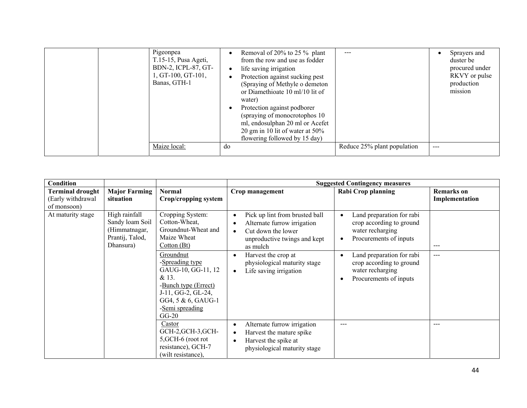|  | Pigeonpea<br>T.15-15, Pusa Ageti,<br>BDN-2, ICPL-87, GT-<br>$1, GT-100, GT-101,$<br>Banas, GTH-1 | ٠<br>$\bullet$<br>$\bullet$<br>$\bullet$ | Removal of 20% to 25 % plant<br>from the row and use as fodder<br>life saving irrigation<br>Protection against sucking pest<br>(Spraying of Methyle o demeton<br>or Diamethioate 10 ml/10 lit of<br>water)<br>Protection against podborer<br>(spraying of monocrotophos 10)<br>ml, endosulphan 20 ml or Acefet<br>20 gm in 10 lit of water at 50%<br>flowering followed by 15 day) |                             |       | Sprayers and<br>duster be<br>procured under<br>RKVY or pulse<br>production<br>mission |
|--|--------------------------------------------------------------------------------------------------|------------------------------------------|------------------------------------------------------------------------------------------------------------------------------------------------------------------------------------------------------------------------------------------------------------------------------------------------------------------------------------------------------------------------------------|-----------------------------|-------|---------------------------------------------------------------------------------------|
|  | Maize local:                                                                                     | do                                       |                                                                                                                                                                                                                                                                                                                                                                                    | Reduce 25% plant population | $---$ |                                                                                       |

| <b>Condition</b>                                            |                                                                                   |                                                                                                                                                               |                                                                                                                                 | <b>Suggested Contingency measures</b>                                                               |                                     |
|-------------------------------------------------------------|-----------------------------------------------------------------------------------|---------------------------------------------------------------------------------------------------------------------------------------------------------------|---------------------------------------------------------------------------------------------------------------------------------|-----------------------------------------------------------------------------------------------------|-------------------------------------|
| <b>Terminal drought</b><br>(Early withdrawal<br>of monsoon) | <b>Major Farming</b><br>situation                                                 | <b>Normal</b><br>Crop/cropping system                                                                                                                         | Crop management                                                                                                                 | <b>Rabi Crop planning</b>                                                                           | <b>Remarks</b> on<br>Implementation |
| At maturity stage                                           | High rainfall<br>Sandy loam Soil<br>(Himmatnagar,<br>Prantij, Talod,<br>Dhansura) | Cropping System:<br>Cotton-Wheat,<br>Groundnut-Wheat and<br>Maize Wheat<br>Cotton(Bt)                                                                         | Pick up lint from brusted ball<br>Alternate furrow irrigation<br>Cut down the lower<br>unproductive twings and kept<br>as mulch | Land preparation for rabi<br>crop according to ground<br>water recharging<br>Procurements of inputs | $---$                               |
|                                                             |                                                                                   | Groundnut<br>-Spreading type<br>GAUG-10, GG-11, 12<br>& 13.<br>-Bunch type (Errect)<br>J-11, GG-2, GL-24,<br>GG4, 5 & 6, GAUG-1<br>-Semi spreading<br>$GG-20$ | Harvest the crop at<br>٠<br>physiological maturity stage<br>Life saving irrigation<br>$\bullet$                                 | Land preparation for rabi<br>crop according to ground<br>water recharging<br>Procurements of inputs | $---$                               |
|                                                             |                                                                                   | Castor<br>GCH-2, GCH-3, GCH-<br>5, GCH-6 (root rot<br>resistance), GCH-7<br>(wilt resistance),                                                                | Alternate furrow irrigation<br>$\bullet$<br>Harvest the mature spike<br>Harvest the spike at<br>physiological maturity stage    | $---$                                                                                               | $---$                               |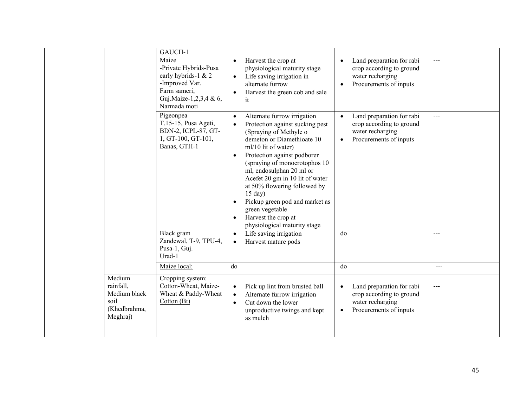|                                                                         | GAUCH-1<br>Maize<br>-Private Hybrids-Pusa<br>early hybrids-1 & 2<br>-Improved Var.<br>Farm sameri,<br>Guj.Maize-1,2,3,4 & 6,<br>Narmada moti | Harvest the crop at<br>$\bullet$<br>physiological maturity stage<br>Life saving irrigation in<br>$\bullet$<br>alternate furrow<br>Harvest the green cob and sale<br>$\bullet$<br>it                                                                                                                                                                                                                                                                                                   | Land preparation for rabi<br>$\bullet$<br>crop according to ground<br>water recharging<br>Procurements of inputs<br>$\bullet$ | $---$ |
|-------------------------------------------------------------------------|----------------------------------------------------------------------------------------------------------------------------------------------|---------------------------------------------------------------------------------------------------------------------------------------------------------------------------------------------------------------------------------------------------------------------------------------------------------------------------------------------------------------------------------------------------------------------------------------------------------------------------------------|-------------------------------------------------------------------------------------------------------------------------------|-------|
|                                                                         | Pigeonpea<br>T.15-15, Pusa Ageti,<br>BDN-2, ICPL-87, GT-<br>1, GT-100, GT-101,<br>Banas, GTH-1                                               | Alternate furrow irrigation<br>$\bullet$<br>Protection against sucking pest<br>(Spraying of Methyle o<br>demeton or Diamethioate 10<br>ml/10 lit of water)<br>Protection against podborer<br>$\bullet$<br>(spraying of monocrotophos 10<br>ml, endosulphan 20 ml or<br>Acefet 20 gm in 10 lit of water<br>at 50% flowering followed by<br>$15 \text{ day}$ )<br>Pickup green pod and market as<br>green vegetable<br>Harvest the crop at<br>$\bullet$<br>physiological maturity stage | Land preparation for rabi<br>$\bullet$<br>crop according to ground<br>water recharging<br>Procurements of inputs              | $---$ |
|                                                                         | Black gram<br>Zandewal, T-9, TPU-4,<br>Pusa-1, Guj.<br>Urad-1                                                                                | Life saving irrigation<br>$\bullet$<br>Harvest mature pods<br>$\bullet$                                                                                                                                                                                                                                                                                                                                                                                                               | do                                                                                                                            | ---   |
|                                                                         | Maize local:                                                                                                                                 | do                                                                                                                                                                                                                                                                                                                                                                                                                                                                                    | do                                                                                                                            | $---$ |
| Medium<br>rainfall,<br>Medium black<br>soil<br>(Khedbrahma,<br>Meghraj) | Cropping system:<br>Cotton-Wheat, Maize-<br>Wheat & Paddy-Wheat<br>Cotton (Bt)                                                               | Pick up lint from brusted ball<br>$\bullet$<br>Alternate furrow irrigation<br>$\bullet$<br>Cut down the lower<br>$\bullet$<br>unproductive twings and kept<br>as mulch                                                                                                                                                                                                                                                                                                                | Land preparation for rabi<br>$\bullet$<br>crop according to ground<br>water recharging<br>Procurements of inputs<br>$\bullet$ | $---$ |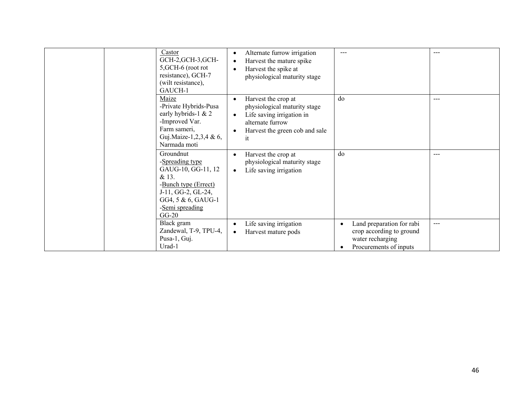| Castor<br>GCH-2, GCH-3, GCH-<br>5, GCH-6 (root rot<br>resistance), GCH-7<br>(wilt resistance),<br>GAUCH-1                                                     | Alternate furrow irrigation<br>Harvest the mature spike<br>Harvest the spike at<br>physiological maturity stage                                           | $- - -$                                                                                                          |       |
|---------------------------------------------------------------------------------------------------------------------------------------------------------------|-----------------------------------------------------------------------------------------------------------------------------------------------------------|------------------------------------------------------------------------------------------------------------------|-------|
| Maize<br>-Private Hybrids-Pusa<br>early hybrids-1 & 2<br>-Improved Var.<br>Farm sameri,<br>Guj.Maize-1,2,3,4 & 6,<br>Narmada moti                             | Harvest the crop at<br>physiological maturity stage<br>Life saving irrigation in<br>$\bullet$<br>alternate furrow<br>Harvest the green cob and sale<br>it | do                                                                                                               | ---   |
| Groundnut<br>-Spreading type<br>GAUG-10, GG-11, 12<br>& 13.<br>-Bunch type (Errect)<br>J-11, GG-2, GL-24,<br>GG4, 5 & 6, GAUG-1<br>-Semi spreading<br>$GG-20$ | Harvest the crop at<br>physiological maturity stage<br>Life saving irrigation                                                                             | do                                                                                                               | $---$ |
| Black gram<br>Zandewal, T-9, TPU-4,<br>Pusa-1, Guj.<br>Urad-1                                                                                                 | Life saving irrigation<br>$\bullet$<br>Harvest mature pods                                                                                                | Land preparation for rabi<br>$\bullet$<br>crop according to ground<br>water recharging<br>Procurements of inputs | $---$ |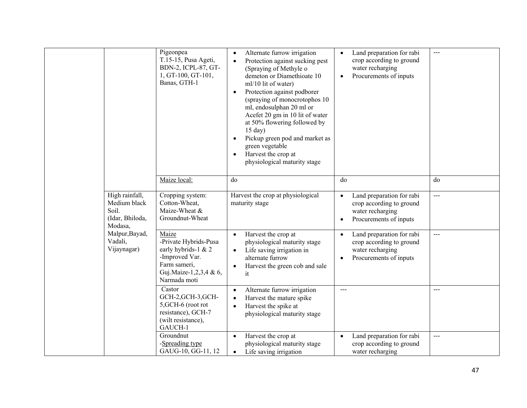|                                                                       | Pigeonpea<br>T.15-15, Pusa Ageti,<br>BDN-2, ICPL-87, GT-<br>1, GT-100, GT-101,<br>Banas, GTH-1                                    | Alternate furrow irrigation<br>$\bullet$<br>Protection against sucking pest<br>$\bullet$<br>(Spraying of Methyle o<br>demeton or Diamethioate 10<br>ml/10 lit of water)<br>Protection against podborer<br>$\bullet$<br>(spraying of monocrotophos 10<br>ml, endosulphan 20 ml or<br>Acefet 20 gm in 10 lit of water<br>at 50% flowering followed by<br>$15$ day)<br>Pickup green pod and market as<br>green vegetable<br>Harvest the crop at<br>physiological maturity stage | Land preparation for rabi<br>$\bullet$<br>crop according to ground<br>water recharging<br>Procurements of inputs<br>$\bullet$ | $---$ |
|-----------------------------------------------------------------------|-----------------------------------------------------------------------------------------------------------------------------------|------------------------------------------------------------------------------------------------------------------------------------------------------------------------------------------------------------------------------------------------------------------------------------------------------------------------------------------------------------------------------------------------------------------------------------------------------------------------------|-------------------------------------------------------------------------------------------------------------------------------|-------|
|                                                                       | Maize local:                                                                                                                      | do                                                                                                                                                                                                                                                                                                                                                                                                                                                                           | do                                                                                                                            | do    |
| High rainfall,<br>Medium black<br>Soil.<br>(Idar, Bhiloda,<br>Modasa, | Cropping system:<br>Cotton-Wheat,<br>Maize-Wheat &<br>Groundnut-Wheat                                                             | Harvest the crop at physiological<br>maturity stage                                                                                                                                                                                                                                                                                                                                                                                                                          | Land preparation for rabi<br>crop according to ground<br>water recharging<br>Procurements of inputs<br>$\bullet$              | $---$ |
| Malpur, Bayad,<br>Vadali,<br>Vijaynagar)                              | Maize<br>-Private Hybrids-Pusa<br>early hybrids-1 & 2<br>-Improved Var.<br>Farm sameri,<br>Guj.Maize-1,2,3,4 & 6,<br>Narmada moti | Harvest the crop at<br>$\bullet$<br>physiological maturity stage<br>Life saving irrigation in<br>alternate furrow<br>Harvest the green cob and sale<br>$\bullet$<br>it                                                                                                                                                                                                                                                                                                       | Land preparation for rabi<br>$\bullet$<br>crop according to ground<br>water recharging<br>Procurements of inputs<br>$\bullet$ | $---$ |
|                                                                       | Castor<br>GCH-2, GCH-3, GCH-<br>5, GCH-6 (root rot<br>resistance), GCH-7<br>(wilt resistance),<br>GAUCH-1                         | Alternate furrow irrigation<br>$\bullet$<br>Harvest the mature spike<br>Harvest the spike at<br>$\bullet$<br>physiological maturity stage                                                                                                                                                                                                                                                                                                                                    | $\frac{1}{2}$                                                                                                                 | ---   |
|                                                                       | Groundnut<br>-Spreading type<br>GAUG-10, GG-11, 12                                                                                | Harvest the crop at<br>$\bullet$<br>physiological maturity stage<br>Life saving irrigation                                                                                                                                                                                                                                                                                                                                                                                   | Land preparation for rabi<br>$\bullet$<br>crop according to ground<br>water recharging                                        | $---$ |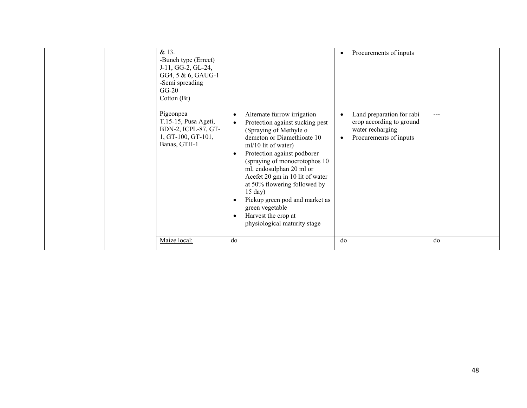| & 13.<br>-Bunch type (Errect)<br>J-11, GG-2, GL-24,<br>GG4, 5 & 6, GAUG-1<br>-Semi spreading<br>$GG-20$<br>Cotton (Bt) |                                                                                                                                                                                                                                                                                                                                                                                                                                                                 | Procurements of inputs                                                                              |       |
|------------------------------------------------------------------------------------------------------------------------|-----------------------------------------------------------------------------------------------------------------------------------------------------------------------------------------------------------------------------------------------------------------------------------------------------------------------------------------------------------------------------------------------------------------------------------------------------------------|-----------------------------------------------------------------------------------------------------|-------|
| Pigeonpea<br>T.15-15, Pusa Ageti,<br>BDN-2, ICPL-87, GT-<br>1, GT-100, GT-101,<br>Banas, GTH-1                         | Alternate furrow irrigation<br>$\bullet$<br>Protection against sucking pest<br>$\bullet$<br>(Spraying of Methyle o<br>demeton or Diamethioate 10<br>ml/10 lit of water)<br>Protection against podborer<br>(spraying of monocrotophos 10<br>ml, endosulphan 20 ml or<br>Acefet 20 gm in 10 lit of water<br>at 50% flowering followed by<br>$15$ day)<br>Pickup green pod and market as<br>green vegetable<br>Harvest the crop at<br>physiological maturity stage | Land preparation for rabi<br>crop according to ground<br>water recharging<br>Procurements of inputs | $---$ |
| Maize local:                                                                                                           | do                                                                                                                                                                                                                                                                                                                                                                                                                                                              | do                                                                                                  | do    |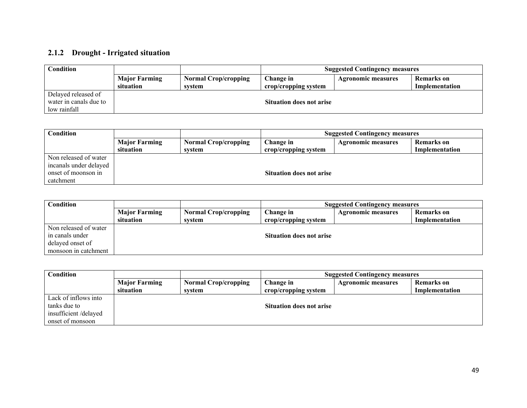## **2.1.2 Drought - Irrigated situation**

| <b>Condition</b>                       |                                   |                                       | <b>Suggested Contingency measures</b> |                    |                              |
|----------------------------------------|-----------------------------------|---------------------------------------|---------------------------------------|--------------------|------------------------------|
|                                        | <b>Major Farming</b><br>situation | <b>Normal Crop/cropping</b><br>system | Change in<br>crop/cropping system     | Agronomic measures | Remarks on<br>Implementation |
| Delayed released of                    |                                   |                                       |                                       |                    |                              |
| water in canals due to<br>low rainfall |                                   |                                       | <b>Situation does not arise</b>       |                    |                              |

| Condition              |                      |                             | <b>Suggested Contingency measures</b> |                           |                   |  |
|------------------------|----------------------|-----------------------------|---------------------------------------|---------------------------|-------------------|--|
|                        | <b>Major Farming</b> | <b>Normal Crop/cropping</b> | Change in                             | <b>Agronomic measures</b> | <b>Remarks</b> on |  |
|                        | situation            | system                      | crop/cropping system                  |                           | Implementation    |  |
| Non released of water  |                      |                             |                                       |                           |                   |  |
| incanals under delayed |                      |                             |                                       |                           |                   |  |
| onset of moonson in    |                      |                             | <b>Situation does not arise</b>       |                           |                   |  |
| catchment              |                      |                             |                                       |                           |                   |  |

| <b>Condition</b>                                                                     |                                   |                                       | <b>Suggested Contingency measures</b> |                           |                              |
|--------------------------------------------------------------------------------------|-----------------------------------|---------------------------------------|---------------------------------------|---------------------------|------------------------------|
|                                                                                      | <b>Major Farming</b><br>situation | <b>Normal Crop/cropping</b><br>svstem | Change in<br>crop/cropping system     | <b>Agronomic measures</b> | Remarks on<br>Implementation |
| Non released of water<br>in canals under<br>delayed onset of<br>monsoon in catchment |                                   |                                       | <b>Situation does not arise</b>       |                           |                              |

| Condition            |                      |                             | <b>Suggested Contingency measures</b> |                           |                   |
|----------------------|----------------------|-----------------------------|---------------------------------------|---------------------------|-------------------|
|                      | <b>Major Farming</b> | <b>Normal Crop/cropping</b> | Change in                             | <b>Agronomic measures</b> | <b>Remarks</b> on |
|                      | situation            | system                      | crop/cropping system                  |                           | Implementation    |
| Lack of inflows into |                      |                             |                                       |                           |                   |
| tanks due to         |                      |                             | <b>Situation does not arise</b>       |                           |                   |
| insufficient/delayed |                      |                             |                                       |                           |                   |
| onset of monsoon     |                      |                             |                                       |                           |                   |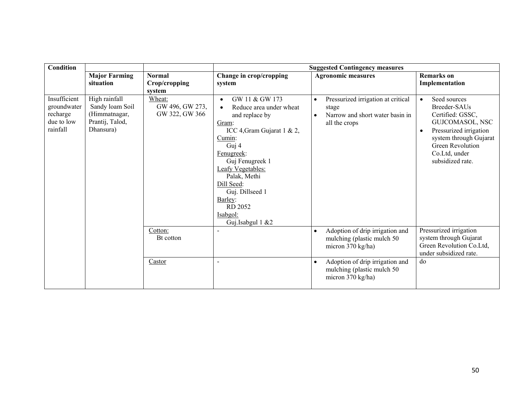| <b>Condition</b>                                                  |                                                                                   |                                             |                                                                                                                                                                                                                                                                                                 | <b>Suggested Contingency measures</b>                                                                                     |                                                                                                                                                                                                            |
|-------------------------------------------------------------------|-----------------------------------------------------------------------------------|---------------------------------------------|-------------------------------------------------------------------------------------------------------------------------------------------------------------------------------------------------------------------------------------------------------------------------------------------------|---------------------------------------------------------------------------------------------------------------------------|------------------------------------------------------------------------------------------------------------------------------------------------------------------------------------------------------------|
|                                                                   | <b>Major Farming</b><br>situation                                                 | <b>Normal</b><br>Crop/cropping<br>system    | Change in crop/cropping<br>system                                                                                                                                                                                                                                                               | <b>Agronomic measures</b>                                                                                                 | <b>Remarks</b> on<br>Implementation                                                                                                                                                                        |
| Insufficient<br>groundwater<br>recharge<br>due to low<br>rainfall | High rainfall<br>Sandy loam Soil<br>(Himmatnagar,<br>Prantij, Talod,<br>Dhansura) | Wheat:<br>GW 496, GW 273,<br>GW 322, GW 366 | GW 11 & GW 173<br>$\bullet$<br>Reduce area under wheat<br>and replace by<br>Gram:<br>ICC 4, Gram Gujarat 1 & 2,<br>Cumin:<br>Guj 4<br>Fenugreek:<br>Guj Fenugreek 1<br>Leafy Vegetables:<br>Palak, Methi<br>Dill Seed:<br>Guj. Dillseed 1<br>Barley:<br>RD 2052<br>Isabgol:<br>Guj.Isabgul 1 &2 | Pressurized irrigation at critical<br>$\bullet$<br>stage<br>Narrow and short water basin in<br>$\bullet$<br>all the crops | Seed sources<br>$\bullet$<br>Breeder-SAUs<br>Certified: GSSC,<br>GUJCOMASOL, NSC<br>Pressurized irrigation<br>$\bullet$<br>system through Gujarat<br>Green Revolution<br>Co.Ltd, under<br>subsidized rate. |
|                                                                   |                                                                                   | Cotton:<br>Bt cotton                        |                                                                                                                                                                                                                                                                                                 | Adoption of drip irrigation and<br>$\bullet$<br>mulching (plastic mulch 50<br>micron 370 kg/ha)                           | Pressurized irrigation<br>system through Gujarat<br>Green Revolution Co.Ltd,<br>under subsidized rate.                                                                                                     |
|                                                                   |                                                                                   | Castor                                      | $\blacksquare$                                                                                                                                                                                                                                                                                  | Adoption of drip irrigation and<br>$\bullet$<br>mulching (plastic mulch 50<br>micron 370 kg/ha)                           | do                                                                                                                                                                                                         |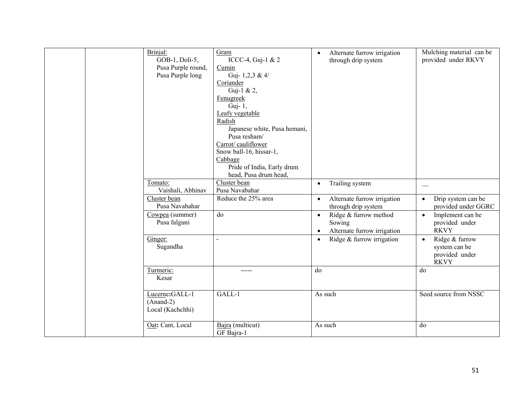| Brinjal:<br>GOB-1, Doli-5,<br>Pusa Purple round,<br>Pusa Purple long | Gram<br>ICCC-4, Guj-1 & 2<br>Cumin<br>Guj-1,2,3 & 4/<br>Coriander<br>Guj-1 & 2,<br>Fenugreek<br>Guj-1,<br>Leafy vegetable<br>Radish<br>Japanese white, Pusa hemani,<br>Pusa resham/<br>Carrot/cauliflower<br>Snow ball-16, hissar-1,<br>Cabbage<br>Pride of India, Early drum<br>head, Pusa drum head, | $\bullet$              | Alternate furrow irrigation<br>through drip system             | Mulching material can be<br>provided under RKVY                               |
|----------------------------------------------------------------------|--------------------------------------------------------------------------------------------------------------------------------------------------------------------------------------------------------------------------------------------------------------------------------------------------------|------------------------|----------------------------------------------------------------|-------------------------------------------------------------------------------|
| Tomato:<br>Vaishali, Abhinav                                         | Cluster bean<br>Pusa Navabahar                                                                                                                                                                                                                                                                         | $\bullet$              | Trailing system                                                |                                                                               |
| Cluster bean<br>Pusa Navabahar                                       | Reduce the 25% area                                                                                                                                                                                                                                                                                    | $\bullet$              | Alternate furrow irrigation<br>through drip system             | Drip system can be<br>$\bullet$<br>provided under GGRC                        |
| Cowpea (summer)<br>Pusa falguni                                      | do                                                                                                                                                                                                                                                                                                     | $\bullet$<br>$\bullet$ | Ridge & furrow method<br>Sowing<br>Alternate furrow irrigation | Implement can be<br>$\bullet$<br>provided under<br><b>RKVY</b>                |
| Ginger:<br>Sugandha                                                  |                                                                                                                                                                                                                                                                                                        | $\bullet$              | Ridge & furrow irrigation                                      | Ridge & furrow<br>$\bullet$<br>system can be<br>provided under<br><b>RKVY</b> |
| Turmeric:<br>Kesar                                                   | -----                                                                                                                                                                                                                                                                                                  | do                     |                                                                | do                                                                            |
| Lucerne:GALL-1<br>$(Anand-2)$<br>Local (Kachchhi)                    | GALL-1                                                                                                                                                                                                                                                                                                 |                        | As such                                                        | Seed source from NSSC                                                         |
| Oat: Cant, Local                                                     | Bajra (multicut)<br>GF Bajra-1                                                                                                                                                                                                                                                                         |                        | As such                                                        | do                                                                            |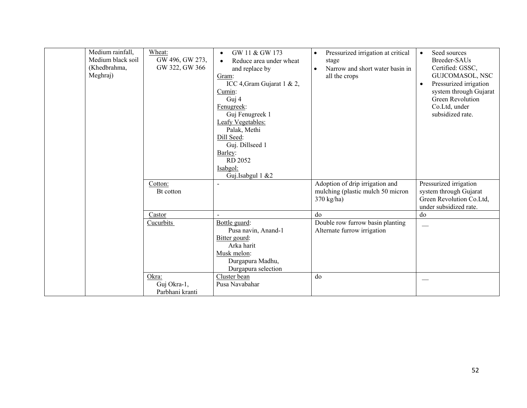| Medium rainfall,<br>Medium black soil<br>(Khedbrahma,<br>Meghraj) | Wheat:<br>GW 496, GW 273,<br>GW 322, GW 366 | GW 11 & GW 173<br>$\bullet$<br>Reduce area under wheat<br>$\bullet$<br>and replace by<br>Gram:<br>ICC 4, Gram Gujarat 1 & 2,<br>Cumin:<br>Guj 4<br>Fenugreek:<br>Guj Fenugreek 1<br>Leafy Vegetables:<br>Palak, Methi<br>Dill Seed:<br>Guj. Dillseed 1<br>Barley:<br>RD 2052<br>Isabgol:<br>Guj.Isabgul 1 &2 | Pressurized irrigation at critical<br>$\bullet$<br>stage<br>Narrow and short water basin in<br>$\bullet$<br>all the crops | Seed sources<br>$\bullet$<br>Breeder-SAUs<br>Certified: GSSC,<br>GUJCOMASOL, NSC<br>Pressurized irrigation<br>$\bullet$<br>system through Gujarat<br>Green Revolution<br>Co.Ltd, under<br>subsidized rate. |
|-------------------------------------------------------------------|---------------------------------------------|--------------------------------------------------------------------------------------------------------------------------------------------------------------------------------------------------------------------------------------------------------------------------------------------------------------|---------------------------------------------------------------------------------------------------------------------------|------------------------------------------------------------------------------------------------------------------------------------------------------------------------------------------------------------|
|                                                                   | Cotton:<br>Bt cotton                        | $\blacksquare$                                                                                                                                                                                                                                                                                               | Adoption of drip irrigation and<br>mulching (plastic mulch 50 micron<br>$370 \text{ kg/ha}$                               | Pressurized irrigation<br>system through Gujarat<br>Green Revolution Co.Ltd,<br>under subsidized rate.                                                                                                     |
|                                                                   | Castor                                      |                                                                                                                                                                                                                                                                                                              | do                                                                                                                        | do                                                                                                                                                                                                         |
|                                                                   | Cucurbits                                   | Bottle guard:<br>Pusa navin, Anand-1<br>Bitter gourd:<br>Arka harit<br>Musk melon:<br>Durgapura Madhu,<br>Durgapura selection                                                                                                                                                                                | Double row furrow basin planting<br>Alternate furrow irrigation                                                           |                                                                                                                                                                                                            |
|                                                                   | Okra:<br>Guj Okra-1,<br>Parbhani kranti     | Cluster bean<br>Pusa Navabahar                                                                                                                                                                                                                                                                               | do                                                                                                                        |                                                                                                                                                                                                            |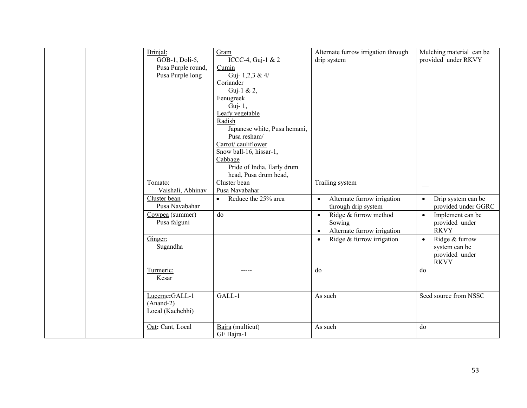| Brinjal:<br>GOB-1, Doli-5,<br>Pusa Purple round,<br>Pusa Purple long | Gram<br>ICCC-4, Guj-1 & $2$<br>Cumin<br>Guj-1,2,3 & 4/<br>Coriander<br>Guj-1 & 2,<br>Fenugreek<br>Guj-1,<br>Leafy vegetable<br>Radish<br>Japanese white, Pusa hemani,<br>Pusa resham/<br>Carrot/ cauliflower<br>Snow ball-16, hissar-1,<br>Cabbage<br>Pride of India, Early drum<br>head, Pusa drum head, | Alternate furrow irrigation through<br>drip system                                       | Mulching material can be<br>provided under RKVY                               |
|----------------------------------------------------------------------|-----------------------------------------------------------------------------------------------------------------------------------------------------------------------------------------------------------------------------------------------------------------------------------------------------------|------------------------------------------------------------------------------------------|-------------------------------------------------------------------------------|
| Tomato:<br>Vaishali, Abhinav                                         | Cluster bean<br>Pusa Navabahar                                                                                                                                                                                                                                                                            | Trailing system                                                                          | $\overbrace{\hspace{15em}}$                                                   |
| Cluster bean<br>Pusa Navabahar                                       | Reduce the 25% area                                                                                                                                                                                                                                                                                       | Alternate furrow irrigation<br>through drip system                                       | Drip system can be<br>$\bullet$<br>provided under GGRC                        |
| Cowpea (summer)<br>Pusa falguni                                      | do                                                                                                                                                                                                                                                                                                        | Ridge & furrow method<br>$\bullet$<br>Sowing<br>Alternate furrow irrigation<br>$\bullet$ | Implement can be<br>$\bullet$<br>provided under<br><b>RKVY</b>                |
| Ginger:<br>Sugandha                                                  |                                                                                                                                                                                                                                                                                                           | Ridge & furrow irrigation<br>$\bullet$                                                   | Ridge & furrow<br>$\bullet$<br>system can be<br>provided under<br><b>RKVY</b> |
| Turmeric:<br>Kesar                                                   | $- - - - -$                                                                                                                                                                                                                                                                                               | do                                                                                       | do                                                                            |
| Lucerne:GALL-1<br>$(Anand-2)$<br>Local (Kachchhi)                    | GALL-1                                                                                                                                                                                                                                                                                                    | As such                                                                                  | Seed source from NSSC                                                         |
| Oat: Cant, Local                                                     | Bajra (multicut)<br>GF Bajra-1                                                                                                                                                                                                                                                                            | As such                                                                                  | do                                                                            |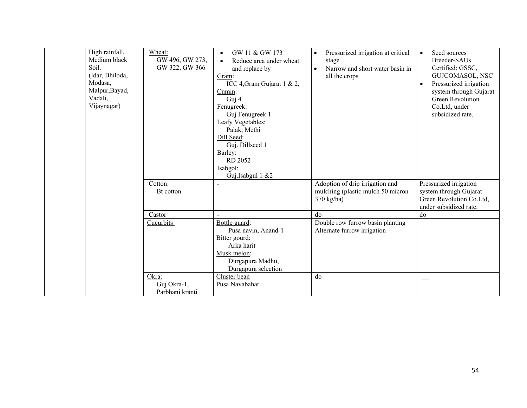| High rainfall,<br>Medium black<br>Soil.<br>(Idar, Bhiloda,<br>Modasa,<br>Malpur, Bayad,<br>Vadali,<br>Vijaynagar) | Wheat:<br>GW 496, GW 273,<br>GW 322, GW 366 | GW 11 & GW 173<br>$\bullet$<br>Reduce area under wheat<br>$\bullet$<br>and replace by<br>Gram:<br>ICC 4, Gram Gujarat 1 & 2,<br>Cumin:<br>Guj 4<br>Fenugreek:<br>Guj Fenugreek 1<br>Leafy Vegetables:<br>Palak, Methi<br>Dill Seed:<br>Guj. Dillseed 1<br>Barley:<br>RD 2052<br>Isabgol:<br>Guj.Isabgul 1 &2 | Pressurized irrigation at critical<br>$\bullet$<br>stage<br>Narrow and short water basin in<br>$\bullet$<br>all the crops | Seed sources<br>$\bullet$<br>Breeder-SAUs<br>Certified: GSSC,<br>GUJCOMASOL, NSC<br>Pressurized irrigation<br>$\bullet$<br>system through Gujarat<br>Green Revolution<br>Co.Ltd, under<br>subsidized rate. |
|-------------------------------------------------------------------------------------------------------------------|---------------------------------------------|--------------------------------------------------------------------------------------------------------------------------------------------------------------------------------------------------------------------------------------------------------------------------------------------------------------|---------------------------------------------------------------------------------------------------------------------------|------------------------------------------------------------------------------------------------------------------------------------------------------------------------------------------------------------|
|                                                                                                                   | Cotton:<br>Bt cotton                        | $\blacksquare$                                                                                                                                                                                                                                                                                               | Adoption of drip irrigation and<br>mulching (plastic mulch 50 micron<br>$370 \text{ kg/ha}$                               | Pressurized irrigation<br>system through Gujarat<br>Green Revolution Co.Ltd,<br>under subsidized rate.                                                                                                     |
|                                                                                                                   | Castor                                      |                                                                                                                                                                                                                                                                                                              | do                                                                                                                        | do                                                                                                                                                                                                         |
|                                                                                                                   | Cucurbits                                   | Bottle guard:<br>Pusa navin, Anand-1<br>Bitter gourd:<br>Arka harit<br>Musk melon:<br>Durgapura Madhu,<br>Durgapura selection                                                                                                                                                                                | Double row furrow basin planting<br>Alternate furrow irrigation                                                           |                                                                                                                                                                                                            |
|                                                                                                                   | Okra:<br>Guj Okra-1,<br>Parbhani kranti     | Cluster bean<br>Pusa Navabahar                                                                                                                                                                                                                                                                               | do                                                                                                                        |                                                                                                                                                                                                            |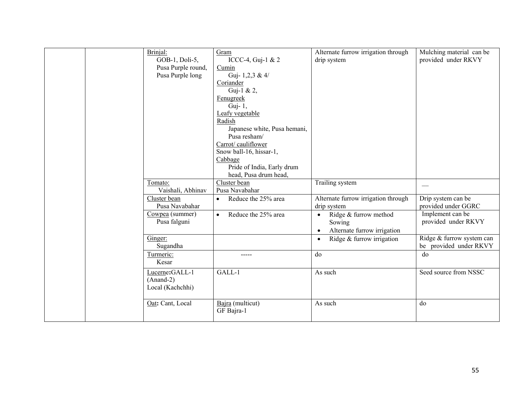|  | Brinjal:<br>GOB-1, Doli-5,<br>Pusa Purple round,<br>Pusa Purple long | Gram<br>ICCC-4, Guj-1 & 2<br>Cumin<br>Guj-1,2,3 & 4/<br>Coriander<br>Guj-1 & 2,<br>Fenugreek<br>Guj- 1,<br>Leafy vegetable<br>Radish<br>Japanese white, Pusa hemani,<br>Pusa resham/<br>Carrot/cauliflower | Alternate furrow irrigation through<br>drip system                                                                                                | Mulching material can be<br>provided under RKVY                                             |
|--|----------------------------------------------------------------------|------------------------------------------------------------------------------------------------------------------------------------------------------------------------------------------------------------|---------------------------------------------------------------------------------------------------------------------------------------------------|---------------------------------------------------------------------------------------------|
|  | Tomato:<br>Vaishali, Abhinav<br>Cluster bean                         | Snow ball-16, hissar-1,<br>Cabbage<br>Pride of India, Early drum<br>head, Pusa drum head,<br>Cluster bean<br>Pusa Navabahar<br>Reduce the 25% area<br>$\bullet$                                            | Trailing system<br>Alternate furrow irrigation through                                                                                            | Drip system can be                                                                          |
|  | Pusa Navabahar<br>Cowpea (summer)<br>Pusa falguni<br>Ginger:         | Reduce the 25% area<br>$\bullet$                                                                                                                                                                           | drip system<br>Ridge & furrow method<br>$\bullet$<br>Sowing<br>Alternate furrow irrigation<br>$\bullet$<br>Ridge & furrow irrigation<br>$\bullet$ | provided under GGRC<br>Implement can be<br>provided under RKVY<br>Ridge & furrow system can |
|  | Sugandha<br>Turmeric:<br>Kesar<br>Lucerne:GALL-1                     | -----<br>GALL-1                                                                                                                                                                                            | do<br>As such                                                                                                                                     | be provided under RKVY<br>do<br>Seed source from NSSC                                       |
|  | $(Anand-2)$<br>Local (Kachchhi)<br>Oat: Cant, Local                  | Bajra (multicut)<br>GF Bajra-1                                                                                                                                                                             | As such                                                                                                                                           | do                                                                                          |
|  |                                                                      |                                                                                                                                                                                                            |                                                                                                                                                   |                                                                                             |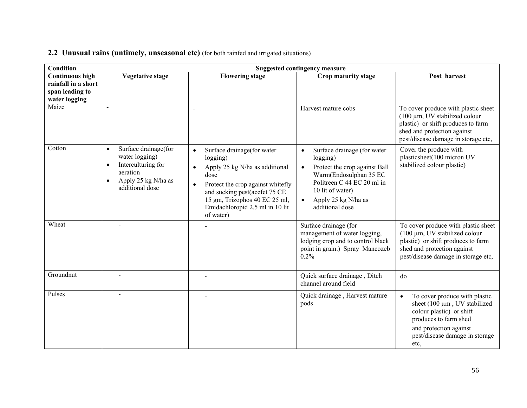| <b>Condition</b>                                                                  |                                                                                                                                                           |                                                                                                                                                                                                                                                                   | <b>Suggested contingency measure</b>                                                                                                                                                                                                  |                                                                                                                                                                                        |
|-----------------------------------------------------------------------------------|-----------------------------------------------------------------------------------------------------------------------------------------------------------|-------------------------------------------------------------------------------------------------------------------------------------------------------------------------------------------------------------------------------------------------------------------|---------------------------------------------------------------------------------------------------------------------------------------------------------------------------------------------------------------------------------------|----------------------------------------------------------------------------------------------------------------------------------------------------------------------------------------|
| <b>Continuous high</b><br>rainfall in a short<br>span leading to<br>water logging | <b>Vegetative stage</b>                                                                                                                                   | <b>Flowering stage</b>                                                                                                                                                                                                                                            | Crop maturity stage                                                                                                                                                                                                                   | Post harvest                                                                                                                                                                           |
| Maize                                                                             | $\sim$                                                                                                                                                    |                                                                                                                                                                                                                                                                   | Harvest mature cobs                                                                                                                                                                                                                   | To cover produce with plastic sheet<br>(100 μm, UV stabilized colour<br>plastic) or shift produces to farm<br>shed and protection against<br>pest/disease damage in storage etc,       |
| Cotton                                                                            | Surface drainage(for<br>$\bullet$<br>water logging)<br>Interculturing for<br>$\bullet$<br>aeration<br>Apply 25 kg N/ha as<br>$\bullet$<br>additional dose | Surface drainage(for water<br>$\bullet$<br>logging)<br>Apply 25 kg N/ha as additional<br>$\bullet$<br>dose<br>Protect the crop against whitefly<br>and sucking pest(acefet 75 CE<br>15 gm, Trizophos 40 EC 25 ml,<br>Emidachloropid 2.5 ml in 10 lit<br>of water) | Surface drainage (for water<br>$\bullet$<br>logging)<br>Protect the crop against Ball<br>$\bullet$<br>Warm(Endosulphan 35 EC<br>Politreen C 44 EC 20 ml in<br>10 lit of water)<br>Apply 25 kg N/ha as<br>$\bullet$<br>additional dose | Cover the produce with<br>plasticsheet(100 micron UV<br>stabilized colour plastic)                                                                                                     |
| Wheat                                                                             | $\blacksquare$                                                                                                                                            |                                                                                                                                                                                                                                                                   | Surface drainage (for<br>management of water logging,<br>lodging crop and to control black<br>point in grain.) Spray Mancozeb<br>0.2%                                                                                                 | To cover produce with plastic sheet<br>$(100 \mu m, UV)$ stabilized colour<br>plastic) or shift produces to farm<br>shed and protection against<br>pest/disease damage in storage etc, |
| Groundnut                                                                         | $\overline{a}$                                                                                                                                            |                                                                                                                                                                                                                                                                   | Quick surface drainage, Ditch<br>channel around field                                                                                                                                                                                 | do                                                                                                                                                                                     |
| Pulses                                                                            |                                                                                                                                                           |                                                                                                                                                                                                                                                                   | Quick drainage, Harvest mature<br>pods                                                                                                                                                                                                | To cover produce with plastic<br>sheet (100 µm, UV stabilized<br>colour plastic) or shift<br>produces to farm shed<br>and protection against<br>pest/disease damage in storage<br>etc, |

## **2.2 Unusual rains (untimely, unseasonal etc)** (for both rainfed and irrigated situations)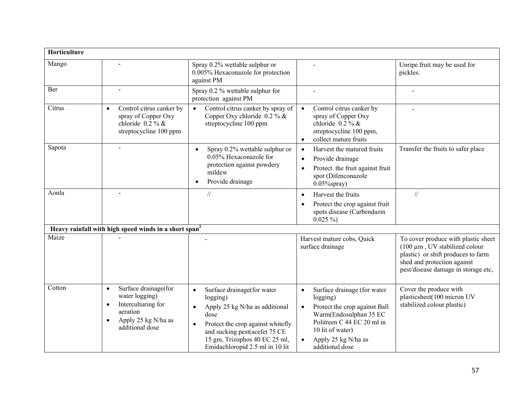| Horticulture |                                                                                                                                                           |                                                                                                                                                                                                                                                      |                                                                                                                                                                                                                          |                                                                                                                                                                                        |
|--------------|-----------------------------------------------------------------------------------------------------------------------------------------------------------|------------------------------------------------------------------------------------------------------------------------------------------------------------------------------------------------------------------------------------------------------|--------------------------------------------------------------------------------------------------------------------------------------------------------------------------------------------------------------------------|----------------------------------------------------------------------------------------------------------------------------------------------------------------------------------------|
| Mango        |                                                                                                                                                           | Spray 0.2% wettable sulphur or<br>0.005% Hexaconazole for protection<br>against PM                                                                                                                                                                   |                                                                                                                                                                                                                          | Unripe fruit may be used for<br>pickles.                                                                                                                                               |
| Ber          |                                                                                                                                                           | Spray 0.2 % wettable sulphur for<br>protection against PM                                                                                                                                                                                            |                                                                                                                                                                                                                          |                                                                                                                                                                                        |
| Citrus       | Control citrus canker by<br>$\bullet$<br>spray of Copper Oxy<br>chloride $0.2\%$ &<br>streptocycline 100 ppm                                              | Control citrus canker by spray of<br>$\bullet$<br>Copper Oxy chloride $0.2 \%$ &<br>streptocycline 100 ppm                                                                                                                                           | Control citrus canker by<br>$\bullet$<br>spray of Copper Oxy<br>chloride $0.2\%$ &<br>streptocycline 100 ppm,<br>collect mature fruits<br>$\bullet$                                                                      | $\overline{a}$                                                                                                                                                                         |
| Sapota       |                                                                                                                                                           | Spray 0.2% wettable sulphur or<br>$\bullet$<br>0.05% Hexaconazole for<br>protection against powdery<br>mildew<br>Provide drainage<br>$\bullet$                                                                                                       | Harvest the matured fruits<br>$\bullet$<br>Provide drainage<br>$\bullet$<br>Protect the fruit against fruit<br>$\bullet$<br>spot (Difenconazole<br>$0.05\%$ spray)                                                       | Transfer the fruits to safer place                                                                                                                                                     |
| Aonla        |                                                                                                                                                           | $\frac{1}{2}$                                                                                                                                                                                                                                        | Harvest the fruits<br>$\bullet$<br>Protect the crop against fruit<br>$\bullet$<br>spots disease (Carbendazin<br>$0.025\%$                                                                                                | $\frac{1}{2}$                                                                                                                                                                          |
|              | Heavy rainfall with high speed winds in a short span <sup>2</sup>                                                                                         |                                                                                                                                                                                                                                                      |                                                                                                                                                                                                                          |                                                                                                                                                                                        |
| Maize        |                                                                                                                                                           |                                                                                                                                                                                                                                                      | Harvest mature cobs, Quick<br>surface drainage                                                                                                                                                                           | To cover produce with plastic sheet<br>$(100 \mu m, UV)$ stabilized colour<br>plastic) or shift produces to farm<br>shed and protection against<br>pest/disease damage in storage etc, |
| Cotton       | Surface drainage(for<br>$\bullet$<br>water logging)<br>Interculturing for<br>$\bullet$<br>aeration<br>Apply 25 kg N/ha as<br>$\bullet$<br>additional dose | Surface drainage(for water<br>$\bullet$<br>logging)<br>Apply 25 kg N/ha as additional<br>dose<br>Protect the crop against whitefly<br>$\bullet$<br>and sucking pest(acefet 75 CE<br>15 gm, Trizophos 40 EC 25 ml,<br>Emidachloropid 2.5 ml in 10 lit | Surface drainage (for water<br>$\bullet$<br>logging)<br>Protect the crop against Ball<br>$\bullet$<br>Warm(Endosulphan 35 EC<br>Politreen C 44 EC 20 ml in<br>10 lit of water)<br>Apply 25 kg N/ha as<br>additional dose | Cover the produce with<br>plasticsheet(100 micron UV<br>stabilized colour plastic)                                                                                                     |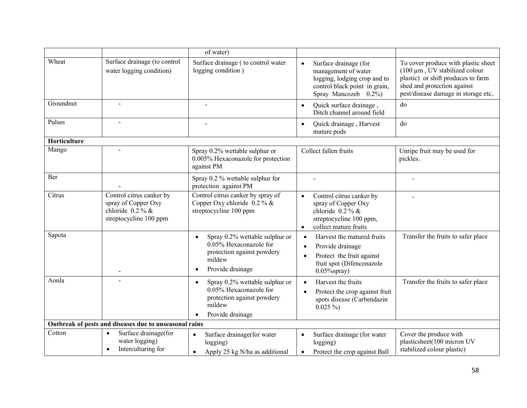|              |                                                                                                 | of water)                                                                                                                         |                                                                                                                                                     |                                                                                                                                                                                  |
|--------------|-------------------------------------------------------------------------------------------------|-----------------------------------------------------------------------------------------------------------------------------------|-----------------------------------------------------------------------------------------------------------------------------------------------------|----------------------------------------------------------------------------------------------------------------------------------------------------------------------------------|
| Wheat        | Surface drainage (to control<br>water logging condition)                                        | Surface drainage ( to control water<br>logging condition)                                                                         | Surface drainage (for<br>$\bullet$<br>management of water<br>logging, lodging crop and to<br>control black point in grain,<br>Spray Mancozeb 0.2%)  | To cover produce with plastic sheet<br>(100 μm, UV stabilized colour<br>plastic) or shift produces to farm<br>shed and protection against<br>pest/disease damage in storage etc, |
| Groundnut    |                                                                                                 |                                                                                                                                   | Quick surface drainage,<br>$\bullet$<br>Ditch channel around field                                                                                  | do                                                                                                                                                                               |
| Pulses       |                                                                                                 |                                                                                                                                   | Quick drainage, Harvest<br>$\bullet$<br>mature pods                                                                                                 | do                                                                                                                                                                               |
| Horticulture |                                                                                                 |                                                                                                                                   |                                                                                                                                                     |                                                                                                                                                                                  |
| Mango        |                                                                                                 | Spray 0.2% wettable sulphur or<br>0.005% Hexaconazole for protection<br>against PM                                                | Collect fallen fruits                                                                                                                               | Unripe fruit may be used for<br>pickles.                                                                                                                                         |
| Ber          |                                                                                                 | Spray 0.2 % wettable sulphur for<br>protection against PM                                                                         |                                                                                                                                                     |                                                                                                                                                                                  |
| Citrus       | Control citrus canker by<br>spray of Copper Oxy<br>chloride $0.2\%$ &<br>streptocycline 100 ppm | Control citrus canker by spray of<br>Copper Oxy chloride $0.2 \%$ &<br>streptocycline 100 ppm                                     | Control citrus canker by<br>$\bullet$<br>spray of Copper Oxy<br>chloride $0.2\%$ &<br>streptocycline 100 ppm,<br>collect mature fruits<br>$\bullet$ |                                                                                                                                                                                  |
| Sapota       |                                                                                                 | Spray 0.2% wettable sulphur or<br>$\bullet$<br>0.05% Hexaconazole for<br>protection against powdery<br>mildew<br>Provide drainage | Harvest the matured fruits<br>Provide drainage<br>Protect the fruit against<br>fruit spot (Difenconazole<br>$0.05\%$ spray)                         | Transfer the fruits to safer place                                                                                                                                               |
| Aonla        |                                                                                                 | Spray 0.2% wettable sulphur or<br>$\bullet$<br>0.05% Hexaconazole for<br>protection against powdery<br>mildew<br>Provide drainage | Harvest the fruits<br>$\bullet$<br>Protect the crop against fruit<br>spots disease (Carbendazin<br>$0.025\%$                                        | Transfer the fruits to safer place                                                                                                                                               |
|              | Outbreak of pests and diseases due to unseasonal rains                                          |                                                                                                                                   |                                                                                                                                                     |                                                                                                                                                                                  |
| Cotton       | Surface drainage(for<br>$\bullet$<br>water logging)<br>Interculturing for<br>$\bullet$          | Surface drainage(for water<br>$\bullet$<br>logging)<br>Apply 25 kg N/ha as additional<br>$\bullet$                                | Surface drainage (for water<br>$\bullet$<br>logging)<br>Protect the crop against Ball<br>$\bullet$                                                  | Cover the produce with<br>plasticsheet(100 micron UV<br>stabilized colour plastic)                                                                                               |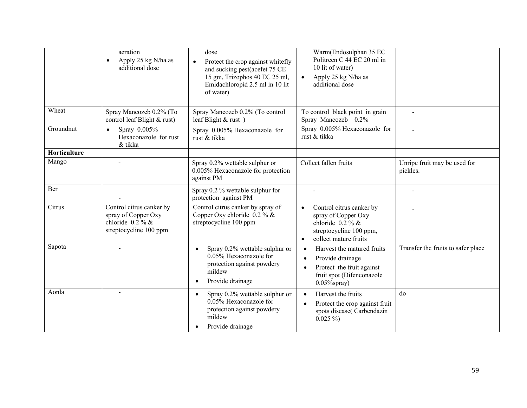|              | aeration<br>Apply 25 kg N/ha as<br>$\bullet$<br>additional dose                                 | dose<br>Protect the crop against whitefly<br>and sucking pest(acefet 75 CE<br>15 gm, Trizophos 40 EC 25 ml,<br>Emidachloropid 2.5 ml in 10 lit<br>of water) | Warm(Endosulphan 35 EC<br>Politreen C 44 EC 20 ml in<br>10 lit of water)<br>Apply 25 kg N/ha as<br>$\bullet$<br>additional dose                     |                                          |
|--------------|-------------------------------------------------------------------------------------------------|-------------------------------------------------------------------------------------------------------------------------------------------------------------|-----------------------------------------------------------------------------------------------------------------------------------------------------|------------------------------------------|
| Wheat        | Spray Mancozeb 0.2% (To<br>control leaf Blight & rust)                                          | Spray Mancozeb 0.2% (To control<br>leaf Blight & rust)                                                                                                      | To control black point in grain<br>Spray Mancozeb 0.2%                                                                                              |                                          |
| Groundnut    | Spray 0.005%<br>$\bullet$<br>Hexaconazole for rust<br>& tikka                                   | Spray 0.005% Hexaconazole for<br>rust & tikka                                                                                                               | Spray 0.005% Hexaconazole for<br>rust & tikka                                                                                                       | $\overline{a}$                           |
| Horticulture |                                                                                                 |                                                                                                                                                             |                                                                                                                                                     |                                          |
| Mango        |                                                                                                 | Spray 0.2% wettable sulphur or<br>0.005% Hexaconazole for protection<br>against PM                                                                          | Collect fallen fruits                                                                                                                               | Unripe fruit may be used for<br>pickles. |
| Ber          |                                                                                                 | Spray 0.2 % wettable sulphur for<br>protection against PM                                                                                                   | $\overline{a}$                                                                                                                                      |                                          |
| Citrus       | Control citrus canker by<br>spray of Copper Oxy<br>chloride $0.2\%$ &<br>streptocycline 100 ppm | Control citrus canker by spray of<br>Copper Oxy chloride $0.2 \%$ &<br>streptocycline 100 ppm                                                               | Control citrus canker by<br>$\bullet$<br>spray of Copper Oxy<br>chloride $0.2\%$ &<br>streptocycline 100 ppm,<br>collect mature fruits<br>$\bullet$ |                                          |
| Sapota       |                                                                                                 | Spray 0.2% wettable sulphur or<br>$\bullet$<br>0.05% Hexaconazole for<br>protection against powdery<br>mildew<br>Provide drainage<br>$\bullet$              | Harvest the matured fruits<br>$\bullet$<br>Provide drainage<br>Protect the fruit against<br>fruit spot (Difenconazole<br>$0.05\%$ spray)            | Transfer the fruits to safer place       |
| Aonla        |                                                                                                 | Spray 0.2% wettable sulphur or<br>$\bullet$<br>0.05% Hexaconazole for<br>protection against powdery<br>mildew<br>Provide drainage                           | Harvest the fruits<br>Protect the crop against fruit<br>spots disease(Carbendazin<br>$0.025\%$                                                      | do                                       |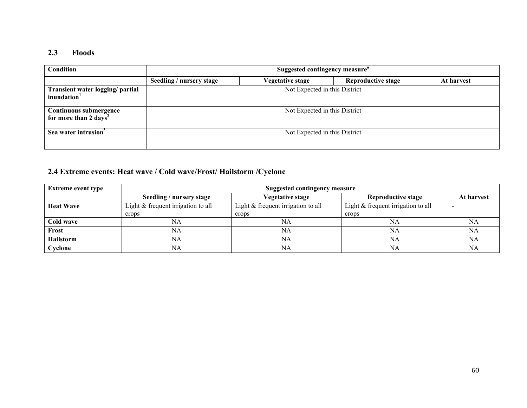#### **2.3 Floods**

| Condition                                                   | Suggested contingency measure <sup>o</sup> |                               |                           |            |
|-------------------------------------------------------------|--------------------------------------------|-------------------------------|---------------------------|------------|
|                                                             | Seedling / nursery stage                   | <b>Vegetative stage</b>       | <b>Reproductive stage</b> | At harvest |
| Transient water logging/ partial<br>inundation <sup>1</sup> | Not Expected in this District              |                               |                           |            |
| Continuous submergence<br>for more than 2 days <sup>2</sup> |                                            | Not Expected in this District |                           |            |
| Sea water intrusion <sup>3</sup>                            |                                            | Not Expected in this District |                           |            |

## **2.4 Extreme events: Heat wave / Cold wave/Frost/ Hailstorm /Cyclone**

| <b>Extreme event type</b> | <b>Suggested contingency measure</b> |                                    |                                    |            |  |
|---------------------------|--------------------------------------|------------------------------------|------------------------------------|------------|--|
|                           | Seedling / nursery stage             | <b>Vegetative stage</b>            | Reproductive stage                 | At harvest |  |
| <b>Heat Wave</b>          | Light & frequent irrigation to all   | Light & frequent irrigation to all | Light & frequent irrigation to all |            |  |
|                           | crops                                | crops                              | crops                              |            |  |
| Cold wave                 | NA                                   | NA                                 | NA                                 | NA         |  |
| Frost                     | NA                                   | NA                                 | NА                                 | NA         |  |
| <b>Hailstorm</b>          | NA                                   | NΑ                                 | NA                                 | <b>NA</b>  |  |
| Cyclone                   | NA                                   | NA                                 | NA                                 | NA         |  |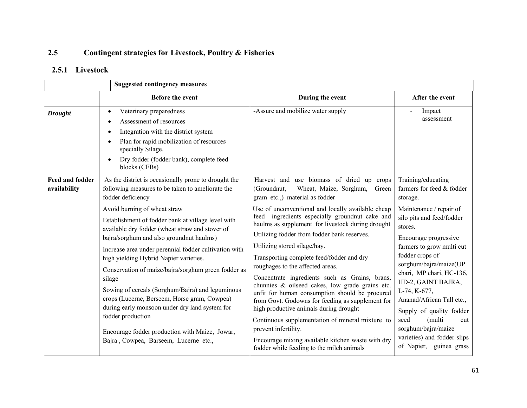#### **2.5Contingent strategies for Livestock, Poultry & Fisheries**

#### **2.5.1 Livestock**

|                                        | <b>Suggested contingency measures</b>                                                                                                                                                                                                                                                                                                                                                                                                                                                                                                                                                                                                                                                                                                                        |                                                                                                                                                                                                                                                                                                                                                                                                                                                                                                                                                                                                                                                                                                                                                                                                                                                                                           |                                                                                                                                                                                                                                                                                                                                                                                                                                                                        |
|----------------------------------------|--------------------------------------------------------------------------------------------------------------------------------------------------------------------------------------------------------------------------------------------------------------------------------------------------------------------------------------------------------------------------------------------------------------------------------------------------------------------------------------------------------------------------------------------------------------------------------------------------------------------------------------------------------------------------------------------------------------------------------------------------------------|-------------------------------------------------------------------------------------------------------------------------------------------------------------------------------------------------------------------------------------------------------------------------------------------------------------------------------------------------------------------------------------------------------------------------------------------------------------------------------------------------------------------------------------------------------------------------------------------------------------------------------------------------------------------------------------------------------------------------------------------------------------------------------------------------------------------------------------------------------------------------------------------|------------------------------------------------------------------------------------------------------------------------------------------------------------------------------------------------------------------------------------------------------------------------------------------------------------------------------------------------------------------------------------------------------------------------------------------------------------------------|
|                                        | Before the event                                                                                                                                                                                                                                                                                                                                                                                                                                                                                                                                                                                                                                                                                                                                             | During the event                                                                                                                                                                                                                                                                                                                                                                                                                                                                                                                                                                                                                                                                                                                                                                                                                                                                          | After the event                                                                                                                                                                                                                                                                                                                                                                                                                                                        |
| <b>Drought</b>                         | Veterinary preparedness<br>$\bullet$<br>Assessment of resources<br>$\bullet$<br>Integration with the district system<br>٠<br>Plan for rapid mobilization of resources<br>$\bullet$<br>specially Silage.<br>Dry fodder (fodder bank), complete feed<br>$\bullet$<br>blocks (CFBs)                                                                                                                                                                                                                                                                                                                                                                                                                                                                             | -Assure and mobilize water supply                                                                                                                                                                                                                                                                                                                                                                                                                                                                                                                                                                                                                                                                                                                                                                                                                                                         | Impact<br>assessment                                                                                                                                                                                                                                                                                                                                                                                                                                                   |
| <b>Feed and fodder</b><br>availability | As the district is occasionally prone to drought the<br>following measures to be taken to ameliorate the<br>fodder deficiency<br>Avoid burning of wheat straw<br>Establishment of fodder bank at village level with<br>available dry fodder (wheat straw and stover of<br>bajra/sorghum and also groundnut haulms)<br>Increase area under perennial fodder cultivation with<br>high yielding Hybrid Napier varieties.<br>Conservation of maize/bajra/sorghum green fodder as<br>silage<br>Sowing of cereals (Sorghum/Bajra) and leguminous<br>crops (Lucerne, Berseem, Horse gram, Cowpea)<br>during early monsoon under dry land system for<br>fodder production<br>Encourage fodder production with Maize, Jowar,<br>Bajra, Cowpea, Barseem, Lucerne etc., | Harvest and use biomass of dried up crops<br>(Groundnut,<br>Wheat, Maize, Sorghum, Green<br>gram etc.,) material as fodder<br>Use of unconventional and locally available cheap<br>feed ingredients especially groundnut cake and<br>haulms as supplement for livestock during drought<br>Utilizing fodder from fodder bank reserves.<br>Utilizing stored silage/hay.<br>Transporting complete feed/fodder and dry<br>roughages to the affected areas.<br>Concentrate ingredients such as Grains, brans,<br>chunnies & oilseed cakes, low grade grains etc.<br>unfit for human consumption should be procured<br>from Govt. Godowns for feeding as supplement for<br>high productive animals during drought<br>Continuous supplementation of mineral mixture to<br>prevent infertility.<br>Encourage mixing available kitchen waste with dry<br>fodder while feeding to the milch animals | Training/educating<br>farmers for feed & fodder<br>storage.<br>Maintenance / repair of<br>silo pits and feed/fodder<br>stores.<br>Encourage progressive<br>farmers to grow multi cut<br>fodder crops of<br>sorghum/bajra/maize(UP<br>chari, MP chari, HC-136,<br>HD-2, GAINT BAJRA,<br>L-74, K-677,<br>Ananad/African Tall etc.,<br>Supply of quality fodder<br>seed<br>(multi<br>cut<br>sorghum/bajra/maize<br>varieties) and fodder slips<br>of Napier, guinea grass |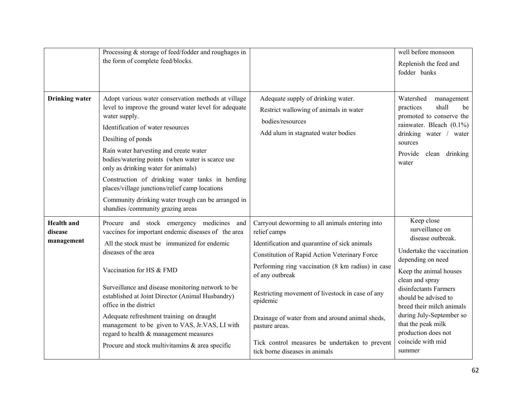|                                            | Processing & storage of feed/fodder and roughages in<br>the form of complete feed/blocks.                                                                                                                                                                                                                                                                                                                                                                                                                                         |                                                                                                                                                                                                                                                                                                                                                                                                                                                                    | well before monsoon<br>Replenish the feed and<br>fodder banks                                                                                                                                                                                                                                                                           |
|--------------------------------------------|-----------------------------------------------------------------------------------------------------------------------------------------------------------------------------------------------------------------------------------------------------------------------------------------------------------------------------------------------------------------------------------------------------------------------------------------------------------------------------------------------------------------------------------|--------------------------------------------------------------------------------------------------------------------------------------------------------------------------------------------------------------------------------------------------------------------------------------------------------------------------------------------------------------------------------------------------------------------------------------------------------------------|-----------------------------------------------------------------------------------------------------------------------------------------------------------------------------------------------------------------------------------------------------------------------------------------------------------------------------------------|
| <b>Drinking</b> water                      | Adopt various water conservation methods at village<br>level to improve the ground water level for adequate<br>water supply.<br>Identification of water resources<br>Desilting of ponds<br>Rain water harvesting and create water<br>bodies/watering points (when water is scarce use<br>only as drinking water for animals)<br>Construction of drinking water tanks in herding<br>places/village junctions/relief camp locations<br>Community drinking water trough can be arranged in<br>shandies /community grazing areas      | Adequate supply of drinking water.<br>Restrict wallowing of animals in water<br>bodies/resources<br>Add alum in stagnated water bodies                                                                                                                                                                                                                                                                                                                             | Watershed<br>management<br>practices<br>shall<br>be<br>promoted to conserve the<br>rainwater. Bleach (0.1%)<br>drinking water / water<br>sources<br>Provide clean drinking<br>water                                                                                                                                                     |
| <b>Health</b> and<br>disease<br>management | Procure and stock emergency medicines and<br>vaccines for important endemic diseases of the area<br>All the stock must be immunized for endemic<br>diseases of the area<br>Vaccination for HS & FMD<br>Surveillance and disease monitoring network to be<br>established at Joint Director (Animal Husbandry)<br>office in the district<br>Adequate refreshment training on draught<br>management to be given to VAS, Jr.VAS, LI with<br>regard to health & management measures<br>Procure and stock multivitamins & area specific | Carryout deworming to all animals entering into<br>relief camps<br>Identification and quarantine of sick animals<br>Constitution of Rapid Action Veterinary Force<br>Performing ring vaccination (8 km radius) in case<br>of any outbreak<br>Restricting movement of livestock in case of any<br>epidemic<br>Drainage of water from and around animal sheds,<br>pasture areas.<br>Tick control measures be undertaken to prevent<br>tick borne diseases in animals | Keep close<br>surveillance on<br>disease outbreak.<br>Undertake the vaccination<br>depending on need<br>Keep the animal houses<br>clean and spray<br>disinfectants Farmers<br>should be advised to<br>breed their milch animals<br>during July-September so<br>that the peak milk<br>production does not<br>coincide with mid<br>summer |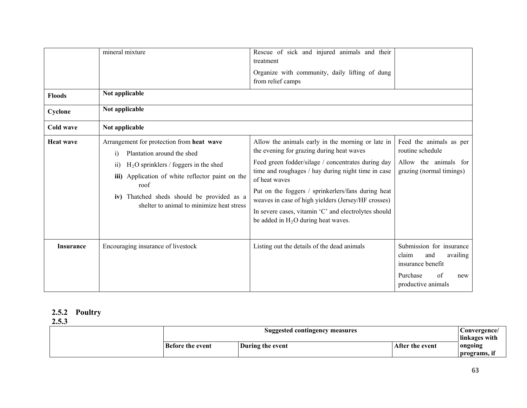| <b>Floods</b><br>Cyclone<br>Cold wave | mineral mixture<br>Not applicable<br>Not applicable<br>Not applicable                                                                                                                                                                                                                           | Rescue of sick and injured animals and their<br>treatment<br>Organize with community, daily lifting of dung<br>from relief camps                                                                                                                                                                                                                                                                                                          |                                                                                                                          |
|---------------------------------------|-------------------------------------------------------------------------------------------------------------------------------------------------------------------------------------------------------------------------------------------------------------------------------------------------|-------------------------------------------------------------------------------------------------------------------------------------------------------------------------------------------------------------------------------------------------------------------------------------------------------------------------------------------------------------------------------------------------------------------------------------------|--------------------------------------------------------------------------------------------------------------------------|
| <b>Heat wave</b>                      | Arrangement for protection from heat wave<br>Plantation around the shed<br>$\bf{1)}$<br>$H2O$ sprinklers / foggers in the shed<br>11)<br>Application of white reflector paint on the<br>iii)<br>roof<br>iv) Thatched sheds should be provided as a<br>shelter to animal to minimize heat stress | Allow the animals early in the morning or late in<br>the evening for grazing during heat waves<br>Feed green fodder/silage / concentrates during day<br>time and roughages / hay during night time in case<br>of heat waves<br>Put on the foggers / sprinkerlers/fans during heat<br>weaves in case of high yielders (Jersey/HF crosses)<br>In severe cases, vitamin 'C' and electrolytes should<br>be added in $H_2O$ during heat waves. | Feed the animals as per<br>routine schedule<br>Allow the animals for<br>grazing (normal timings)                         |
| <b>Insurance</b>                      | Encouraging insurance of livestock                                                                                                                                                                                                                                                              | Listing out the details of the dead animals                                                                                                                                                                                                                                                                                                                                                                                               | Submission for insurance<br>claim<br>and<br>availing<br>insurance benefit<br>Purchase<br>of<br>new<br>productive animals |

#### **2.5.2 Poultry**

**2.5.3**

| Suggested contingency measures |                  |                 | Convergence/<br>linkages with |
|--------------------------------|------------------|-----------------|-------------------------------|
| Before the event               | During the event | After the event | ongoing<br>programs, in       |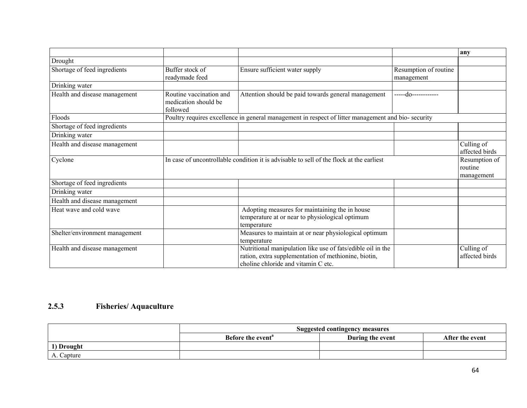|                                |                                                             |                                                                                                                                                            |                                     | any                                    |
|--------------------------------|-------------------------------------------------------------|------------------------------------------------------------------------------------------------------------------------------------------------------------|-------------------------------------|----------------------------------------|
| Drought                        |                                                             |                                                                                                                                                            |                                     |                                        |
| Shortage of feed ingredients   | Buffer stock of<br>readymade feed                           | Ensure sufficient water supply                                                                                                                             | Resumption of routine<br>management |                                        |
| Drinking water                 |                                                             |                                                                                                                                                            |                                     |                                        |
| Health and disease management  | Routine vaccination and<br>medication should be<br>followed | Attention should be paid towards general management                                                                                                        | -----do------------                 |                                        |
| Floods                         |                                                             | Poultry requires excellence in general management in respect of litter management and bio- security                                                        |                                     |                                        |
| Shortage of feed ingredients   |                                                             |                                                                                                                                                            |                                     |                                        |
| Drinking water                 |                                                             |                                                                                                                                                            |                                     |                                        |
| Health and disease management  |                                                             |                                                                                                                                                            |                                     | Culling of<br>affected birds           |
| Cyclone                        |                                                             | In case of uncontrollable condition it is advisable to sell of the flock at the earliest                                                                   |                                     | Resumption of<br>routine<br>management |
| Shortage of feed ingredients   |                                                             |                                                                                                                                                            |                                     |                                        |
| Drinking water                 |                                                             |                                                                                                                                                            |                                     |                                        |
| Health and disease management  |                                                             |                                                                                                                                                            |                                     |                                        |
| Heat wave and cold wave        |                                                             | Adopting measures for maintaining the in house<br>temperature at or near to physiological optimum<br>temperature                                           |                                     |                                        |
| Shelter/environment management |                                                             | Measures to maintain at or near physiological optimum<br>temperature                                                                                       |                                     |                                        |
| Health and disease management  |                                                             | Nutritional manipulation like use of fats/edible oil in the<br>ration, extra supplementation of methionine, biotin,<br>choline chloride and vitamin C etc. |                                     | Culling of<br>affected birds           |

## **2.5.3 Fisheries/ Aquaculture**

|            | Suggested contingency measures                                       |  |  |  |  |
|------------|----------------------------------------------------------------------|--|--|--|--|
|            | During the event<br>Before the event <sup>a</sup><br>After the event |  |  |  |  |
| 1) Drought |                                                                      |  |  |  |  |
| A. Capture |                                                                      |  |  |  |  |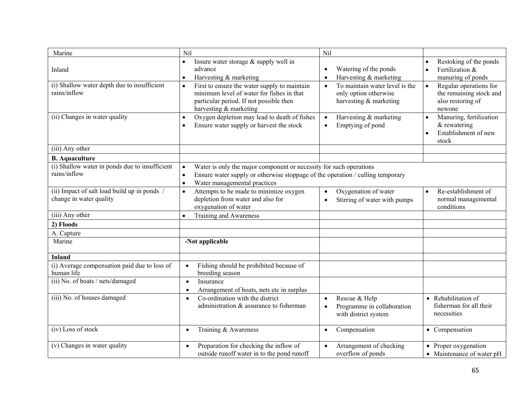| Marine                                                                  | Nil                                                                                                                                                                                                                         | Nil                                                                                            |                                                                                                    |
|-------------------------------------------------------------------------|-----------------------------------------------------------------------------------------------------------------------------------------------------------------------------------------------------------------------------|------------------------------------------------------------------------------------------------|----------------------------------------------------------------------------------------------------|
| Inland                                                                  | Insure water storage $&$ supply well in<br>$\bullet$<br>advance<br>Harvesting & marketing<br>$\bullet$                                                                                                                      | Watering of the ponds<br>$\bullet$<br>Harvesting & marketing<br>$\bullet$                      | Restoking of the ponds<br>Fertilization &<br>$\bullet$<br>manuring of ponds                        |
| (i) Shallow water depth due to insufficient<br>rains/inflow             | First to ensure the water supply to maintain<br>$\bullet$<br>minimum level of water for fishes in that<br>particular period. If not possible then<br>harvesting & marketing                                                 | To maintain water level is the<br>$\bullet$<br>only option otherwise<br>harvesting & marketing | Regular operations for<br>the remaining stock and<br>also restoring of<br>newone                   |
| (ii) Changes in water quality                                           | Oxygen depletion may lead to death of fishes<br>$\bullet$<br>Ensure water supply or harvest the stock<br>$\bullet$                                                                                                          | Harvesting & marketing<br>$\bullet$<br>Emptying of pond                                        | Manuring, fertilization<br>$\bullet$<br>& rewatering<br>Establishment of new<br>$\bullet$<br>stock |
| (iii) Any other                                                         |                                                                                                                                                                                                                             |                                                                                                |                                                                                                    |
| <b>B.</b> Aquaculture                                                   |                                                                                                                                                                                                                             |                                                                                                |                                                                                                    |
| (i) Shallow water in ponds due to insufficient<br>rains/inflow          | Water is only the major component or necessity for such operations<br>$\bullet$<br>Ensure water supply or otherwise stoppage of the operation / culling temporary<br>$\bullet$<br>Water managemental practices<br>$\bullet$ |                                                                                                |                                                                                                    |
| (ii) Impact of salt load build up in ponds /<br>change in water quality | Attempts to be made to minimize oxygen<br>$\bullet$<br>depletion from water and also for<br>oxygenation of water                                                                                                            | Oxygenation of water<br>$\bullet$<br>Stirring of water with pumps<br>$\bullet$                 | Re-establishment of<br>normal managemental<br>conditions                                           |
| (iii) Any other                                                         | Training and Awareness<br>$\bullet$                                                                                                                                                                                         |                                                                                                |                                                                                                    |
| 2) Floods                                                               |                                                                                                                                                                                                                             |                                                                                                |                                                                                                    |
| A. Capture                                                              |                                                                                                                                                                                                                             |                                                                                                |                                                                                                    |
| Marine                                                                  | -Not applicable                                                                                                                                                                                                             |                                                                                                |                                                                                                    |
| <b>Inland</b>                                                           |                                                                                                                                                                                                                             |                                                                                                |                                                                                                    |
| (i) Average compensation paid due to loss of<br>human life              | Fishing should be prohibited because of<br>$\bullet$<br>breeding season                                                                                                                                                     |                                                                                                |                                                                                                    |
| (ii) No. of boats / nets/damaged                                        | Insurance<br>$\bullet$<br>Arrangement of boats, nets etc in surplus<br>$\bullet$                                                                                                                                            |                                                                                                |                                                                                                    |
| (iii) No. of houses damaged                                             | Co-ordination with the district<br>$\bullet$<br>administration & assurance to fisherman                                                                                                                                     | Rescue & Help<br>$\bullet$<br>Programme in collaboration<br>$\bullet$<br>with district system  | • Rehabilitation of<br>fisherman for all their<br>necessities                                      |
| (iv) Loss of stock                                                      | Training & Awareness<br>$\bullet$                                                                                                                                                                                           | Compensation<br>$\bullet$                                                                      | • Compensation                                                                                     |
| (v) Changes in water quality                                            | Preparation for checking the inflow of<br>$\bullet$<br>outside runoff water in to the pond runoff                                                                                                                           | Arrangement of checking<br>$\bullet$<br>overflow of ponds                                      | • Proper oxygenation<br>• Maintenance of water pH                                                  |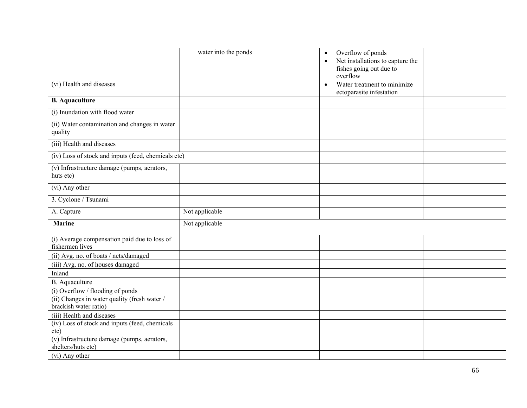|                                                                       | water into the ponds | Overflow of ponds<br>$\bullet$<br>Net installations to capture the<br>$\bullet$<br>fishes going out due to<br>overflow |  |
|-----------------------------------------------------------------------|----------------------|------------------------------------------------------------------------------------------------------------------------|--|
| (vi) Health and diseases                                              |                      | Water treatment to minimize<br>$\bullet$<br>ectoparasite infestation                                                   |  |
| <b>B.</b> Aquaculture                                                 |                      |                                                                                                                        |  |
| (i) Inundation with flood water                                       |                      |                                                                                                                        |  |
| (ii) Water contamination and changes in water<br>quality              |                      |                                                                                                                        |  |
| (iii) Health and diseases                                             |                      |                                                                                                                        |  |
| (iv) Loss of stock and inputs (feed, chemicals etc)                   |                      |                                                                                                                        |  |
| (v) Infrastructure damage (pumps, aerators,<br>huts etc)              |                      |                                                                                                                        |  |
| (vi) Any other                                                        |                      |                                                                                                                        |  |
| 3. Cyclone / Tsunami                                                  |                      |                                                                                                                        |  |
| A. Capture                                                            | Not applicable       |                                                                                                                        |  |
| <b>Marine</b>                                                         | Not applicable       |                                                                                                                        |  |
| (i) Average compensation paid due to loss of<br>fishermen lives       |                      |                                                                                                                        |  |
| (ii) Avg. no. of boats / nets/damaged                                 |                      |                                                                                                                        |  |
| (iii) Avg. no. of houses damaged                                      |                      |                                                                                                                        |  |
| Inland                                                                |                      |                                                                                                                        |  |
| B. Aquaculture                                                        |                      |                                                                                                                        |  |
| (i) Overflow / flooding of ponds                                      |                      |                                                                                                                        |  |
| (ii) Changes in water quality (fresh water /<br>brackish water ratio) |                      |                                                                                                                        |  |
| (iii) Health and diseases                                             |                      |                                                                                                                        |  |
| (iv) Loss of stock and inputs (feed, chemicals<br>etc)                |                      |                                                                                                                        |  |
| (v) Infrastructure damage (pumps, aerators,<br>shelters/huts etc)     |                      |                                                                                                                        |  |
| (vi) Any other                                                        |                      |                                                                                                                        |  |
|                                                                       |                      |                                                                                                                        |  |